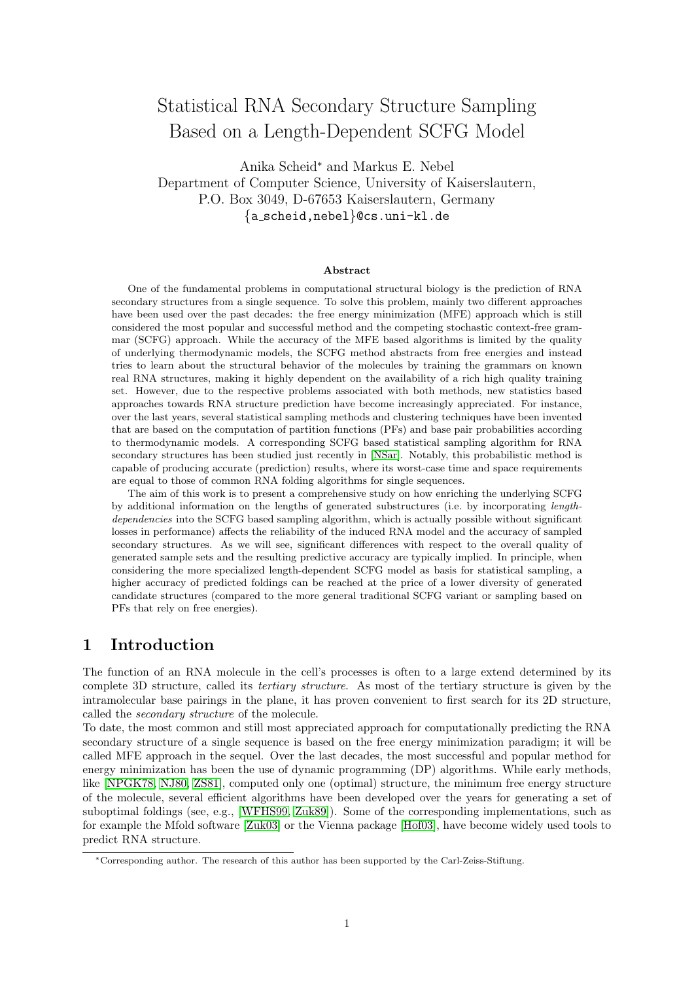# <span id="page-0-1"></span>Statistical RNA Secondary Structure Sampling Based on a Length-Dependent SCFG Model

Anika Scheid<sup>∗</sup> and Markus E. Nebel Department of Computer Science, University of Kaiserslautern, P.O. Box 3049, D-67653 Kaiserslautern, Germany {a scheid,nebel}@cs.uni-kl.de

#### Abstract

One of the fundamental problems in computational structural biology is the prediction of RNA secondary structures from a single sequence. To solve this problem, mainly two different approaches have been used over the past decades: the free energy minimization (MFE) approach which is still considered the most popular and successful method and the competing stochastic context-free grammar (SCFG) approach. While the accuracy of the MFE based algorithms is limited by the quality of underlying thermodynamic models, the SCFG method abstracts from free energies and instead tries to learn about the structural behavior of the molecules by training the grammars on known real RNA structures, making it highly dependent on the availability of a rich high quality training set. However, due to the respective problems associated with both methods, new statistics based approaches towards RNA structure prediction have become increasingly appreciated. For instance, over the last years, several statistical sampling methods and clustering techniques have been invented that are based on the computation of partition functions (PFs) and base pair probabilities according to thermodynamic models. A corresponding SCFG based statistical sampling algorithm for RNA secondary structures has been studied just recently in [\[NSar\]](#page-20-0). Notably, this probabilistic method is capable of producing accurate (prediction) results, where its worst-case time and space requirements are equal to those of common RNA folding algorithms for single sequences.

The aim of this work is to present a comprehensive study on how enriching the underlying SCFG by additional information on the lengths of generated substructures (i.e. by incorporating lengthdependencies into the SCFG based sampling algorithm, which is actually possible without significant losses in performance) affects the reliability of the induced RNA model and the accuracy of sampled secondary structures. As we will see, significant differences with respect to the overall quality of generated sample sets and the resulting predictive accuracy are typically implied. In principle, when considering the more specialized length-dependent SCFG model as basis for statistical sampling, a higher accuracy of predicted foldings can be reached at the price of a lower diversity of generated candidate structures (compared to the more general traditional SCFG variant or sampling based on PFs that rely on free energies).

## <span id="page-0-0"></span>1 Introduction

The function of an RNA molecule in the cell's processes is often to a large extend determined by its complete 3D structure, called its tertiary structure. As most of the tertiary structure is given by the intramolecular base pairings in the plane, it has proven convenient to first search for its 2D structure, called the secondary structure of the molecule.

To date, the most common and still most appreciated approach for computationally predicting the RNA secondary structure of a single sequence is based on the free energy minimization paradigm; it will be called MFE approach in the sequel. Over the last decades, the most successful and popular method for energy minimization has been the use of dynamic programming (DP) algorithms. While early methods, like [\[NPGK78,](#page-19-0) [NJ80,](#page-19-1) [ZS81\]](#page-20-1), computed only one (optimal) structure, the minimum free energy structure of the molecule, several efficient algorithms have been developed over the years for generating a set of suboptimal foldings (see, e.g., [\[WFHS99,](#page-20-2) [Zuk89\]](#page-20-3)). Some of the corresponding implementations, such as for example the Mfold software [\[Zuk03\]](#page-20-4) or the Vienna package [\[Hof03\]](#page-19-2), have become widely used tools to predict RNA structure.

<sup>∗</sup>Corresponding author. The research of this author has been supported by the Carl-Zeiss-Stiftung.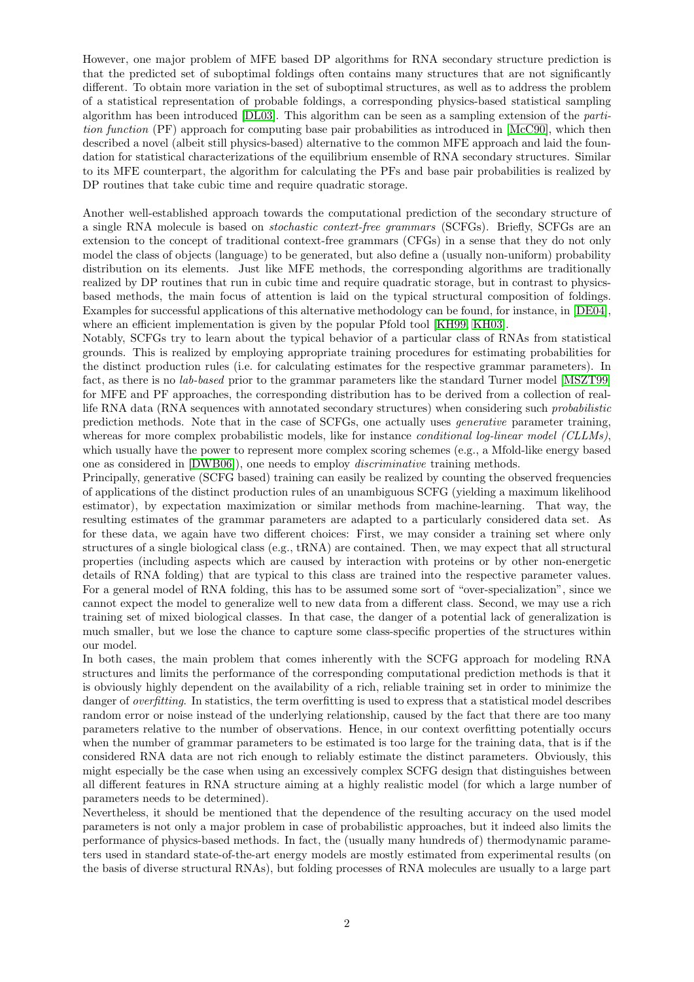However, one major problem of MFE based DP algorithms for RNA secondary structure prediction is that the predicted set of suboptimal foldings often contains many structures that are not significantly different. To obtain more variation in the set of suboptimal structures, as well as to address the problem of a statistical representation of probable foldings, a corresponding physics-based statistical sampling algorithm has been introduced [\[DL03\]](#page-19-3). This algorithm can be seen as a sampling extension of the partition function (PF) approach for computing base pair probabilities as introduced in [\[McC90\]](#page-19-4), which then described a novel (albeit still physics-based) alternative to the common MFE approach and laid the foundation for statistical characterizations of the equilibrium ensemble of RNA secondary structures. Similar to its MFE counterpart, the algorithm for calculating the PFs and base pair probabilities is realized by DP routines that take cubic time and require quadratic storage.

Another well-established approach towards the computational prediction of the secondary structure of a single RNA molecule is based on stochastic context-free grammars (SCFGs). Briefly, SCFGs are an extension to the concept of traditional context-free grammars (CFGs) in a sense that they do not only model the class of objects (language) to be generated, but also define a (usually non-uniform) probability distribution on its elements. Just like MFE methods, the corresponding algorithms are traditionally realized by DP routines that run in cubic time and require quadratic storage, but in contrast to physicsbased methods, the main focus of attention is laid on the typical structural composition of foldings. Examples for successful applications of this alternative methodology can be found, for instance, in [\[DE04\]](#page-19-5), where an efficient implementation is given by the popular Pfold tool [\[KH99,](#page-19-6) [KH03\]](#page-19-7).

Notably, SCFGs try to learn about the typical behavior of a particular class of RNAs from statistical grounds. This is realized by employing appropriate training procedures for estimating probabilities for the distinct production rules (i.e. for calculating estimates for the respective grammar parameters). In fact, as there is no lab-based prior to the grammar parameters like the standard Turner model [\[MSZT99\]](#page-19-8) for MFE and PF approaches, the corresponding distribution has to be derived from a collection of reallife RNA data (RNA sequences with annotated secondary structures) when considering such probabilistic prediction methods. Note that in the case of SCFGs, one actually uses generative parameter training, whereas for more complex probabilistic models, like for instance *conditional log-linear model (CLLMs)*, which usually have the power to represent more complex scoring schemes (e.g., a Mfold-like energy based one as considered in [\[DWB06\]](#page-19-9)), one needs to employ discriminative training methods.

Principally, generative (SCFG based) training can easily be realized by counting the observed frequencies of applications of the distinct production rules of an unambiguous SCFG (yielding a maximum likelihood estimator), by expectation maximization or similar methods from machine-learning. That way, the resulting estimates of the grammar parameters are adapted to a particularly considered data set. As for these data, we again have two different choices: First, we may consider a training set where only structures of a single biological class (e.g., tRNA) are contained. Then, we may expect that all structural properties (including aspects which are caused by interaction with proteins or by other non-energetic details of RNA folding) that are typical to this class are trained into the respective parameter values. For a general model of RNA folding, this has to be assumed some sort of "over-specialization", since we cannot expect the model to generalize well to new data from a different class. Second, we may use a rich training set of mixed biological classes. In that case, the danger of a potential lack of generalization is much smaller, but we lose the chance to capture some class-specific properties of the structures within our model.

In both cases, the main problem that comes inherently with the SCFG approach for modeling RNA structures and limits the performance of the corresponding computational prediction methods is that it is obviously highly dependent on the availability of a rich, reliable training set in order to minimize the danger of *overfitting*. In statistics, the term overfitting is used to express that a statistical model describes random error or noise instead of the underlying relationship, caused by the fact that there are too many parameters relative to the number of observations. Hence, in our context overfitting potentially occurs when the number of grammar parameters to be estimated is too large for the training data, that is if the considered RNA data are not rich enough to reliably estimate the distinct parameters. Obviously, this might especially be the case when using an excessively complex SCFG design that distinguishes between all different features in RNA structure aiming at a highly realistic model (for which a large number of parameters needs to be determined).

Nevertheless, it should be mentioned that the dependence of the resulting accuracy on the used model parameters is not only a major problem in case of probabilistic approaches, but it indeed also limits the performance of physics-based methods. In fact, the (usually many hundreds of) thermodynamic parameters used in standard state-of-the-art energy models are mostly estimated from experimental results (on the basis of diverse structural RNAs), but folding processes of RNA molecules are usually to a large part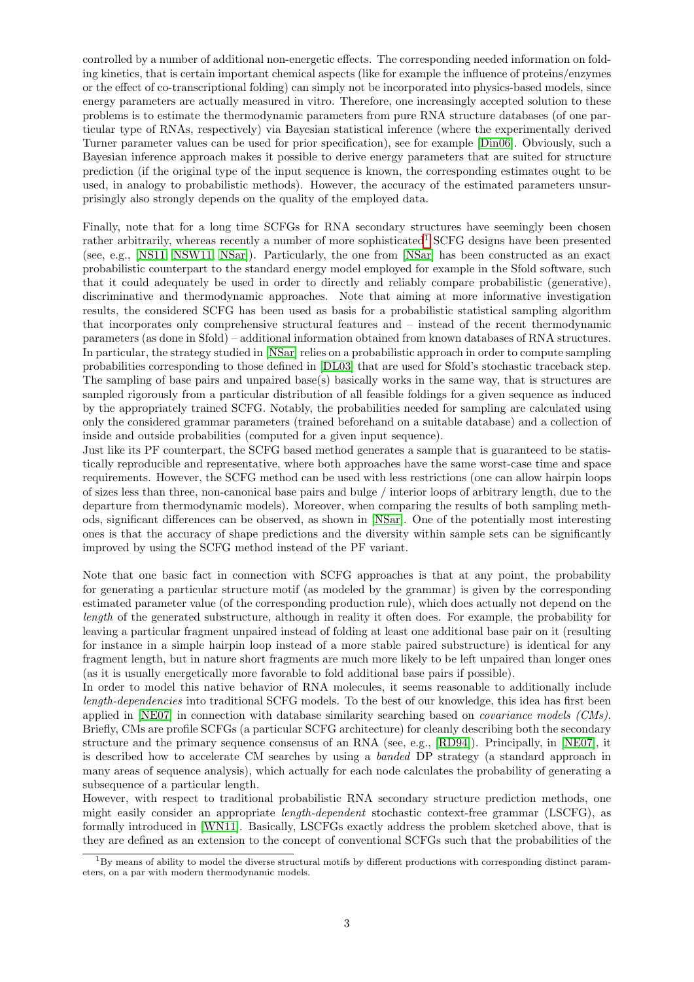controlled by a number of additional non-energetic effects. The corresponding needed information on folding kinetics, that is certain important chemical aspects (like for example the influence of proteins/enzymes or the effect of co-transcriptional folding) can simply not be incorporated into physics-based models, since energy parameters are actually measured in vitro. Therefore, one increasingly accepted solution to these problems is to estimate the thermodynamic parameters from pure RNA structure databases (of one particular type of RNAs, respectively) via Bayesian statistical inference (where the experimentally derived Turner parameter values can be used for prior specification), see for example [\[Din06\]](#page-19-10). Obviously, such a Bayesian inference approach makes it possible to derive energy parameters that are suited for structure prediction (if the original type of the input sequence is known, the corresponding estimates ought to be used, in analogy to probabilistic methods). However, the accuracy of the estimated parameters unsurprisingly also strongly depends on the quality of the employed data.

Finally, note that for a long time SCFGs for RNA secondary structures have seemingly been chosen rather arbitrarily, whereas recently a number of more sophisticated<sup>[1](#page-2-0)</sup> SCFG designs have been presented (see, e.g., [\[NS11,](#page-20-5) [NSW11,](#page-20-6) [NSar\]](#page-20-0)). Particularly, the one from [\[NSar\]](#page-20-0) has been constructed as an exact probabilistic counterpart to the standard energy model employed for example in the Sfold software, such that it could adequately be used in order to directly and reliably compare probabilistic (generative), discriminative and thermodynamic approaches. Note that aiming at more informative investigation results, the considered SCFG has been used as basis for a probabilistic statistical sampling algorithm that incorporates only comprehensive structural features and – instead of the recent thermodynamic parameters (as done in Sfold) – additional information obtained from known databases of RNA structures. In particular, the strategy studied in [\[NSar\]](#page-20-0) relies on a probabilistic approach in order to compute sampling probabilities corresponding to those defined in [\[DL03\]](#page-19-3) that are used for Sfold's stochastic traceback step. The sampling of base pairs and unpaired base(s) basically works in the same way, that is structures are sampled rigorously from a particular distribution of all feasible foldings for a given sequence as induced by the appropriately trained SCFG. Notably, the probabilities needed for sampling are calculated using only the considered grammar parameters (trained beforehand on a suitable database) and a collection of inside and outside probabilities (computed for a given input sequence).

Just like its PF counterpart, the SCFG based method generates a sample that is guaranteed to be statistically reproducible and representative, where both approaches have the same worst-case time and space requirements. However, the SCFG method can be used with less restrictions (one can allow hairpin loops of sizes less than three, non-canonical base pairs and bulge / interior loops of arbitrary length, due to the departure from thermodynamic models). Moreover, when comparing the results of both sampling methods, significant differences can be observed, as shown in [\[NSar\]](#page-20-0). One of the potentially most interesting ones is that the accuracy of shape predictions and the diversity within sample sets can be significantly improved by using the SCFG method instead of the PF variant.

Note that one basic fact in connection with SCFG approaches is that at any point, the probability for generating a particular structure motif (as modeled by the grammar) is given by the corresponding estimated parameter value (of the corresponding production rule), which does actually not depend on the length of the generated substructure, although in reality it often does. For example, the probability for leaving a particular fragment unpaired instead of folding at least one additional base pair on it (resulting for instance in a simple hairpin loop instead of a more stable paired substructure) is identical for any fragment length, but in nature short fragments are much more likely to be left unpaired than longer ones (as it is usually energetically more favorable to fold additional base pairs if possible).

In order to model this native behavior of RNA molecules, it seems reasonable to additionally include length-dependencies into traditional SCFG models. To the best of our knowledge, this idea has first been applied in [\[NE07\]](#page-19-11) in connection with database similarity searching based on *covariance models (CMs)*. Briefly, CMs are profile SCFGs (a particular SCFG architecture) for cleanly describing both the secondary structure and the primary sequence consensus of an RNA (see, e.g., [\[RD94\]](#page-20-7)). Principally, in [\[NE07\]](#page-19-11), it is described how to accelerate CM searches by using a banded DP strategy (a standard approach in many areas of sequence analysis), which actually for each node calculates the probability of generating a subsequence of a particular length.

However, with respect to traditional probabilistic RNA secondary structure prediction methods, one might easily consider an appropriate length-dependent stochastic context-free grammar (LSCFG), as formally introduced in [\[WN11\]](#page-20-8). Basically, LSCFGs exactly address the problem sketched above, that is they are defined as an extension to the concept of conventional SCFGs such that the probabilities of the

<span id="page-2-0"></span> $1By$  means of ability to model the diverse structural motifs by different productions with corresponding distinct parameters, on a par with modern thermodynamic models.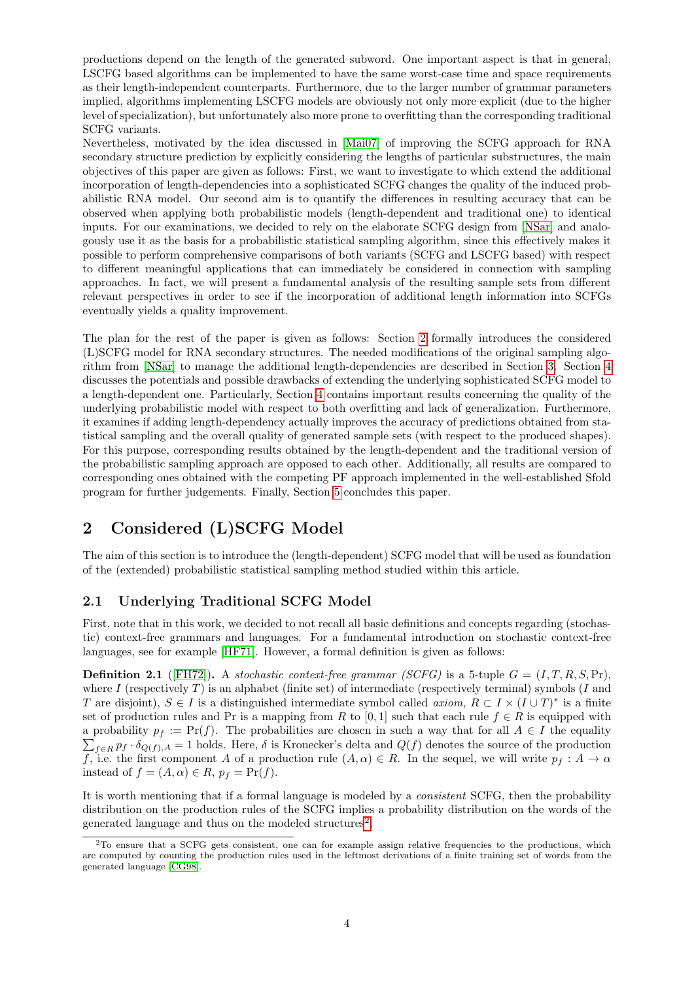productions depend on the length of the generated subword. One important aspect is that in general, LSCFG based algorithms can be implemented to have the same worst-case time and space requirements as their length-independent counterparts. Furthermore, due to the larger number of grammar parameters implied, algorithms implementing LSCFG models are obviously not only more explicit (due to the higher level of specialization), but unfortunately also more prone to overfitting than the corresponding traditional SCFG variants.

Nevertheless, motivated by the idea discussed in [\[Mai07\]](#page-19-12) of improving the SCFG approach for RNA secondary structure prediction by explicitly considering the lengths of particular substructures, the main objectives of this paper are given as follows: First, we want to investigate to which extend the additional incorporation of length-dependencies into a sophisticated SCFG changes the quality of the induced probabilistic RNA model. Our second aim is to quantify the differences in resulting accuracy that can be observed when applying both probabilistic models (length-dependent and traditional one) to identical inputs. For our examinations, we decided to rely on the elaborate SCFG design from [\[NSar\]](#page-20-0) and analogously use it as the basis for a probabilistic statistical sampling algorithm, since this effectively makes it possible to perform comprehensive comparisons of both variants (SCFG and LSCFG based) with respect to different meaningful applications that can immediately be considered in connection with sampling approaches. In fact, we will present a fundamental analysis of the resulting sample sets from different relevant perspectives in order to see if the incorporation of additional length information into SCFGs eventually yields a quality improvement.

The plan for the rest of the paper is given as follows: Section [2](#page-3-0) formally introduces the considered (L)SCFG model for RNA secondary structures. The needed modifications of the original sampling algorithm from [\[NSar\]](#page-20-0) to manage the additional length-dependencies are described in Section [3.](#page-7-0) Section [4](#page-8-0) discusses the potentials and possible drawbacks of extending the underlying sophisticated SCFG model to a length-dependent one. Particularly, Section [4](#page-8-0) contains important results concerning the quality of the underlying probabilistic model with respect to both overfitting and lack of generalization. Furthermore, it examines if adding length-dependency actually improves the accuracy of predictions obtained from statistical sampling and the overall quality of generated sample sets (with respect to the produced shapes). For this purpose, corresponding results obtained by the length-dependent and the traditional version of the probabilistic sampling approach are opposed to each other. Additionally, all results are compared to corresponding ones obtained with the competing PF approach implemented in the well-established Sfold program for further judgements. Finally, Section [5](#page-18-0) concludes this paper.

# <span id="page-3-0"></span>2 Considered (L)SCFG Model

The aim of this section is to introduce the (length-dependent) SCFG model that will be used as foundation of the (extended) probabilistic statistical sampling method studied within this article.

## 2.1 Underlying Traditional SCFG Model

First, note that in this work, we decided to not recall all basic definitions and concepts regarding (stochastic) context-free grammars and languages. For a fundamental introduction on stochastic context-free languages, see for example [\[HF71\]](#page-19-13). However, a formal definition is given as follows:

**Definition 2.1** ([\[FH72\]](#page-19-14)). A stochastic context-free grammar (SCFG) is a 5-tuple  $G = (I, T, R, S, Pr)$ , where I (respectively T) is an alphabet (finite set) of intermediate (respectively terminal) symbols  $(I \text{ and } I)$ T are disjoint),  $S \in I$  is a distinguished intermediate symbol called *axiom*,  $R \subset I \times (I \cup T)^*$  is a finite set of production rules and Pr is a mapping from R to [0, 1] such that each rule  $f \in R$  is equipped with a probability  $p_f := \Pr(f)$ . The probabilities are chosen in such a way that for all  $A \in I$  the equality  $\sum_{f\in R} p_f\cdot \delta_{Q(f),A}=1$  holds. Here,  $\delta$  is Kronecker's delta and  $Q(f)$  denotes the source of the production f, i.e. the first component A of a production rule  $(A, \alpha) \in R$ . In the sequel, we will write  $p_f : A \to \alpha$ instead of  $f = (A, \alpha) \in R$ ,  $p_f = Pr(f)$ .

It is worth mentioning that if a formal language is modeled by a consistent SCFG, then the probability distribution on the production rules of the SCFG implies a probability distribution on the words of the generated language and thus on the modeled structures<sup>[2](#page-3-1)</sup>.

<span id="page-3-1"></span><sup>&</sup>lt;sup>2</sup>To ensure that a SCFG gets consistent, one can for example assign relative frequencies to the productions, which are computed by counting the production rules used in the leftmost derivations of a finite training set of words from the generated language [\[CG98\]](#page-19-15).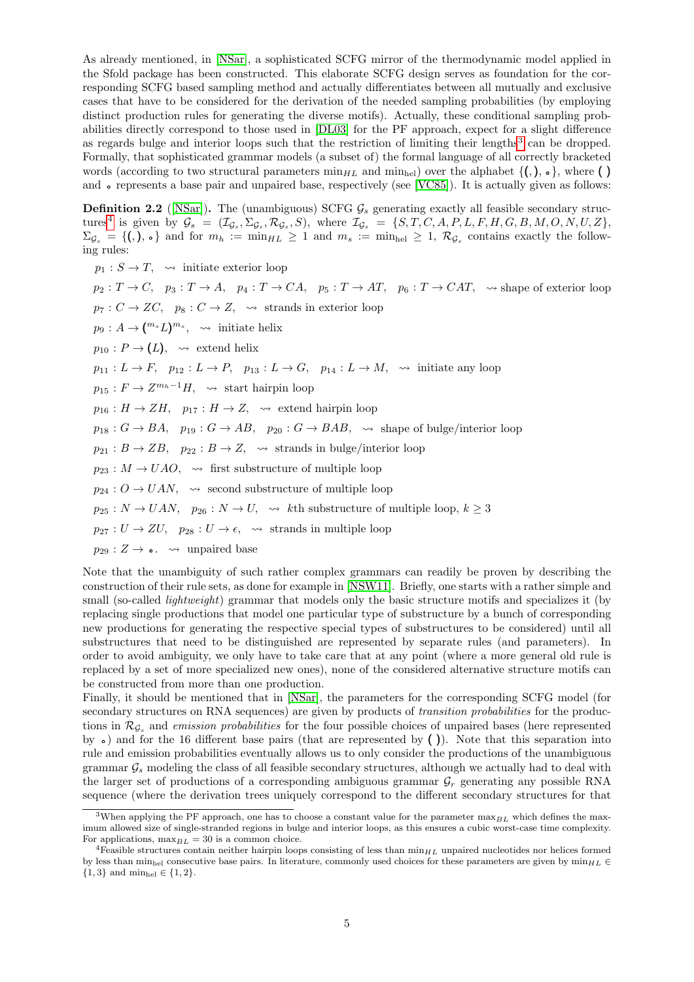As already mentioned, in [\[NSar\]](#page-20-0), a sophisticated SCFG mirror of the thermodynamic model applied in the Sfold package has been constructed. This elaborate SCFG design serves as foundation for the corresponding SCFG based sampling method and actually differentiates between all mutually and exclusive cases that have to be considered for the derivation of the needed sampling probabilities (by employing distinct production rules for generating the diverse motifs). Actually, these conditional sampling probabilities directly correspond to those used in [\[DL03\]](#page-19-3) for the PF approach, expect for a slight difference as regards bulge and interior loops such that the restriction of limiting their lengths<sup>[3](#page-4-0)</sup> can be dropped. Formally, that sophisticated grammar models (a subset of) the formal language of all correctly bracketed words (according to two structural parameters  $\min_{HL}$  and  $\min_{hel}$ ) over the alphabet  $\{(), \circ\}$ , where () and • represents a base pair and unpaired base, respectively (see [\[VC85\]](#page-20-9)). It is actually given as follows:

**Definition 2.2** ([\[NSar\]](#page-20-0)). The (unambiguous) SCFG  $\mathcal{G}_s$  generating exactly all feasible secondary struc-tures<sup>[4](#page-4-1)</sup> is given by  $\mathcal{G}_s = (\mathcal{I}_{\mathcal{G}_s}, \Sigma_{\mathcal{G}_s}, \mathcal{R}_{\mathcal{G}_s}, S)$ , where  $\mathcal{I}_{\mathcal{G}_s} = \{S, T, C, A, P, L, F, H, G, B, M, O, N, U, Z\}$ ,  $\Sigma_{\mathcal{G}_s} = \{(), \ldots\}$  and for  $m_h := \min_{HL} \geq 1$  and  $m_s := \min_{\text{hel}} \geq 1$ ,  $\mathcal{R}_{\mathcal{G}_s}$  contains exactly the following rules:

 $p_1 : S \to T$ ,  $\rightsquigarrow$  initiate exterior loop  $p_2: T \to C$ ,  $p_3: T \to A$ ,  $p_4: T \to CA$ ,  $p_5: T \to AT$ ,  $p_6: T \to CAT$ ,  $\leadsto$  shape of exterior loop  $p_7: C \to ZC$ ,  $p_8: C \to Z$ ,  $\rightsquigarrow$  strands in exterior loop  $p_9: A \to (\binom{m_s}{\cdot} \binom{m_s}{\cdot}, \rightsquigarrow$  initiate helix  $p_{10} : P \to (L)$ ,  $\rightsquigarrow$  extend helix  $p_{11}: L \to F$ ,  $p_{12}: L \to P$ ,  $p_{13}: L \to G$ ,  $p_{14}: L \to M$ ,  $\rightsquigarrow$  initiate any loop  $p_{15}: F \to Z^{m_h-1}H$ ,  $\leadsto$  start hairpin loop  $p_{16}: H \to ZH$ ,  $p_{17}: H \to Z$ ,  $\rightsquigarrow$  extend hairpin loop  $p_{18} : G \to BA$ ,  $p_{19} : G \to AB$ ,  $p_{20} : G \to BAB$ ,  $\rightsquigarrow$  shape of bulge/interior loop  $p_{21}: B \to ZB$ ,  $p_{22}: B \to Z$ ,  $\rightsquigarrow$  strands in bulge/interior loop  $p_{23}: M \rightarrow UAO$ ,  $\rightsquigarrow$  first substructure of multiple loop  $p_{24}: O \rightarrow UAN$ ,  $\rightsquigarrow$  second substructure of multiple loop  $p_{25}: N \to UAN$ ,  $p_{26}: N \to U$ ,  $\leadsto$  kth substructure of multiple loop,  $k \geq 3$  $p_{27}: U \to ZU$ ,  $p_{28}: U \to \epsilon$ ,  $\leadsto$  strands in multiple loop  $p_{29}: Z \rightarrow \bullet$ .  $\rightsquigarrow$  unpaired base

Note that the unambiguity of such rather complex grammars can readily be proven by describing the construction of their rule sets, as done for example in [\[NSW11\]](#page-20-6). Briefly, one starts with a rather simple and small (so-called *lightweight*) grammar that models only the basic structure motifs and specializes it (by replacing single productions that model one particular type of substructure by a bunch of corresponding new productions for generating the respective special types of substructures to be considered) until all substructures that need to be distinguished are represented by separate rules (and parameters). In order to avoid ambiguity, we only have to take care that at any point (where a more general old rule is replaced by a set of more specialized new ones), none of the considered alternative structure motifs can be constructed from more than one production.

Finally, it should be mentioned that in [\[NSar\]](#page-20-0), the parameters for the corresponding SCFG model (for secondary structures on RNA sequences) are given by products of *transition probabilities* for the productions in  $\mathcal{R}_{\mathcal{G}_s}$  and *emission probabilities* for the four possible choices of unpaired bases (here represented by  $\bullet$ ) and for the 16 different base pairs (that are represented by ()). Note that this separation into rule and emission probabilities eventually allows us to only consider the productions of the unambiguous grammar  $\mathcal{G}_s$  modeling the class of all feasible secondary structures, although we actually had to deal with the larger set of productions of a corresponding ambiguous grammar  $\mathcal{G}_r$  generating any possible RNA sequence (where the derivation trees uniquely correspond to the different secondary structures for that

<span id="page-4-0"></span><sup>&</sup>lt;sup>3</sup>When applying the PF approach, one has to choose a constant value for the parameter  $\max_{BL}$  which defines the maximum allowed size of single-stranded regions in bulge and interior loops, as this ensures a cubic worst-case time complexity. For applications,  $\max_{BL} = 30$  is a common choice.

<span id="page-4-1"></span><sup>&</sup>lt;sup>4</sup>Feasible structures contain neither hairpin loops consisting of less than  $\min_{HL}$  unpaired nucleotides nor helices formed by less than min<sub>hel</sub> consecutive base pairs. In literature, commonly used choices for these parameters are given by min<sub>HL</sub>  ${1, 3}$  and  $min_{hel} \in {1, 2}.$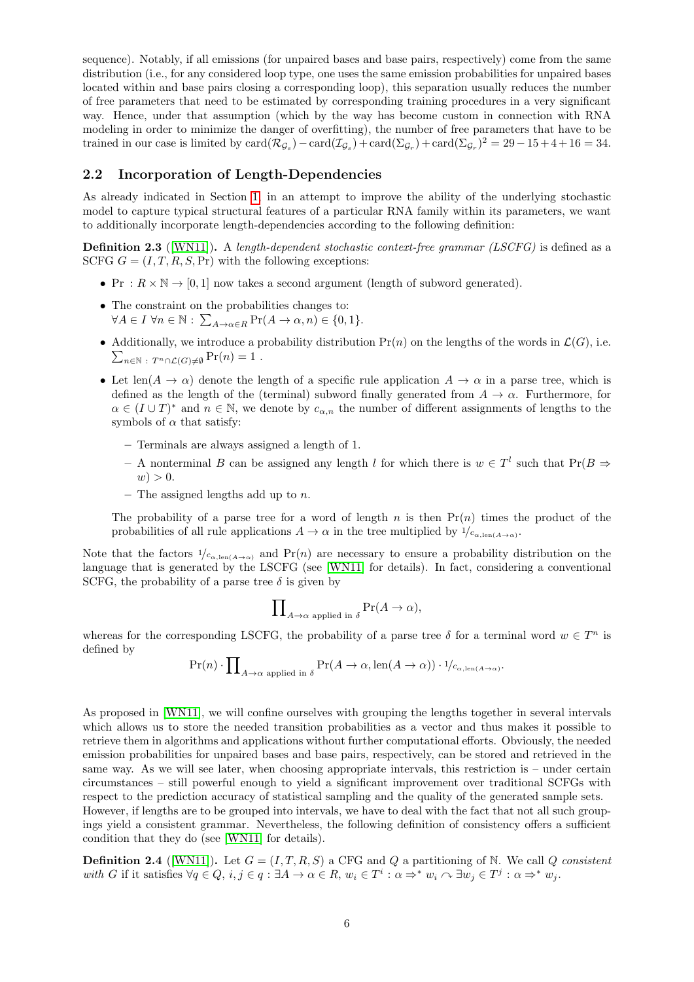sequence). Notably, if all emissions (for unpaired bases and base pairs, respectively) come from the same distribution (i.e., for any considered loop type, one uses the same emission probabilities for unpaired bases located within and base pairs closing a corresponding loop), this separation usually reduces the number of free parameters that need to be estimated by corresponding training procedures in a very significant way. Hence, under that assumption (which by the way has become custom in connection with RNA modeling in order to minimize the danger of overfitting), the number of free parameters that have to be trained in our case is limited by  $card(\mathcal{R}_{\mathcal{G}_s}) - card(\mathcal{I}_{\mathcal{G}_s}) + card(\Sigma_{\mathcal{G}_r}) + card(\Sigma_{\mathcal{G}_r})^2 = 29 - 15 + 4 + 16 = 34$ .

### 2.2 Incorporation of Length-Dependencies

As already indicated in Section [1,](#page-0-0) in an attempt to improve the ability of the underlying stochastic model to capture typical structural features of a particular RNA family within its parameters, we want to additionally incorporate length-dependencies according to the following definition:

**Definition 2.3** ([\[WN11\]](#page-20-8)). A length-dependent stochastic context-free grammar (LSCFG) is defined as a SCFG  $G = (I, T, R, S, Pr)$  with the following exceptions:

- Pr :  $R \times N \rightarrow [0, 1]$  now takes a second argument (length of subword generated).
- The constraint on the probabilities changes to:  $\forall A \in I \ \forall n \in \mathbb{N} : \sum_{A \to \alpha \in R} \Pr(A \to \alpha, n) \in \{0, 1\}.$
- Additionally, we introduce a probability distribution  $Pr(n)$  on the lengths of the words in  $\mathcal{L}(G)$ , i.e.  $\sum_{n\in\mathbb{N}}$ :  $T^n\cap\mathcal{L}(G)\neq\emptyset$   $\Pr(n)=1$ .
- Let len( $A \to \alpha$ ) denote the length of a specific rule application  $A \to \alpha$  in a parse tree, which is defined as the length of the (terminal) subword finally generated from  $A \to \alpha$ . Furthermore, for  $\alpha \in (I \cup T)^*$  and  $n \in \mathbb{N}$ , we denote by  $c_{\alpha,n}$  the number of different assignments of lengths to the symbols of  $\alpha$  that satisfy:
	- Terminals are always assigned a length of 1.
	- A nonterminal B can be assigned any length l for which there is  $w \in T<sup>l</sup>$  such that  $Pr(B \Rightarrow$  $w$ ) > 0.
	- The assigned lengths add up to  $n$ .

The probability of a parse tree for a word of length n is then  $Pr(n)$  times the product of the probabilities of all rule applications  $A \to \alpha$  in the tree multiplied by  $\frac{1}{c_{\alpha,\text{len}(A\to\alpha)}}$ .

Note that the factors  $1/c_{\alpha,len(A\to\alpha)}$  and Pr(n) are necessary to ensure a probability distribution on the language that is generated by the LSCFG (see [\[WN11\]](#page-20-8) for details). In fact, considering a conventional SCFG, the probability of a parse tree  $\delta$  is given by

$$
\prod\nolimits_{A\to\alpha\text{ applied in }\delta}\Pr(A\to\alpha),
$$

whereas for the corresponding LSCFG, the probability of a parse tree  $\delta$  for a terminal word  $w \in T^n$  is defined by

$$
\Pr(n) \cdot \prod_{A \to \alpha \text{ applied in } \delta} \Pr(A \to \alpha, \text{len}(A \to \alpha)) \cdot 1_{c_{\alpha, \text{len}(A \to \alpha)}}.
$$

As proposed in [\[WN11\]](#page-20-8), we will confine ourselves with grouping the lengths together in several intervals which allows us to store the needed transition probabilities as a vector and thus makes it possible to retrieve them in algorithms and applications without further computational efforts. Obviously, the needed emission probabilities for unpaired bases and base pairs, respectively, can be stored and retrieved in the same way. As we will see later, when choosing appropriate intervals, this restriction is – under certain circumstances – still powerful enough to yield a significant improvement over traditional SCFGs with respect to the prediction accuracy of statistical sampling and the quality of the generated sample sets. However, if lengths are to be grouped into intervals, we have to deal with the fact that not all such groupings yield a consistent grammar. Nevertheless, the following definition of consistency offers a sufficient condition that they do (see [\[WN11\]](#page-20-8) for details).

<span id="page-5-0"></span>**Definition 2.4** ([\[WN11\]](#page-20-8)). Let  $G = (I, T, R, S)$  a CFG and Q a partitioning of N. We call Q consistent with G if it satisfies  $\forall q \in Q, i, j \in q : \exists A \rightarrow \alpha \in R, w_i \in T^i : \alpha \Rightarrow^* w_i \cap \exists w_j \in T^j : \alpha \Rightarrow^* w_j$ .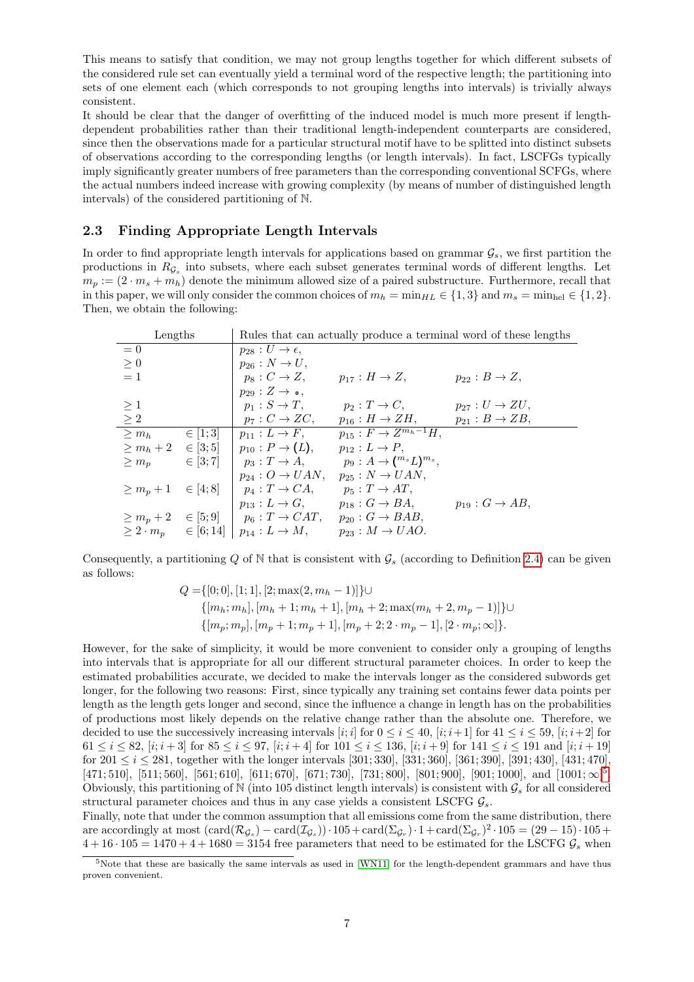This means to satisfy that condition, we may not group lengths together for which different subsets of the considered rule set can eventually yield a terminal word of the respective length; the partitioning into sets of one element each (which corresponds to not grouping lengths into intervals) is trivially always consistent.

It should be clear that the danger of overfitting of the induced model is much more present if lengthdependent probabilities rather than their traditional length-independent counterparts are considered, since then the observations made for a particular structural motif have to be splitted into distinct subsets of observations according to the corresponding lengths (or length intervals). In fact, LSCFGs typically imply significantly greater numbers of free parameters than the corresponding conventional SCFGs, where the actual numbers indeed increase with growing complexity (by means of number of distinguished length intervals) of the considered partitioning of N.

### 2.3 Finding Appropriate Length Intervals

In order to find appropriate length intervals for applications based on grammar  $\mathcal{G}_s$ , we first partition the productions in  $R_{\mathcal{G}_s}$  into subsets, where each subset generates terminal words of different lengths. Let  $m_p := (2 \cdot m_s + m_h)$  denote the minimum allowed size of a paired substructure. Furthermore, recall that in this paper, we will only consider the common choices of  $m_h = \min_{HL} \in \{1, 3\}$  and  $m_s = \min_{hel} \in \{1, 2\}.$ Then, we obtain the following:

| Lengths                              |              |                                   |                                                | Rules that can actually produce a terminal word of these lengths |
|--------------------------------------|--------------|-----------------------------------|------------------------------------------------|------------------------------------------------------------------|
| $= 0$                                |              | $p_{28}: U \rightarrow \epsilon,$ |                                                |                                                                  |
| > 0                                  |              | $p_{26}: N \to U$ ,               |                                                |                                                                  |
| $=1$                                 |              | $p_8: C \rightarrow Z$ ,          | $p_{17}: H \rightarrow Z$ ,                    | $p_{22}: B \rightarrow Z$ ,                                      |
|                                      |              | $p_{29}: Z \rightarrow \bullet$ , |                                                |                                                                  |
| $\geq 1$                             |              | $p_1: S \to T$ ,                  | $p_2: T \to C$                                 | $p_{27}: U \rightarrow ZU$ ,                                     |
| $\geq 2$                             |              | $p_7: C \rightarrow ZC$ ,         | $p_{16}: H \rightarrow ZH$ ,                   | $p_{21}: B \rightarrow ZB$ ,                                     |
| $> m_h$                              | $\in [1; 3]$ | $p_{11}: L \rightarrow F$ ,       | $p_{15}: F \rightarrow \overline{Z^{m_h-1}H},$ |                                                                  |
| $\geq m_h + 2 \in [3; 5]$            |              | $p_{10}: P \to (L),$              | $p_{12}: L \to P$ ,                            |                                                                  |
| $\geq m_p$                           | $\in$ [3; 7] | $p_3: T \to A$ ,                  | $p_9: A \rightarrow ({}^{m_s}L)^{m_s},$        |                                                                  |
|                                      |              | $p_{24}: O \rightarrow UAN$ ,     | $p_{25}: N \rightarrow UAN$ ,                  |                                                                  |
| $\geq m_p + 1 \in [4; 8]$            |              | $p_4: T \rightarrow CA$ ,         | $p_5: T \rightarrow AT$ ,                      |                                                                  |
|                                      |              | $p_{13}: L \to G$ ,               | $p_{18}: G \rightarrow BA$ ,                   | $p_{19}: G \rightarrow AB$ ,                                     |
| $\geq m_p+2$                         | $\in [5;9]$  | $p_6: T \rightarrow CAT$          | $p_{20}: G \rightarrow BAB$ ,                  |                                                                  |
| $\geq 2 \cdot m_p \quad \in [6; 14]$ |              | $p_{14}: L \rightarrow M$ ,       | $p_{23}: M \rightarrow UAO.$                   |                                                                  |

Consequently, a partitioning Q of N that is consistent with  $\mathcal{G}_s$  (according to Definition [2.4\)](#page-5-0) can be given as follows:

$$
Q = \{ [0; 0], [1; 1], [2; \max(2, m_h - 1)] \} \cup
$$
  
\n
$$
\{ [m_h; m_h], [m_h + 1; m_h + 1], [m_h + 2; \max(m_h + 2, m_p - 1)] \} \cup
$$
  
\n
$$
\{ [m_p; m_p], [m_p + 1; m_p + 1], [m_p + 2; 2 \cdot m_p - 1], [2 \cdot m_p; \infty] \}.
$$

However, for the sake of simplicity, it would be more convenient to consider only a grouping of lengths into intervals that is appropriate for all our different structural parameter choices. In order to keep the estimated probabilities accurate, we decided to make the intervals longer as the considered subwords get longer, for the following two reasons: First, since typically any training set contains fewer data points per length as the length gets longer and second, since the influence a change in length has on the probabilities of productions most likely depends on the relative change rather than the absolute one. Therefore, we decided to use the successively increasing intervals [i; i] for  $0 \le i \le 40$ , [i;  $i+1$ ] for  $41 \le i \le 59$ , [i;  $i+2$ ] for 61  $\le i \le 82$ ,  $[i; i+3]$  for  $85 \le i \le 97$ ,  $[i; i+4]$  for  $101 \le i \le 136$ ,  $[i; i+9]$  for  $141 \le i \le 191$  and  $[i; i+19]$ for  $201 \le i \le 281$ , together with the longer intervals [301; 330], [331; 360], [361; 390], [391; 430], [431; 470],  $[471; 510]$  $[471; 510]$  $[471; 510]$ ,  $[511; 560]$ ,  $[561; 610]$ ,  $[611; 670]$ ,  $[671; 730]$ ,  $[731; 800]$ ,  $[801; 900]$ ,  $[901; 1000]$ , and  $[1001; \infty]$ <sup>5</sup>. Obviously, this partitioning of N (into 105 distinct length intervals) is consistent with  $\mathcal{G}_s$  for all considered structural parameter choices and thus in any case yields a consistent LSCFG  $\mathcal{G}_s$ .

Finally, note that under the common assumption that all emissions come from the same distribution, there are accordingly at most  $(\text{card}(\mathcal{R}_{\mathcal{G}_s}) - \text{card}(\mathcal{I}_{\mathcal{G}_s})) \cdot 105 + \text{card}(\Sigma_{\mathcal{G}_r}) \cdot 1 + \text{card}(\Sigma_{\mathcal{G}_r})^2 \cdot 105 = (29 - 15) \cdot 105 +$  $4+16\cdot 105=1470+4+1680=3154$  free parameters that need to be estimated for the LSCFG  $\mathcal{G}_s$  when

<span id="page-6-0"></span> $5$ Note that these are basically the same intervals as used in [\[WN11\]](#page-20-8) for the length-dependent grammars and have thus proven convenient.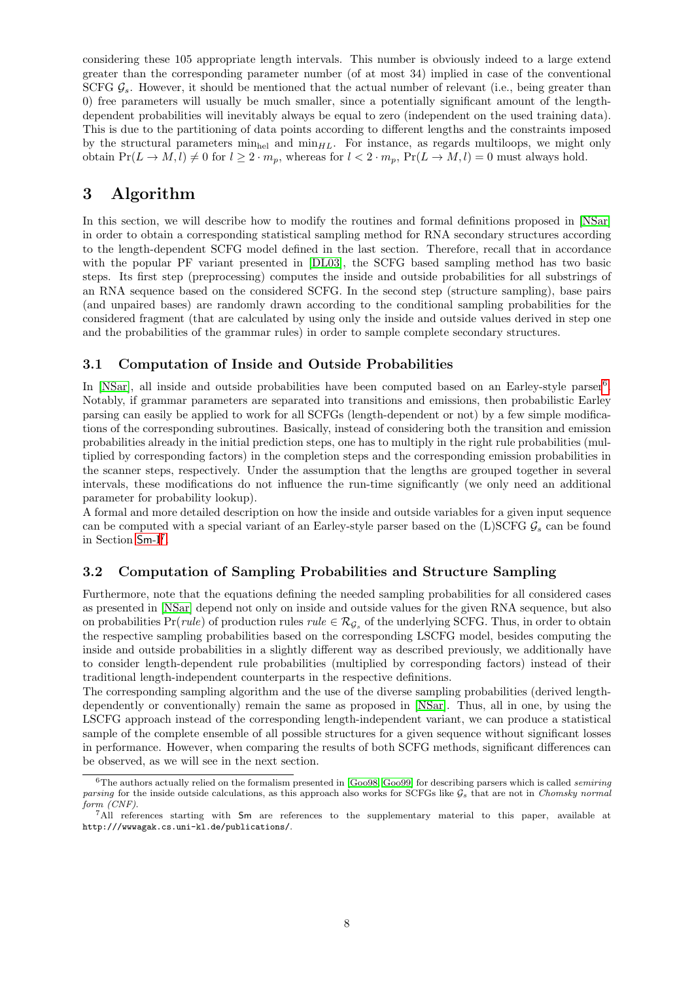considering these 105 appropriate length intervals. This number is obviously indeed to a large extend greater than the corresponding parameter number (of at most 34) implied in case of the conventional SCFG  $\mathcal{G}_s$ . However, it should be mentioned that the actual number of relevant (i.e., being greater than 0) free parameters will usually be much smaller, since a potentially significant amount of the lengthdependent probabilities will inevitably always be equal to zero (independent on the used training data). This is due to the partitioning of data points according to different lengths and the constraints imposed by the structural parameters  $\min_{h \in \mathcal{H}} \text{ and } \min_{H,L}$ . For instance, as regards multiloops, we might only obtain  $Pr(L \to M, l) \neq 0$  for  $l \geq 2 \cdot m_p$ , whereas for  $l < 2 \cdot m_p$ ,  $Pr(L \to M, l) = 0$  must always hold.

## <span id="page-7-0"></span>3 Algorithm

In this section, we will describe how to modify the routines and formal definitions proposed in [\[NSar\]](#page-20-0) in order to obtain a corresponding statistical sampling method for RNA secondary structures according to the length-dependent SCFG model defined in the last section. Therefore, recall that in accordance with the popular PF variant presented in [\[DL03\]](#page-19-3), the SCFG based sampling method has two basic steps. Its first step (preprocessing) computes the inside and outside probabilities for all substrings of an RNA sequence based on the considered SCFG. In the second step (structure sampling), base pairs (and unpaired bases) are randomly drawn according to the conditional sampling probabilities for the considered fragment (that are calculated by using only the inside and outside values derived in step one and the probabilities of the grammar rules) in order to sample complete secondary structures.

### 3.1 Computation of Inside and Outside Probabilities

In [\[NSar\]](#page-20-0), all inside and outside probabilities have been computed based on an Earley-style parser<sup>[6](#page-7-1)</sup>. Notably, if grammar parameters are separated into transitions and emissions, then probabilistic Earley parsing can easily be applied to work for all SCFGs (length-dependent or not) by a few simple modifications of the corresponding subroutines. Basically, instead of considering both the transition and emission probabilities already in the initial prediction steps, one has to multiply in the right rule probabilities (multiplied by corresponding factors) in the completion steps and the corresponding emission probabilities in the scanner steps, respectively. Under the assumption that the lengths are grouped together in several intervals, these modifications do not influence the run-time significantly (we only need an additional parameter for probability lookup).

A formal and more detailed description on how the inside and outside variables for a given input sequence can be computed with a special variant of an Earley-style parser based on the (L)SCFG  $\mathcal{G}_s$  can be found in Section [Sm](#page-0-0)-I<sup>[7](#page-7-2)</sup>.

### 3.2 Computation of Sampling Probabilities and Structure Sampling

Furthermore, note that the equations defining the needed sampling probabilities for all considered cases as presented in [\[NSar\]](#page-20-0) depend not only on inside and outside values for the given RNA sequence, but also on probabilities  $Pr(\text{rule})$  of production rules  $\text{rule} \in \mathcal{R}_{\mathcal{G}_s}$  of the underlying SCFG. Thus, in order to obtain the respective sampling probabilities based on the corresponding LSCFG model, besides computing the inside and outside probabilities in a slightly different way as described previously, we additionally have to consider length-dependent rule probabilities (multiplied by corresponding factors) instead of their traditional length-independent counterparts in the respective definitions.

The corresponding sampling algorithm and the use of the diverse sampling probabilities (derived lengthdependently or conventionally) remain the same as proposed in [\[NSar\]](#page-20-0). Thus, all in one, by using the LSCFG approach instead of the corresponding length-independent variant, we can produce a statistical sample of the complete ensemble of all possible structures for a given sequence without significant losses in performance. However, when comparing the results of both SCFG methods, significant differences can be observed, as we will see in the next section.

<span id="page-7-1"></span> $6$ The authors actually relied on the formalism presented in [\[Goo98,](#page-19-16) [Goo99\]](#page-19-17) for describing parsers which is called semiring parsing for the inside outside calculations, as this approach also works for SCFGs like  $G_s$  that are not in Chomsky normal form (CNF).

<span id="page-7-2"></span><sup>7</sup>All references starting with Sm are references to the supplementary material to this paper, available at http:///wwwagak.cs.uni-kl.de/publications/.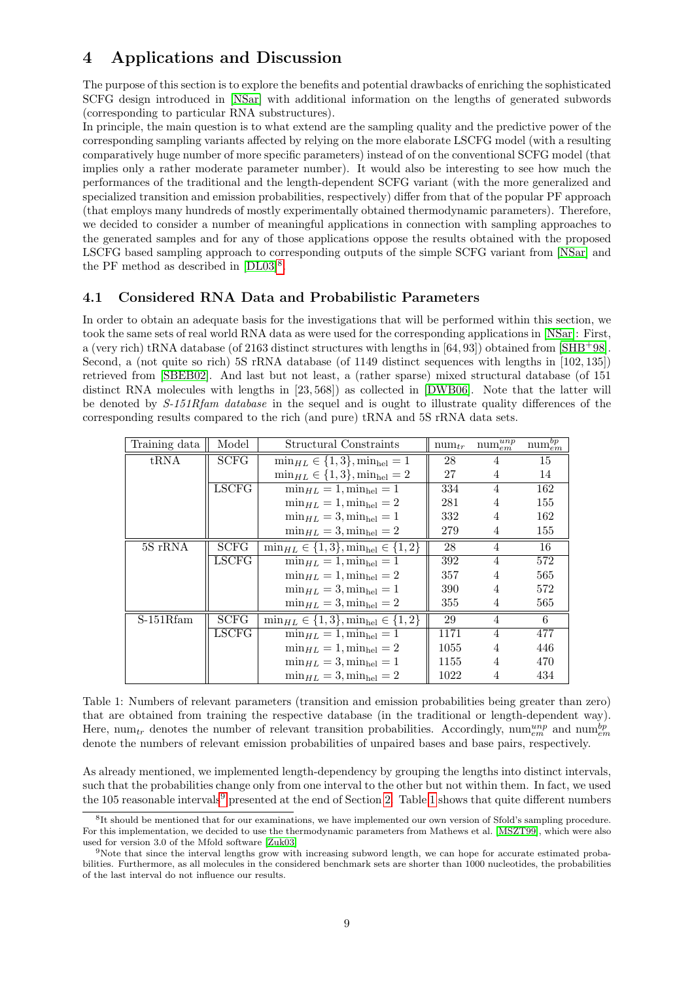# <span id="page-8-0"></span>4 Applications and Discussion

The purpose of this section is to explore the benefits and potential drawbacks of enriching the sophisticated SCFG design introduced in [\[NSar\]](#page-20-0) with additional information on the lengths of generated subwords (corresponding to particular RNA substructures).

In principle, the main question is to what extend are the sampling quality and the predictive power of the corresponding sampling variants affected by relying on the more elaborate LSCFG model (with a resulting comparatively huge number of more specific parameters) instead of on the conventional SCFG model (that implies only a rather moderate parameter number). It would also be interesting to see how much the performances of the traditional and the length-dependent SCFG variant (with the more generalized and specialized transition and emission probabilities, respectively) differ from that of the popular PF approach (that employs many hundreds of mostly experimentally obtained thermodynamic parameters). Therefore, we decided to consider a number of meaningful applications in connection with sampling approaches to the generated samples and for any of those applications oppose the results obtained with the proposed LSCFG based sampling approach to corresponding outputs of the simple SCFG variant from [\[NSar\]](#page-20-0) and the PF method as described in  $[DL03]^{8}$  $[DL03]^{8}$  $[DL03]^{8}$  $[DL03]^{8}$ .

## 4.1 Considered RNA Data and Probabilistic Parameters

In order to obtain an adequate basis for the investigations that will be performed within this section, we took the same sets of real world RNA data as were used for the corresponding applications in [\[NSar\]](#page-20-0): First, a (very rich) tRNA database (of 2163 distinct structures with lengths in [64, 93]) obtained from [\[SHB](#page-20-10)+98]. Second, a (not quite so rich) 5S rRNA database (of 1149 distinct sequences with lengths in [102, 135]) retrieved from [\[SBEB02\]](#page-20-11). And last but not least, a (rather sparse) mixed structural database (of 151 distinct RNA molecules with lengths in [23, 568]) as collected in [\[DWB06\]](#page-19-9). Note that the latter will be denoted by  $S-151Rf$ am database in the sequel and is ought to illustrate quality differences of the corresponding results compared to the rich (and pure) tRNA and 5S rRNA data sets.

<span id="page-8-3"></span>

| Training data          | Model        | Structural Constraints                                     | $num_{tr}$ | $\text{num}_{em}^{unp}$ | $\text{num}_{em}^{bp}$ |
|------------------------|--------------|------------------------------------------------------------|------------|-------------------------|------------------------|
| tRNA                   | <b>SCFG</b>  | $\min_{HL} \in \{1, 3\}, \min_{hel} = 1$                   | 28         |                         | 15                     |
|                        |              | $\min_{HL} \in \{1, 3\}, \min_{hel} = 2$                   | 27         | 4                       | 14                     |
|                        | LSCFG        | $\min_{HL} = 1$ , $\min_{hel} = 1$                         | 334        | 4                       | 162                    |
|                        |              | $\min_{HL} = 1$ , $\min_{hel} = 2$                         | 281        | 4                       | 155                    |
|                        |              | $\min_{HL} = 3, \min_{hel} = 1$                            | 332        | 4                       | 162                    |
|                        |              | $\min_{HL} = 3$ , $\min_{hel} = 2$                         | 279        | 4                       | 155                    |
| 5S rRNA                | <b>SCFG</b>  | $\min_{HL} \in \{1,3\}, \min_{hel} \in \{1,2\}$            | 28         | 4                       | 16                     |
|                        | <b>LSCFG</b> | $\min_{HL} = 1$ , $\min_{hel} = 1$                         | 392        | $\overline{4}$          | 572                    |
|                        |              | $\min_{HL} = 1$ , $\min_{hel} = 2$                         | 357        | 4                       | 565                    |
|                        |              | $\min_{HL} = 3$ , $\min_{hel} = 1$                         | 390        | 4                       | 572                    |
|                        |              | $\min_{HL} = 3, \min_{hel} = 2$                            | 355        | 4                       | 565                    |
| $\overline{S-1}51Rfam$ | <b>SCFG</b>  | $\overline{\min_{HL}} \in \{1,3\}, \min_{hel} \in \{1,2\}$ | 29         | 4                       | 6                      |
|                        | <b>LSCFG</b> | $\min_{HL} = 1$ , $\min_{hel} = 1$                         | 1171       | 4                       | 477                    |
|                        |              | $\min_{HL} = 1$ , $\min_{hel} = 2$                         | 1055       | 4                       | 446                    |
|                        |              | $\min_{HL} = 3$ , $\min_{hel} = 1$                         | 1155       | 4                       | 470                    |
|                        |              | $\min_{HL} = 3$ , $\min_{hel} = 2$                         | 1022       | 4                       | 434                    |

Table 1: Numbers of relevant parameters (transition and emission probabilities being greater than zero) that are obtained from training the respective database (in the traditional or length-dependent way). Here, num<sub>tr</sub> denotes the number of relevant transition probabilities. Accordingly, num<sub>em</sub> and num<sub>em</sub> denote the numbers of relevant emission probabilities of unpaired bases and base pairs, respectively.

As already mentioned, we implemented length-dependency by grouping the lengths into distinct intervals, such that the probabilities change only from one interval to the other but not within them. In fact, we used the 105 reasonable intervals<sup>[9](#page-8-2)</sup> presented at the end of Section [2.](#page-3-0) Table [1](#page-8-3) shows that quite different numbers

<span id="page-8-1"></span><sup>&</sup>lt;sup>8</sup>It should be mentioned that for our examinations, we have implemented our own version of Sfold's sampling procedure. For this implementation, we decided to use the thermodynamic parameters from Mathews et al. [\[MSZT99\]](#page-19-8), which were also used for version 3.0 of the Mfold software [\[Zuk03\]](#page-20-4)

<span id="page-8-2"></span><sup>9</sup>Note that since the interval lengths grow with increasing subword length, we can hope for accurate estimated probabilities. Furthermore, as all molecules in the considered benchmark sets are shorter than 1000 nucleotides, the probabilities of the last interval do not influence our results.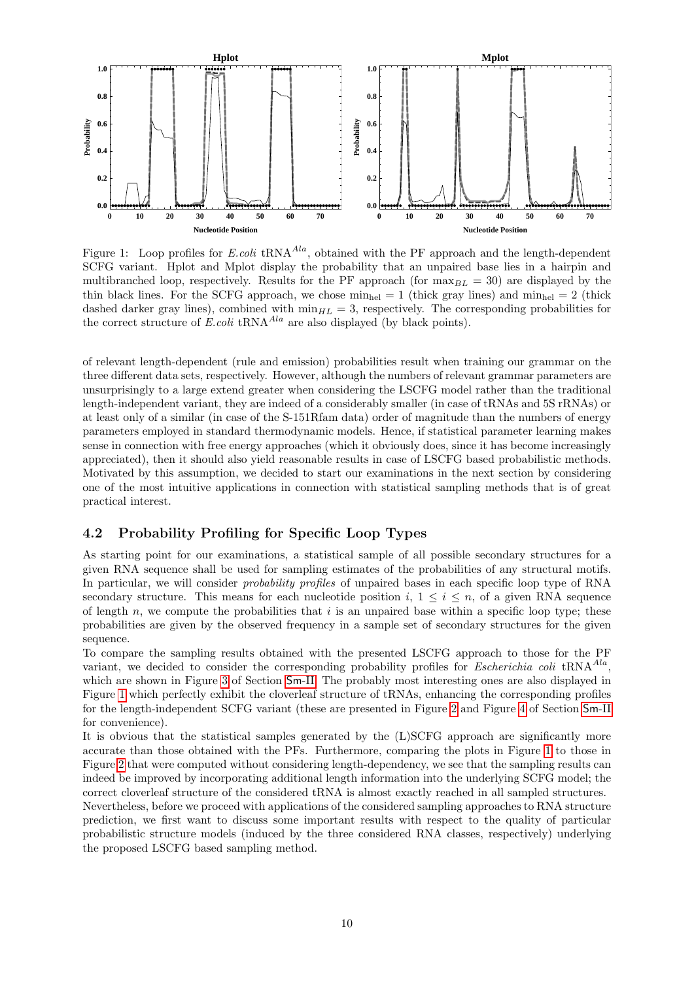<span id="page-9-0"></span>

Figure 1: Loop profiles for E.coli tRNA<sup> $Ala$ </sup>, obtained with the PF approach and the length-dependent SCFG variant. Hplot and Mplot display the probability that an unpaired base lies in a hairpin and multibranched loop, respectively. Results for the PF approach (for  $\max_{BL} = 30$ ) are displayed by the thin black lines. For the SCFG approach, we chose  $\min_{hel} = 1$  (thick gray lines) and  $\min_{hel} = 2$  (thick dashed darker gray lines), combined with  $\min_{HL} = 3$ , respectively. The corresponding probabilities for the correct structure of  $E.\text{coli tRNA}^{Ala}$  are also displayed (by black points).

of relevant length-dependent (rule and emission) probabilities result when training our grammar on the three different data sets, respectively. However, although the numbers of relevant grammar parameters are unsurprisingly to a large extend greater when considering the LSCFG model rather than the traditional length-independent variant, they are indeed of a considerably smaller (in case of tRNAs and 5S rRNAs) or at least only of a similar (in case of the S-151Rfam data) order of magnitude than the numbers of energy parameters employed in standard thermodynamic models. Hence, if statistical parameter learning makes sense in connection with free energy approaches (which it obviously does, since it has become increasingly appreciated), then it should also yield reasonable results in case of LSCFG based probabilistic methods. Motivated by this assumption, we decided to start our examinations in the next section by considering one of the most intuitive applications in connection with statistical sampling methods that is of great practical interest.

### 4.2 Probability Profiling for Specific Loop Types

As starting point for our examinations, a statistical sample of all possible secondary structures for a given RNA sequence shall be used for sampling estimates of the probabilities of any structural motifs. In particular, we will consider probability profiles of unpaired bases in each specific loop type of RNA secondary structure. This means for each nucleotide position  $i, 1 \leq i \leq n$ , of a given RNA sequence of length  $n$ , we compute the probabilities that i is an unpaired base within a specific loop type; these probabilities are given by the observed frequency in a sample set of secondary structures for the given sequence.

To compare the sampling results obtained with the presented LSCFG approach to those for the PF variant, we decided to consider the corresponding probability profiles for *Escherichia coli* tRNA<sup> $A la$ </sup>, which are shown in Figure [3](#page-33-0) of Section [Sm](#page-3-0)-II. The probably most interesting ones are also displayed in Figure [1](#page-9-0) which perfectly exhibit the cloverleaf structure of tRNAs, enhancing the corresponding profiles for the length-independent SCFG variant (these are presented in Figure [2](#page-10-0) and Figure [4](#page-35-0) of Section [Sm](#page-3-0)-II for convenience).

It is obvious that the statistical samples generated by the (L)SCFG approach are significantly more accurate than those obtained with the PFs. Furthermore, comparing the plots in Figure [1](#page-9-0) to those in Figure [2](#page-10-0) that were computed without considering length-dependency, we see that the sampling results can indeed be improved by incorporating additional length information into the underlying SCFG model; the correct cloverleaf structure of the considered tRNA is almost exactly reached in all sampled structures.

Nevertheless, before we proceed with applications of the considered sampling approaches to RNA structure prediction, we first want to discuss some important results with respect to the quality of particular probabilistic structure models (induced by the three considered RNA classes, respectively) underlying the proposed LSCFG based sampling method.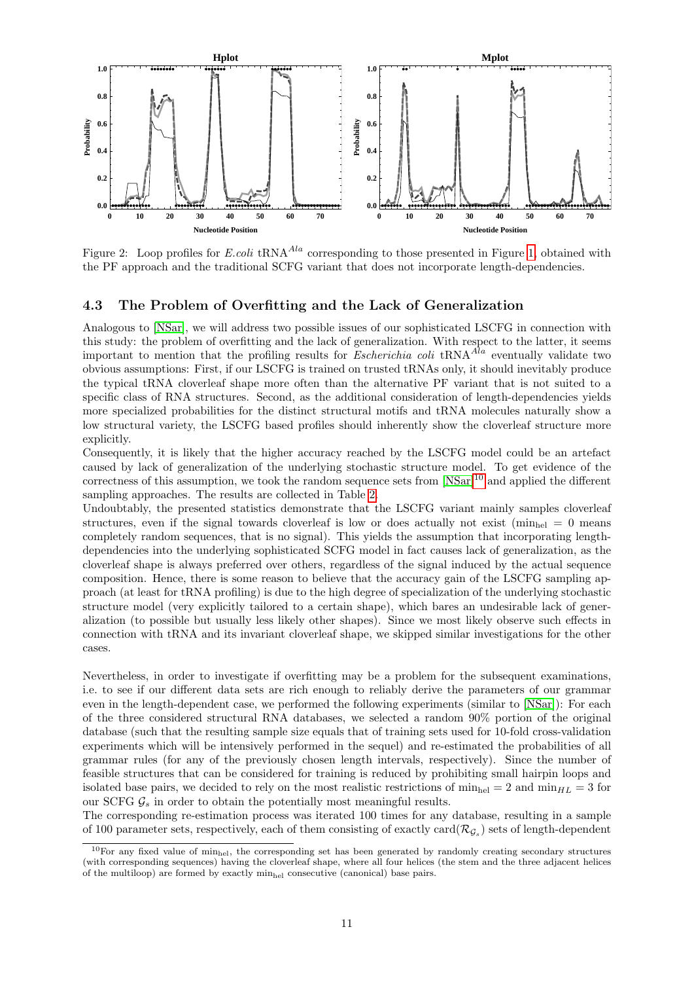<span id="page-10-0"></span>

Figure 2: Loop profiles for E.coli tRNA<sup> $A la$ </sup> corresponding to those presented in Figure [1,](#page-9-0) obtained with the PF approach and the traditional SCFG variant that does not incorporate length-dependencies.

### <span id="page-10-2"></span>4.3 The Problem of Overfitting and the Lack of Generalization

Analogous to [\[NSar\]](#page-20-0), we will address two possible issues of our sophisticated LSCFG in connection with this study: the problem of overfitting and the lack of generalization. With respect to the latter, it seems important to mention that the profiling results for Escherichia coli tRNA $^{A}$ a eventually validate two obvious assumptions: First, if our LSCFG is trained on trusted tRNAs only, it should inevitably produce the typical tRNA cloverleaf shape more often than the alternative PF variant that is not suited to a specific class of RNA structures. Second, as the additional consideration of length-dependencies yields more specialized probabilities for the distinct structural motifs and tRNA molecules naturally show a low structural variety, the LSCFG based profiles should inherently show the cloverleaf structure more explicitly.

Consequently, it is likely that the higher accuracy reached by the LSCFG model could be an artefact caused by lack of generalization of the underlying stochastic structure model. To get evidence of the correctness of this assumption, we took the random sequence sets from [\[NSar\]](#page-20-0)[10](#page-10-1) and applied the different sampling approaches. The results are collected in Table [2.](#page-11-0)

Undoubtably, the presented statistics demonstrate that the LSCFG variant mainly samples cloverleaf structures, even if the signal towards cloverleaf is low or does actually not exist ( $\min_{h\in I} = 0$  means completely random sequences, that is no signal). This yields the assumption that incorporating lengthdependencies into the underlying sophisticated SCFG model in fact causes lack of generalization, as the cloverleaf shape is always preferred over others, regardless of the signal induced by the actual sequence composition. Hence, there is some reason to believe that the accuracy gain of the LSCFG sampling approach (at least for tRNA profiling) is due to the high degree of specialization of the underlying stochastic structure model (very explicitly tailored to a certain shape), which bares an undesirable lack of generalization (to possible but usually less likely other shapes). Since we most likely observe such effects in connection with tRNA and its invariant cloverleaf shape, we skipped similar investigations for the other cases.

Nevertheless, in order to investigate if overfitting may be a problem for the subsequent examinations, i.e. to see if our different data sets are rich enough to reliably derive the parameters of our grammar even in the length-dependent case, we performed the following experiments (similar to [\[NSar\]](#page-20-0)): For each of the three considered structural RNA databases, we selected a random 90% portion of the original database (such that the resulting sample size equals that of training sets used for 10-fold cross-validation experiments which will be intensively performed in the sequel) and re-estimated the probabilities of all grammar rules (for any of the previously chosen length intervals, respectively). Since the number of feasible structures that can be considered for training is reduced by prohibiting small hairpin loops and isolated base pairs, we decided to rely on the most realistic restrictions of  $\min_{h \in \mathbb{R}} = 2$  and  $\min_{HL} = 3$  for our SCFG  $\mathcal{G}_s$  in order to obtain the potentially most meaningful results.

The corresponding re-estimation process was iterated 100 times for any database, resulting in a sample of 100 parameter sets, respectively, each of them consisting of exactly card $(\mathcal{R}_{\mathcal{G}_s})$  sets of length-dependent

<span id="page-10-1"></span><sup>&</sup>lt;sup>10</sup>For any fixed value of min<sub>hel</sub>, the corresponding set has been generated by randomly creating secondary structures (with corresponding sequences) having the cloverleaf shape, where all four helices (the stem and the three adjacent helices of the multiloop) are formed by exactly minhel consecutive (canonical) base pairs.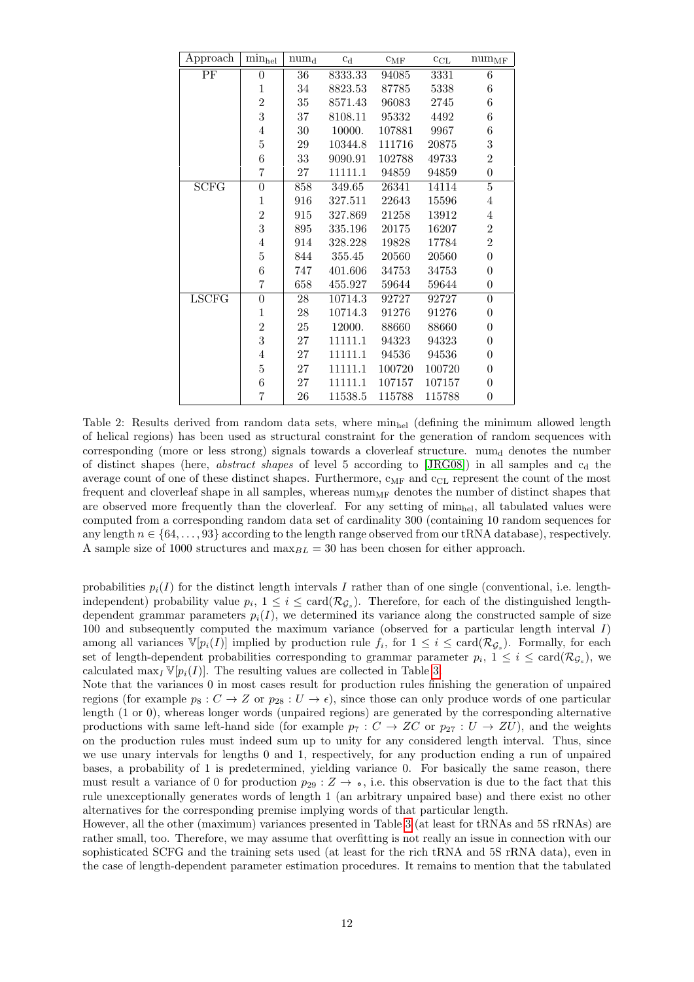<span id="page-11-0"></span>

| Approach     | $min_{hel}$    | num <sub>d</sub> | $c_d$   | $c_{\rm MF}$ | $\ensuremath{\mathbf{c}}_\ensuremath{\mathrm{CL}}$ | $num_{MF}$       |
|--------------|----------------|------------------|---------|--------------|----------------------------------------------------|------------------|
| PF           | $\overline{0}$ | 36               | 8333.33 | 94085        | 3331                                               | 6                |
|              | $\mathbf{1}$   | 34               | 8823.53 | 87785        | 5338                                               | 6                |
|              | $\overline{2}$ | 35               | 8571.43 | 96083        | 2745                                               | 6                |
|              | 3              | 37               | 8108.11 | 95332        | 4492                                               | 6                |
|              | $\overline{4}$ | 30               | 10000.  | 107881       | 9967                                               | 6                |
|              | $\overline{5}$ | 29               | 10344.8 | 111716       | 20875                                              | 3                |
|              | 6              | 33               | 9090.91 | 102788       | 49733                                              | $\overline{2}$   |
|              | $\overline{7}$ | 27               | 11111.1 | 94859        | 94859                                              | $\boldsymbol{0}$ |
| SCFG         | $\overline{0}$ | 858              | 349.65  | 26341        | 14114                                              | $\overline{5}$   |
|              | $\mathbf{1}$   | 916              | 327.511 | 22643        | 15596                                              | 4                |
|              | $\overline{2}$ | 915              | 327.869 | 21258        | 13912                                              | 4                |
|              | 3              | 895              | 335.196 | 20175        | 16207                                              | $\overline{2}$   |
|              | $\overline{4}$ | 914              | 328.228 | 19828        | 17784                                              | $\overline{2}$   |
|              | $\overline{5}$ | 844              | 355.45  | 20560        | 20560                                              | $\boldsymbol{0}$ |
|              | 6              | 747              | 401.606 | 34753        | 34753                                              | $\overline{0}$   |
|              | 7              | 658              | 455.927 | 59644        | 59644                                              | $\boldsymbol{0}$ |
| <b>LSCFG</b> | $\overline{0}$ | 28               | 10714.3 | 92727        | 92727                                              | $\boldsymbol{0}$ |
|              | $\mathbf{1}$   | 28               | 10714.3 | 91276        | 91276                                              | $\boldsymbol{0}$ |
|              | $\overline{2}$ | 25               | 12000.  | 88660        | 88660                                              | $\overline{0}$   |
|              | 3              | 27               | 11111.1 | 94323        | 94323                                              | $\overline{0}$   |
|              | $\overline{4}$ | 27               | 11111.1 | 94536        | 94536                                              | $\overline{0}$   |
|              | $\overline{5}$ | 27               | 11111.1 | 100720       | 100720                                             | $\overline{0}$   |
|              | 6              | 27               | 11111.1 | 107157       | 107157                                             | $\overline{0}$   |
|              | $\overline{7}$ | 26               | 11538.5 | 115788       | 115788                                             | $\overline{0}$   |

Table 2: Results derived from random data sets, where  $\min_{\text{hel}}$  (defining the minimum allowed length of helical regions) has been used as structural constraint for the generation of random sequences with corresponding (more or less strong) signals towards a cloverleaf structure.  $num<sub>d</sub>$  denotes the number of distinct shapes (here, abstract shapes of level 5 according to  $[JRG08]$ ) in all samples and  $c<sub>d</sub>$  the average count of one of these distinct shapes. Furthermore,  $c_{MF}$  and  $c_{CL}$  represent the count of the most frequent and cloverleaf shape in all samples, whereas  $\text{num}_{MF}$  denotes the number of distinct shapes that are observed more frequently than the cloverleaf. For any setting of  $\min_{h \in I}$ , all tabulated values were computed from a corresponding random data set of cardinality 300 (containing 10 random sequences for any length  $n \in \{64, \ldots, 93\}$  according to the length range observed from our tRNA database), respectively. A sample size of 1000 structures and  $\max_{BL} = 30$  has been chosen for either approach.

probabilities  $p_i(I)$  for the distinct length intervals I rather than of one single (conventional, i.e. lengthindependent) probability value  $p_i$ ,  $1 \leq i \leq \text{card}(\mathcal{R}_{\mathcal{G}_s})$ . Therefore, for each of the distinguished lengthdependent grammar parameters  $p_i(I)$ , we determined its variance along the constructed sample of size 100 and subsequently computed the maximum variance (observed for a particular length interval I) among all variances  $\mathbb{V}[p_i(I)]$  implied by production rule  $f_i$ , for  $1 \leq i \leq \text{card}(\mathcal{R}_{\mathcal{G}_s})$ . Formally, for each set of length-dependent probabilities corresponding to grammar parameter  $p_i$ ,  $1 \leq i \leq \text{card}(\mathcal{R}_{\mathcal{G}_s})$ , we calculated  $\max_I \mathbb{V}[p_i(I)]$ . The resulting values are collected in Table [3.](#page-12-0)

Note that the variances 0 in most cases result for production rules finishing the generation of unpaired regions (for example  $p_8 : C \to Z$  or  $p_{28} : U \to \epsilon$ ), since those can only produce words of one particular length (1 or 0), whereas longer words (unpaired regions) are generated by the corresponding alternative productions with same left-hand side (for example  $p_7 : C \to ZC$  or  $p_{27} : U \to ZU$ ), and the weights on the production rules must indeed sum up to unity for any considered length interval. Thus, since we use unary intervals for lengths 0 and 1, respectively, for any production ending a run of unpaired bases, a probability of 1 is predetermined, yielding variance 0. For basically the same reason, there must result a variance of 0 for production  $p_{29} : Z \to \infty$ , i.e. this observation is due to the fact that this rule unexceptionally generates words of length 1 (an arbitrary unpaired base) and there exist no other alternatives for the corresponding premise implying words of that particular length.

However, all the other (maximum) variances presented in Table [3](#page-12-0) (at least for tRNAs and 5S rRNAs) are rather small, too. Therefore, we may assume that overfitting is not really an issue in connection with our sophisticated SCFG and the training sets used (at least for the rich tRNA and 5S rRNA data), even in the case of length-dependent parameter estimation procedures. It remains to mention that the tabulated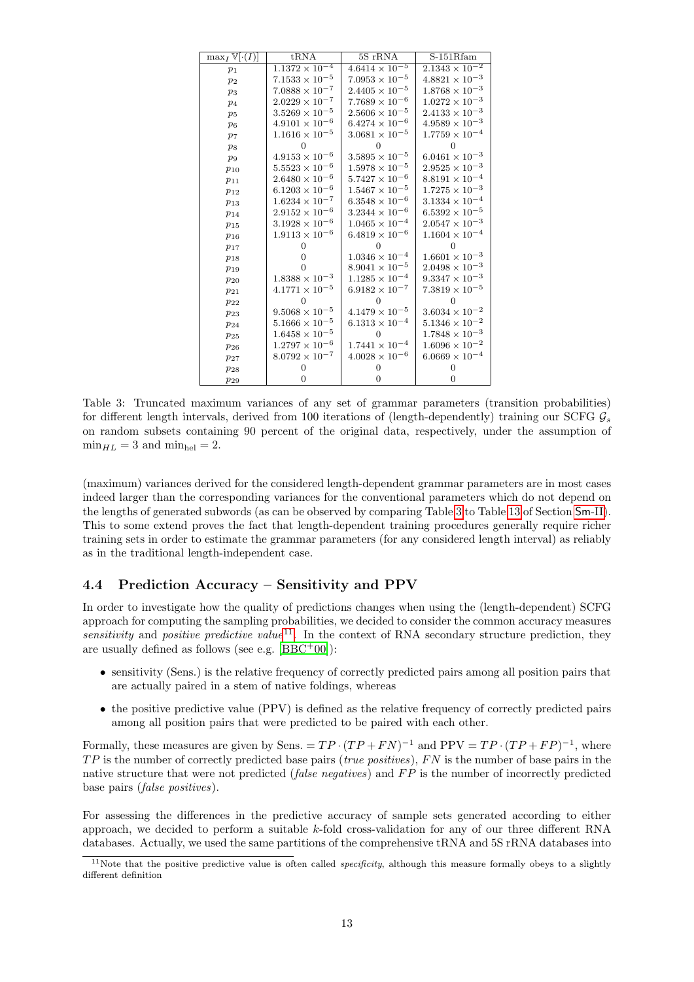<span id="page-12-0"></span>

| $\max_I \mathbb{V}[\cdot(I)]$ | $t\overline{RNA}$                  | $5S$ rRNA               | S-151Rfam                          |
|-------------------------------|------------------------------------|-------------------------|------------------------------------|
| $p_1$                         | $1.\overline{1372 \times 10^{-4}}$ | $4.6414 \times 10^{-5}$ | $2.\overline{1343 \times 10^{-2}}$ |
| $p_2$                         | $7.1533\times10^{-5}$              | $7.0953\times10^{-5}$   | $4.8821\times10^{-3}$              |
| $p_3$                         | $7.0888\times10^{-7}$              | $2.4405 \times 10^{-5}$ | $1.8768\times10^{-3}$              |
| $p_4$                         | $2.0229\times10^{-7}$              | $7.7689\times10^{-6}$   | $1.0272\times10^{-3}$              |
| $p_5$                         | $3.5269\times10^{-5}$              | $2.5606 \times 10^{-5}$ | $2.4133\times10^{-3}$              |
| $p_6$                         | $4.9101\times10^{-6}$              | $6.4274 \times 10^{-6}$ | $4.9589\times10^{-3}$              |
| p <sub>7</sub>                | $1.1616 \times 10^{-5}$            | $3.0681\times10^{-5}$   | $1.7759\times10^{-4}$              |
| $p_8$                         | 0                                  | 0                       |                                    |
| $p_9$                         | $4.9153\times10^{-6}$              | $3.5895 \times 10^{-5}$ | $6.0461\times10^{-3}$              |
| $p_{10}$                      | $5.5523 \times 10^{-6}$            | $1.5978\times10^{-5}$   | $2.9525\times10^{-3}$              |
| $p_{11}$                      | $2.6480\times10^{-6}$              | $5.7427\times10^{-6}$   | $8.8191 \times 10^{-4}$            |
| $p_{12}$                      | $6.1203\times10^{-6}$              | $1.5467 \times 10^{-5}$ | $1.7275\times10^{-3}$              |
| $p_{13}$                      | $1.6234\times10^{-7}$              | $6.3548\times10^{-6}$   | $3.1334\times10^{-4}$              |
| $p_{14}$                      | $2.9152\times10^{-6}$              | $3.2344 \times 10^{-6}$ | $6.5392\times10^{-5}$              |
| $p_{15}$                      | $3.1928\times10^{-6}$              | $1.0465\times10^{-4}$   | $2.0547\times10^{-3}$              |
| $p_{16}$                      | $1.9113\times10^{-6}$              | $6.4819 \times 10^{-6}$ | $1.1604 \times 10^{-4}$            |
| $p_{17}$                      | 0                                  | $\overline{0}$          | $\mathbf{0}$                       |
| $p_{18}$                      | 0                                  | $1.0346\times10^{-4}$   | $1.6601\times10^{-3}$              |
| $p_{19}$                      | $\Omega$                           | $8.9041 \times 10^{-5}$ | $2.0498\times10^{-3}$              |
| $p_{20}$                      | $1.8388\times10^{-3}$              | $1.1285\times10^{-4}$   | $9.3347\times10^{-3}$              |
| $p_{21}$                      | $4.1771\times10^{-5}$              | $6.9182\times10^{-7}$   | $7.3819\times10^{-5}$              |
| $p_{22}$                      | O                                  | $\Omega$                | $\Omega$                           |
| $p_{23}$                      | $9.5068\times10^{-5}$              | $4.1479 \times 10^{-5}$ | $3.6034\times10^{-2}$              |
| $p_{24}$                      | $5.1666 \times 10^{-5}$            | $6.1313 \times 10^{-4}$ | $5.1346\times10^{-2}$              |
| $p_{25}$                      | $1.6458\times10^{-5}$              | $\overline{0}$          | $1.7848 \times 10^{-3}$            |
| $p_{26}$                      | $1.2797\times10^{-6}$              | $1.7441\times10^{-4}$   | $1.6096\times10^{-2}$              |
| $p_{27}$                      | $8.0792\times10^{-7}$              | $4.0028\times10^{-6}$   | $6.0669\times10^{-4}$              |
| $p_{28}$                      | $\overline{0}$                     | 0                       | $\overline{0}$                     |
| $p_{29}$                      | $\overline{0}$                     | 0                       | $\overline{0}$                     |

Table 3: Truncated maximum variances of any set of grammar parameters (transition probabilities) for different length intervals, derived from 100 iterations of (length-dependently) training our SCFG  $\mathcal{G}_s$ on random subsets containing 90 percent of the original data, respectively, under the assumption of  $\min_{HL} = 3$  and  $\min_{hel} = 2$ .

(maximum) variances derived for the considered length-dependent grammar parameters are in most cases indeed larger than the corresponding variances for the conventional parameters which do not depend on the lengths of generated subwords (as can be observed by comparing Table [3](#page-12-0) to Table [13](#page-25-0) of Section [Sm](#page-3-0)-II). This to some extend proves the fact that length-dependent training procedures generally require richer training sets in order to estimate the grammar parameters (for any considered length interval) as reliably as in the traditional length-independent case.

### 4.4 Prediction Accuracy – Sensitivity and PPV

In order to investigate how the quality of predictions changes when using the (length-dependent) SCFG approach for computing the sampling probabilities, we decided to consider the common accuracy measures sensitivity and positive predictive value<sup>[11](#page-12-1)</sup>. In the context of RNA secondary structure prediction, they are usually defined as follows (see e.g.  $[BBC + 00]$  $[BBC + 00]$ ):

- sensitivity (Sens.) is the relative frequency of correctly predicted pairs among all position pairs that are actually paired in a stem of native foldings, whereas
- the positive predictive value (PPV) is defined as the relative frequency of correctly predicted pairs among all position pairs that were predicted to be paired with each other.

Formally, these measures are given by Sens. =  $TP \cdot (TP + FN)^{-1}$  and  $PPV = TP \cdot (TP + FP)^{-1}$ , where  $TP$  is the number of correctly predicted base pairs (*true positives*),  $FN$  is the number of base pairs in the native structure that were not predicted (*false negatives*) and  $FP$  is the number of incorrectly predicted base pairs (false positives).

For assessing the differences in the predictive accuracy of sample sets generated according to either approach, we decided to perform a suitable  $k$ -fold cross-validation for any of our three different RNA databases. Actually, we used the same partitions of the comprehensive tRNA and 5S rRNA databases into

<span id="page-12-1"></span> $11$ Note that the positive predictive value is often called *specificity*, although this measure formally obeys to a slightly different definition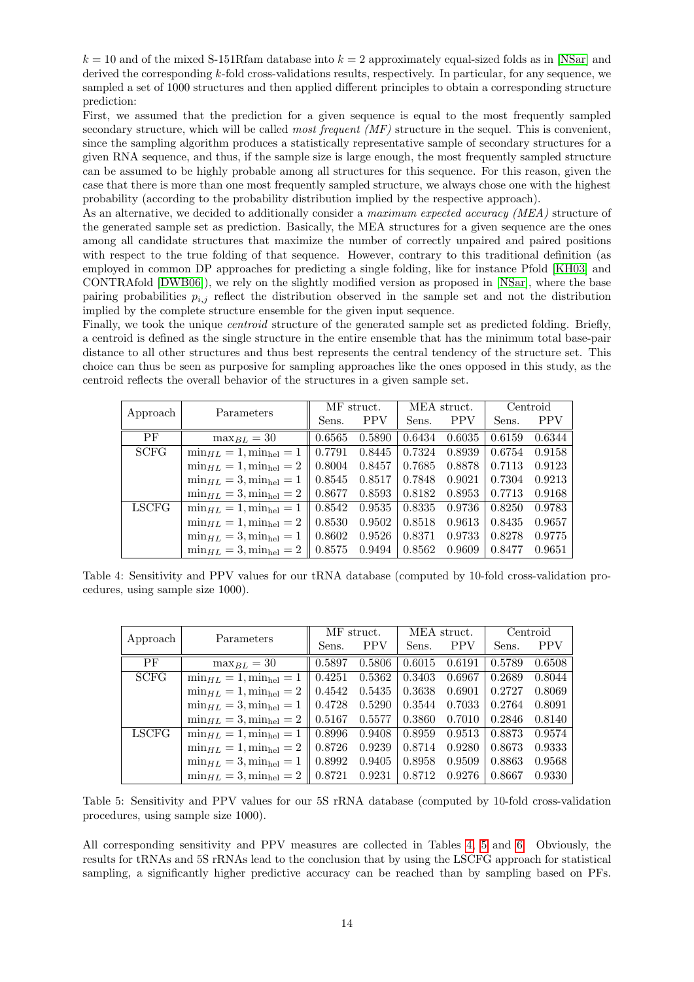$k = 10$  and of the mixed S-151Rfam database into  $k = 2$  approximately equal-sized folds as in [\[NSar\]](#page-20-0) and derived the corresponding  $k$ -fold cross-validations results, respectively. In particular, for any sequence, we sampled a set of 1000 structures and then applied different principles to obtain a corresponding structure prediction:

First, we assumed that the prediction for a given sequence is equal to the most frequently sampled secondary structure, which will be called *most frequent*  $(MF)$  structure in the sequel. This is convenient, since the sampling algorithm produces a statistically representative sample of secondary structures for a given RNA sequence, and thus, if the sample size is large enough, the most frequently sampled structure can be assumed to be highly probable among all structures for this sequence. For this reason, given the case that there is more than one most frequently sampled structure, we always chose one with the highest probability (according to the probability distribution implied by the respective approach).

As an alternative, we decided to additionally consider a maximum expected accuracy (MEA) structure of the generated sample set as prediction. Basically, the MEA structures for a given sequence are the ones among all candidate structures that maximize the number of correctly unpaired and paired positions with respect to the true folding of that sequence. However, contrary to this traditional definition (as employed in common DP approaches for predicting a single folding, like for instance Pfold [\[KH03\]](#page-19-7) and CONTRAfold [\[DWB06\]](#page-19-9)), we rely on the slightly modified version as proposed in [\[NSar\]](#page-20-0), where the base pairing probabilities  $p_{i,j}$  reflect the distribution observed in the sample set and not the distribution implied by the complete structure ensemble for the given input sequence.

Finally, we took the unique *centroid* structure of the generated sample set as predicted folding. Briefly, a centroid is defined as the single structure in the entire ensemble that has the minimum total base-pair distance to all other structures and thus best represents the central tendency of the structure set. This choice can thus be seen as purposive for sampling approaches like the ones opposed in this study, as the centroid reflects the overall behavior of the structures in a given sample set.

<span id="page-13-0"></span>

|              | Parameters                         | MF struct. |            |        | MEA struct. | Centroid |            |
|--------------|------------------------------------|------------|------------|--------|-------------|----------|------------|
| Approach     |                                    | Sens.      | <b>PPV</b> | Sens.  | <b>PPV</b>  | Sens.    | <b>PPV</b> |
| PF           | $\max_{BL} = 30$                   | 0.6565     | 0.5890     | 0.6434 | 0.6035      | 0.6159   | 0.6344     |
| <b>SCFG</b>  | $\min_{HL} = 1$ , $\min_{hel} = 1$ | 0.7791     | 0.8445     | 0.7324 | 0.8939      | 0.6754   | 0.9158     |
|              | $\min_{HL} = 1$ , $\min_{hel} = 2$ | 0.8004     | 0.8457     | 0.7685 | 0.8878      | 0.7113   | 0.9123     |
|              | $\min_{HL} = 3$ , $\min_{hel} = 1$ | 0.8545     | 0.8517     | 0.7848 | 0.9021      | 0.7304   | 0.9213     |
|              | $\min_{HL} = 3, \min_{hel} = 2$    | 0.8677     | 0.8593     | 0.8182 | 0.8953      | 0.7713   | 0.9168     |
| <b>LSCFG</b> | $\min_{HL} = 1$ , $\min_{hel} = 1$ | 0.8542     | 0.9535     | 0.8335 | 0.9736      | 0.8250   | 0.9783     |
|              | $\min_{HL} = 1$ , $\min_{hel} = 2$ | 0.8530     | 0.9502     | 0.8518 | 0.9613      | 0.8435   | 0.9657     |
|              | $\min_{HL} = 3, \min_{hel} = 1$    | 0.8602     | 0.9526     | 0.8371 | 0.9733      | 0.8278   | 0.9775     |
|              | $\min_{HL} = 3$ , $\min_{hel} = 2$ | 0.8575     | 0.9494     | 0.8562 | 0.9609      | 0.8477   | 0.9651     |

Table 4: Sensitivity and PPV values for our tRNA database (computed by 10-fold cross-validation procedures, using sample size 1000).

<span id="page-13-1"></span>

| Approach     | Parameters                         | MF struct. |            |        | MEA struct. | Centroid |            |
|--------------|------------------------------------|------------|------------|--------|-------------|----------|------------|
|              |                                    | Sens.      | <b>PPV</b> | Sens.  | <b>PPV</b>  | Sens.    | <b>PPV</b> |
| PF           | $\max_{BL} = 30$                   | 0.5897     | 0.5806     | 0.6015 | 0.6191      | 0.5789   | 0.6508     |
| <b>SCFG</b>  | $\min_{HL} = 1, \min_{hel} = 1$    | 0.4251     | 0.5362     | 0.3403 | 0.6967      | 0.2689   | 0.8044     |
|              | $\min_{HL} = 1, \min_{hel} = 2$    | 0.4542     | 0.5435     | 0.3638 | 0.6901      | 0.2727   | 0.8069     |
|              | $\min_{HL} = 3$ , $\min_{hel} = 1$ | 0.4728     | 0.5290     | 0.3544 | 0.7033      | 0.2764   | 0.8091     |
|              | $\min_{HL} = 3, \min_{hel} = 2$    | 0.5167     | 0.5577     | 0.3860 | 0.7010      | 0.2846   | 0.8140     |
| <b>LSCFG</b> | $\min_{HL} = 1$ , $\min_{hel} = 1$ | 0.8996     | 0.9408     | 0.8959 | 0.9513      | 0.8873   | 0.9574     |
|              | $\min_{HL} = 1, \min_{hel} = 2$    | 0.8726     | 0.9239     | 0.8714 | 0.9280      | 0.8673   | 0.9333     |
|              | $\min_{HL} = 3, \min_{hel} = 1$    | 0.8992     | 0.9405     | 0.8958 | 0.9509      | 0.8863   | 0.9568     |
|              | $\min_{HL} = 3, \min_{hel} = 2$    | 0.8721     | 0.9231     | 0.8712 | 0.9276      | 0.8667   | 0.9330     |

Table 5: Sensitivity and PPV values for our 5S rRNA database (computed by 10-fold cross-validation procedures, using sample size 1000).

All corresponding sensitivity and PPV measures are collected in Tables [4,](#page-13-0) [5](#page-13-1) and [6.](#page-14-0) Obviously, the results for tRNAs and 5S rRNAs lead to the conclusion that by using the LSCFG approach for statistical sampling, a significantly higher predictive accuracy can be reached than by sampling based on PFs.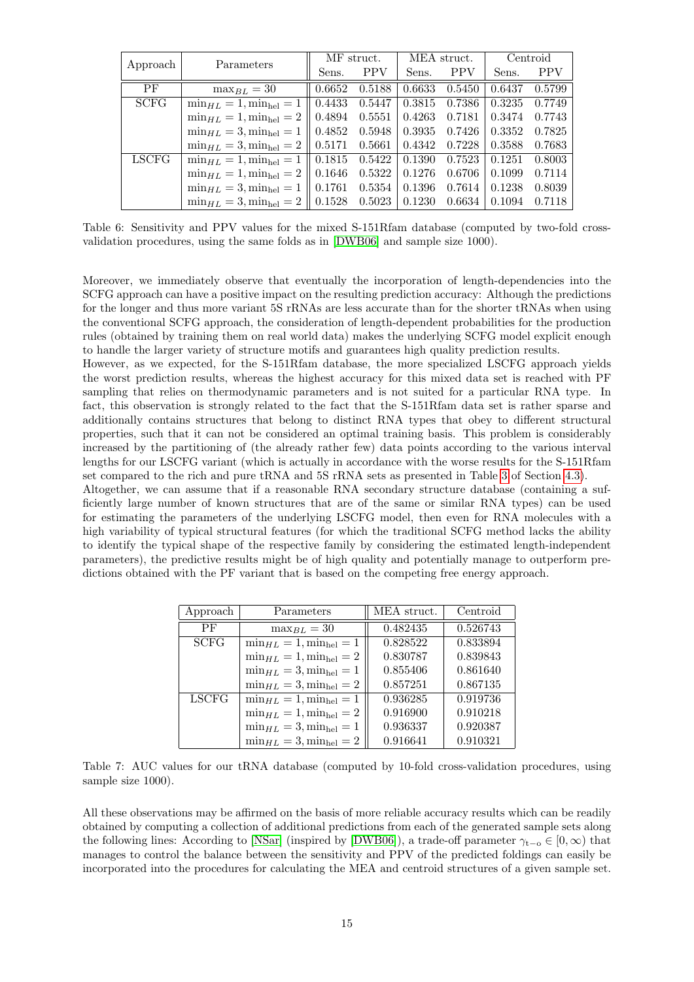<span id="page-14-0"></span>

|              |                                    | MF struct.    |            |        | MEA struct. | Centroid |            |
|--------------|------------------------------------|---------------|------------|--------|-------------|----------|------------|
| Approach     | Parameters                         | Sens.         | <b>PPV</b> | Sens.  | <b>PPV</b>  | Sens.    | <b>PPV</b> |
| <b>PF</b>    | $\max_{BL} = 30$                   | 0.6652        | 0.5188     | 0.6633 | 0.5450      | 0.6437   | 0.5799     |
| <b>SCFG</b>  | $\min_{HL} = 1$ , $\min_{hel} = 1$ | 0.4433        | 0.5447     | 0.3815 | 0.7386      | 0.3235   | 0.7749     |
|              | $\min_{HL} = 1$ , $\min_{hel} = 2$ | 0.4894        | 0.5551     | 0.4263 | 0.7181      | 0.3474   | 0.7743     |
|              | $\min_{HL} = 3, \min_{hel} = 1$    | 0.4852        | 0.5948     | 0.3935 | 0.7426      | 0.3352   | 0.7825     |
|              | $\min_{HL} = 3$ , $\min_{hel} = 2$ | $\mid 0.5171$ | 0.5661     | 0.4342 | 0.7228      | 0.3588   | 0.7683     |
| <b>LSCFG</b> | $\min_{HL} = 1$ , $\min_{hel} = 1$ | 0.1815        | 0.5422     | 0.1390 | 0.7523      | 0.1251   | 0.8003     |
|              | $\min_{HL} = 1$ , $\min_{hel} = 2$ | 0.1646        | 0.5322     | 0.1276 | 0.6706      | 0.1099   | 0.7114     |
|              | $\min_{HL} = 3, \min_{hel} = 1$    | 0.1761        | 0.5354     | 0.1396 | 0.7614      | 0.1238   | 0.8039     |
|              | $\min_{HL} = 3, \min_{hel} = 2$    | $\mid 0.1528$ | 0.5023     | 0.1230 | 0.6634      | 0.1094   | 0.7118     |

Table 6: Sensitivity and PPV values for the mixed S-151Rfam database (computed by two-fold crossvalidation procedures, using the same folds as in [\[DWB06\]](#page-19-9) and sample size 1000).

Moreover, we immediately observe that eventually the incorporation of length-dependencies into the SCFG approach can have a positive impact on the resulting prediction accuracy: Although the predictions for the longer and thus more variant 5S rRNAs are less accurate than for the shorter tRNAs when using the conventional SCFG approach, the consideration of length-dependent probabilities for the production rules (obtained by training them on real world data) makes the underlying SCFG model explicit enough to handle the larger variety of structure motifs and guarantees high quality prediction results.

However, as we expected, for the S-151Rfam database, the more specialized LSCFG approach yields the worst prediction results, whereas the highest accuracy for this mixed data set is reached with PF sampling that relies on thermodynamic parameters and is not suited for a particular RNA type. In fact, this observation is strongly related to the fact that the S-151Rfam data set is rather sparse and additionally contains structures that belong to distinct RNA types that obey to different structural properties, such that it can not be considered an optimal training basis. This problem is considerably increased by the partitioning of (the already rather few) data points according to the various interval lengths for our LSCFG variant (which is actually in accordance with the worse results for the S-151Rfam set compared to the rich and pure tRNA and 5S rRNA sets as presented in Table [3](#page-12-0) of Section [4.3\)](#page-10-2).

Altogether, we can assume that if a reasonable RNA secondary structure database (containing a sufficiently large number of known structures that are of the same or similar RNA types) can be used for estimating the parameters of the underlying LSCFG model, then even for RNA molecules with a high variability of typical structural features (for which the traditional SCFG method lacks the ability to identify the typical shape of the respective family by considering the estimated length-independent parameters), the predictive results might be of high quality and potentially manage to outperform predictions obtained with the PF variant that is based on the competing free energy approach.

<span id="page-14-1"></span>

| Approach     | Parameters                         | MEA struct. | Centroid |
|--------------|------------------------------------|-------------|----------|
| PF           | $\max_{BL} = 30$                   | 0.482435    | 0.526743 |
| <b>SCFG</b>  | $\min_{HL} = 1, \min_{hel} = 1$    | 0.828522    | 0.833894 |
|              | $\min_{HL} = 1$ , $\min_{hel} = 2$ | 0.830787    | 0.839843 |
|              | $\min_{HL} = 3$ , $\min_{hel} = 1$ | 0.855406    | 0.861640 |
|              | $\min_{HL} = 3$ , $\min_{hel} = 2$ | 0.857251    | 0.867135 |
| <b>LSCFG</b> | $\min_{HL} = 1$ , $\min_{hel} = 1$ | 0.936285    | 0.919736 |
|              | $\min_{HL} = 1, \min_{hel} = 2$    | 0.916900    | 0.910218 |
|              | $\min_{HL} = 3$ , $\min_{hel} = 1$ | 0.936337    | 0.920387 |
|              | $\min_{HL} = 3$ , $\min_{hel} = 2$ | 0.916641    | 0.910321 |

Table 7: AUC values for our tRNA database (computed by 10-fold cross-validation procedures, using sample size 1000).

All these observations may be affirmed on the basis of more reliable accuracy results which can be readily obtained by computing a collection of additional predictions from each of the generated sample sets along the following lines: According to [\[NSar\]](#page-20-0) (inspired by [\[DWB06\]](#page-19-9)), a trade-off parameter  $\gamma_{t-o} \in [0,\infty)$  that manages to control the balance between the sensitivity and PPV of the predicted foldings can easily be incorporated into the procedures for calculating the MEA and centroid structures of a given sample set.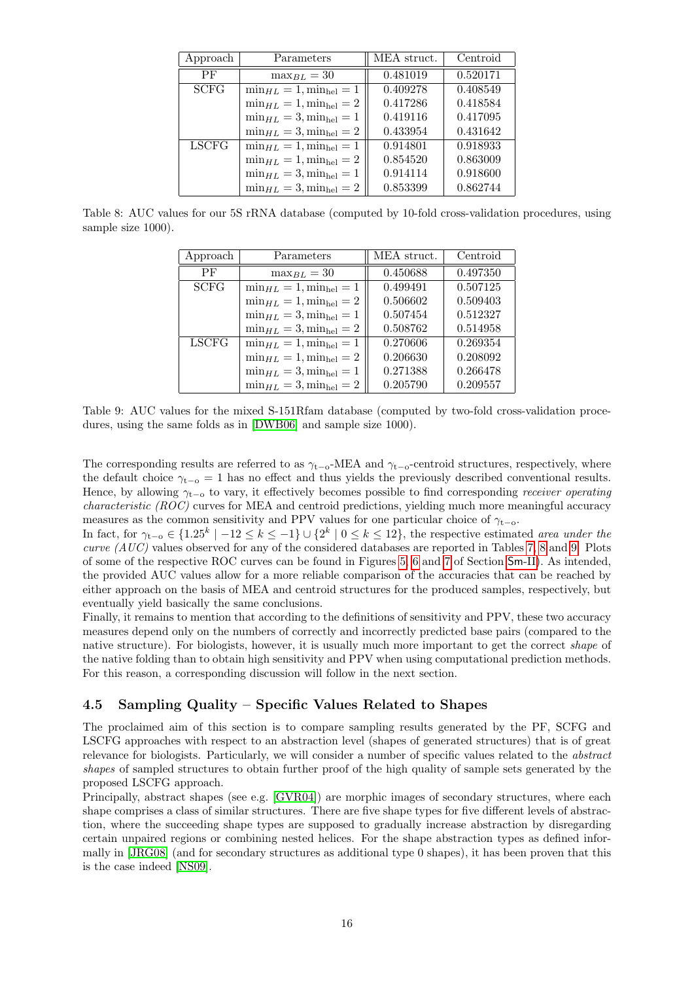<span id="page-15-0"></span>

| Approach     | Parameters                         | MEA struct. | Centroid |
|--------------|------------------------------------|-------------|----------|
| PF           | $\max_{B} I_{\ell} = 30$           | 0.481019    | 0.520171 |
| <b>SCFG</b>  | $\min_{HL} = 1$ , $\min_{hel} = 1$ | 0.409278    | 0.408549 |
|              | $\min_{HL} = 1, \min_{hel} = 2$    | 0.417286    | 0.418584 |
|              | $\min_{HL} = 3$ , $\min_{hel} = 1$ | 0.419116    | 0.417095 |
|              | $\min_{HL} = 3, \min_{hel} = 2$    | 0.433954    | 0.431642 |
| <b>LSCFG</b> | $\min_{HL} = 1, \min_{hel} = 1$    | 0.914801    | 0.918933 |
|              | $\min_{HL} = 1, \min_{hel} = 2$    | 0.854520    | 0.863009 |
|              | $\min_{HL} = 3$ , $\min_{hel} = 1$ | 0.914114    | 0.918600 |
|              | $\min_{HL} = 3$ , $\min_{hel} = 2$ | 0.853399    | 0.862744 |

<span id="page-15-1"></span>Table 8: AUC values for our 5S rRNA database (computed by 10-fold cross-validation procedures, using sample size 1000).

| Approach     | Parameters                         | MEA struct. | Centroid |
|--------------|------------------------------------|-------------|----------|
| PF           | $\max_{B} I_{\ell} = 30$           | 0.450688    | 0.497350 |
| <b>SCFG</b>  | $\min_{HL} = 1$ , $\min_{hel} = 1$ | 0.499491    | 0.507125 |
|              | $\min_{HL} = 1, \min_{hel} = 2$    | 0.506602    | 0.509403 |
|              | $\min_{HL} = 3$ , $\min_{hel} = 1$ | 0.507454    | 0.512327 |
|              | $\min_{HL} = 3, \min_{hel} = 2$    | 0.508762    | 0.514958 |
| <b>LSCFG</b> | $\min_{HL} = 1, \min_{hel} = 1$    | 0.270606    | 0.269354 |
|              | $\min_{HL} = 1, \min_{hel} = 2$    | 0.206630    | 0.208092 |
|              | $\min_{HL} = 3, \min_{hel} = 1$    | 0.271388    | 0.266478 |
|              | $\min_{HL} = 3, \min_{hel} = 2$    | 0.205790    | 0.209557 |

Table 9: AUC values for the mixed S-151Rfam database (computed by two-fold cross-validation procedures, using the same folds as in [\[DWB06\]](#page-19-9) and sample size 1000).

The corresponding results are referred to as  $\gamma_{t-o}$ -MEA and  $\gamma_{t-o}$ -centroid structures, respectively, where the default choice  $\gamma_{t-0} = 1$  has no effect and thus yields the previously described conventional results. Hence, by allowing  $\gamma_{t-0}$  to vary, it effectively becomes possible to find corresponding *receiver operating* characteristic (ROC) curves for MEA and centroid predictions, yielding much more meaningful accuracy measures as the common sensitivity and PPV values for one particular choice of  $\gamma_{t-0}$ .

In fact, for  $\gamma_{t-o} \in \{1.25^k \mid -12 \le k \le -1\} \cup \{2^k \mid 0 \le k \le 12\}$ , the respective estimated area under the curve  $(AUC)$  values observed for any of the considered databases are reported in Tables [7,](#page-14-1) [8](#page-15-0) and [9.](#page-15-1) Plots of some of the respective ROC curves can be found in Figures [5,](#page-36-0) [6](#page-37-0) and [7](#page-38-0) of Section [Sm](#page-3-0)-II). As intended, the provided AUC values allow for a more reliable comparison of the accuracies that can be reached by either approach on the basis of MEA and centroid structures for the produced samples, respectively, but eventually yield basically the same conclusions.

Finally, it remains to mention that according to the definitions of sensitivity and PPV, these two accuracy measures depend only on the numbers of correctly and incorrectly predicted base pairs (compared to the native structure). For biologists, however, it is usually much more important to get the correct *shape* of the native folding than to obtain high sensitivity and PPV when using computational prediction methods. For this reason, a corresponding discussion will follow in the next section.

### 4.5 Sampling Quality – Specific Values Related to Shapes

The proclaimed aim of this section is to compare sampling results generated by the PF, SCFG and LSCFG approaches with respect to an abstraction level (shapes of generated structures) that is of great relevance for biologists. Particularly, we will consider a number of specific values related to the abstract shapes of sampled structures to obtain further proof of the high quality of sample sets generated by the proposed LSCFG approach.

Principally, abstract shapes (see e.g. [\[GVR04\]](#page-19-20)) are morphic images of secondary structures, where each shape comprises a class of similar structures. There are five shape types for five different levels of abstraction, where the succeeding shape types are supposed to gradually increase abstraction by disregarding certain unpaired regions or combining nested helices. For the shape abstraction types as defined informally in [\[JRG08\]](#page-19-18) (and for secondary structures as additional type 0 shapes), it has been proven that this is the case indeed [\[NS09\]](#page-20-12).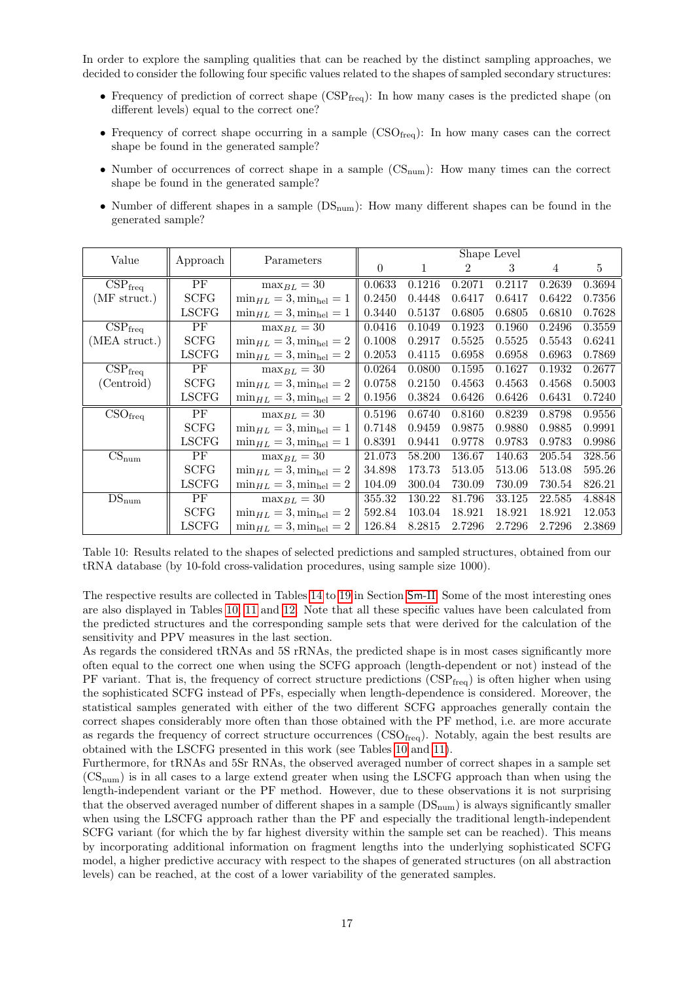In order to explore the sampling qualities that can be reached by the distinct sampling approaches, we decided to consider the following four specific values related to the shapes of sampled secondary structures:

- Frequency of prediction of correct shape  $(CSP_{freq})$ : In how many cases is the predicted shape (on different levels) equal to the correct one?
- Frequency of correct shape occurring in a sample  $\text{CSO}_{\text{freq}}$ : In how many cases can the correct shape be found in the generated sample?
- Number of occurrences of correct shape in a sample  $(\text{CS}_{num})$ : How many times can the correct shape be found in the generated sample?
- Number of different shapes in a sample  $(DS_{num})$ : How many different shapes can be found in the generated sample?

<span id="page-16-0"></span>

| Value                                 | Approach     | Parameters                         |          |              |                | Shape Level |        |        |
|---------------------------------------|--------------|------------------------------------|----------|--------------|----------------|-------------|--------|--------|
|                                       |              |                                    | $\Omega$ | $\mathbf{1}$ | $\overline{2}$ | 3           | 4      | 5      |
| $CSP_{freq}$                          | PF           | $\max_{BL} = 30$                   | 0.0633   | 0.1216       | 0.2071         | 0.2117      | 0.2639 | 0.3694 |
| $(MF$ struct.)                        | <b>SCFG</b>  | $\min_{HL} = 3, \min_{hel} = 1$    | 0.2450   | 0.4448       | 0.6417         | 0.6417      | 0.6422 | 0.7356 |
|                                       | <b>LSCFG</b> | $\min_{HL} = 3, \min_{hel} = 1$    | 0.3440   | 0.5137       | 0.6805         | 0.6805      | 0.6810 | 0.7628 |
| $\overline{\text{CSP}}_{\text{freq}}$ | PF           | $\max_{BL} = 30$                   | 0.0416   | 0.1049       | 0.1923         | 0.1960      | 0.2496 | 0.3559 |
| (MEA struct.)                         | <b>SCFG</b>  | $min_{HL} = 3, min_{hel} = 2$      | 0.1008   | 0.2917       | 0.5525         | 0.5525      | 0.5543 | 0.6241 |
|                                       | LSCFG        | $min_{HL} = 3, min_{hel} = 2$      | 0.2053   | 0.4115       | 0.6958         | 0.6958      | 0.6963 | 0.7869 |
| $\overline{\text{CSP}}_{\text{freq}}$ | PF           | $\max_{BL} = 30$                   | 0.0264   | 0.0800       | 0.1595         | 0.1627      | 0.1932 | 0.2677 |
| (Centroid)                            | <b>SCFG</b>  | $\min_{HL} = 3, \min_{hel} = 2$    | 0.0758   | 0.2150       | 0.4563         | 0.4563      | 0.4568 | 0.5003 |
|                                       | LSCFG        | $\min_{HL} = 3, \min_{hel} = 2$    | 0.1956   | 0.3824       | 0.6426         | 0.6426      | 0.6431 | 0.7240 |
| CSO <sub>freq</sub>                   | PF           | $\max_{BL} = 30$                   | 0.5196   | 0.6740       | 0.8160         | 0.8239      | 0.8798 | 0.9556 |
|                                       | <b>SCFG</b>  | $\min_{HL} = 3, \min_{hel} = 1$    | 0.7148   | 0.9459       | 0.9875         | 0.9880      | 0.9885 | 0.9991 |
|                                       | LSCFG        | $\min_{HL} = 3, \min_{hel} = 1$    | 0.8391   | 0.9441       | 0.9778         | 0.9783      | 0.9783 | 0.9986 |
| $\overline{\text{CS}}_{\text{num}}$   | PF           | $\max_{BL} = 30$                   | 21.073   | 58.200       | 136.67         | 140.63      | 205.54 | 328.56 |
|                                       | <b>SCFG</b>  | $\min_{HL} = 3, \min_{hel} = 2$    | 34.898   | 173.73       | 513.05         | 513.06      | 513.08 | 595.26 |
|                                       | LSCFG        | $\min_{HL} = 3$ , $\min_{hel} = 2$ | 104.09   | 300.04       | 730.09         | 730.09      | 730.54 | 826.21 |
| $DS_{num}$                            | PF           | $\max_{BL} = 30$                   | 355.32   | 130.22       | 81.796         | 33.125      | 22.585 | 4.8848 |
|                                       | <b>SCFG</b>  | $\min_{HL} = 3, \min_{hel} = 2$    | 592.84   | 103.04       | 18.921         | 18.921      | 18.921 | 12.053 |
|                                       | LSCFG        | $\min_{HL} = 3$ , $\min_{hel} = 2$ | 126.84   | 8.2815       | 2.7296         | 2.7296      | 2.7296 | 2.3869 |

Table 10: Results related to the shapes of selected predictions and sampled structures, obtained from our tRNA database (by 10-fold cross-validation procedures, using sample size 1000).

The respective results are collected in Tables [14](#page-26-0) to [19](#page-31-0) in Section [Sm](#page-3-0)-II. Some of the most interesting ones are also displayed in Tables [10,](#page-16-0) [11](#page-17-0) and [12.](#page-17-1) Note that all these specific values have been calculated from the predicted structures and the corresponding sample sets that were derived for the calculation of the sensitivity and PPV measures in the last section.

As regards the considered tRNAs and 5S rRNAs, the predicted shape is in most cases significantly more often equal to the correct one when using the SCFG approach (length-dependent or not) instead of the PF variant. That is, the frequency of correct structure predictions  $(CSP_{\text{freq}})$  is often higher when using the sophisticated SCFG instead of PFs, especially when length-dependence is considered. Moreover, the statistical samples generated with either of the two different SCFG approaches generally contain the correct shapes considerably more often than those obtained with the PF method, i.e. are more accurate as regards the frequency of correct structure occurrences  $(CSO_{freq})$ . Notably, again the best results are obtained with the LSCFG presented in this work (see Tables [10](#page-16-0) and [11\)](#page-17-0).

Furthermore, for tRNAs and 5Sr RNAs, the observed averaged number of correct shapes in a sample set  $(\text{CS}_{\text{num}})$  is in all cases to a large extend greater when using the LSCFG approach than when using the length-independent variant or the PF method. However, due to these observations it is not surprising that the observed averaged number of different shapes in a sample  $(DS_{num})$  is always significantly smaller when using the LSCFG approach rather than the PF and especially the traditional length-independent SCFG variant (for which the by far highest diversity within the sample set can be reached). This means by incorporating additional information on fragment lengths into the underlying sophisticated SCFG model, a higher predictive accuracy with respect to the shapes of generated structures (on all abstraction levels) can be reached, at the cost of a lower variability of the generated samples.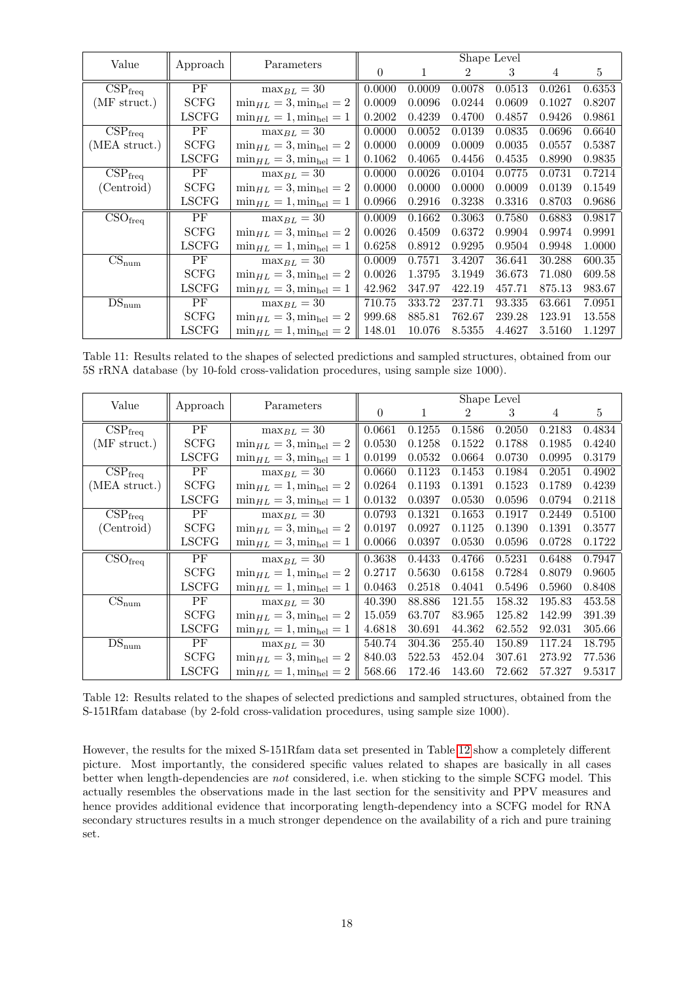<span id="page-17-0"></span>

| Value                                 | Approach     | Parameters                         |        |        |        | Shape Level |        |        |
|---------------------------------------|--------------|------------------------------------|--------|--------|--------|-------------|--------|--------|
|                                       |              |                                    | 0      | 1      | 2      | 3           | 4      | 5      |
| $CSP_{freq}$                          | PF           | $\max_{BL} = 30$                   | 0.0000 | 0.0009 | 0.0078 | 0.0513      | 0.0261 | 0.6353 |
| $(MF$ struct.)                        | <b>SCFG</b>  | $\min_{HL} = 3$ , $\min_{hel} = 2$ | 0.0009 | 0.0096 | 0.0244 | 0.0609      | 0.1027 | 0.8207 |
|                                       | LSCFG        | $\min_{HL} = 1, \min_{hel} = 1$    | 0.2002 | 0.4239 | 0.4700 | 0.4857      | 0.9426 | 0.9861 |
| $CSP_{freq}$                          | PF           | $\max_{BL} = 30$                   | 0.0000 | 0.0052 | 0.0139 | 0.0835      | 0.0696 | 0.6640 |
| (MEA struct.)                         | <b>SCFG</b>  | $\min_{HL} = 3$ , $\min_{hel} = 2$ | 0.0000 | 0.0009 | 0.0009 | 0.0035      | 0.0557 | 0.5387 |
|                                       | <b>LSCFG</b> | $\min_{HL} = 3, \min_{hel} = 1$    | 0.1062 | 0.4065 | 0.4456 | 0.4535      | 0.8990 | 0.9835 |
| $\overline{\text{CSP}}_{\text{freq}}$ | PF           | $\max_{BL} = 30$                   | 0.0000 | 0.0026 | 0.0104 | 0.0775      | 0.0731 | 0.7214 |
| (Centroid)                            | <b>SCFG</b>  | $min_{HL} = 3, min_{hel} = 2$      | 0.0000 | 0.0000 | 0.0000 | 0.0009      | 0.0139 | 0.1549 |
|                                       | LSCFG        | $\min_{HL} = 1, \min_{hel} = 1$    | 0.0966 | 0.2916 | 0.3238 | 0.3316      | 0.8703 | 0.9686 |
| $\overline{\text{CSO}}_{\text{freq}}$ | PF           | $\max_{BL} = 30$                   | 0.0009 | 0.1662 | 0.3063 | 0.7580      | 0.6883 | 0.9817 |
|                                       | <b>SCFG</b>  | $\min_{HL} = 3, \min_{hel} = 2$    | 0.0026 | 0.4509 | 0.6372 | 0.9904      | 0.9974 | 0.9991 |
|                                       | LSCFG        | $\min_{HL} = 1, \min_{hel} = 1$    | 0.6258 | 0.8912 | 0.9295 | 0.9504      | 0.9948 | 1.0000 |
| $CS_{num}$                            | PF           | $\max_{BL} = 30$                   | 0.0009 | 0.7571 | 3.4207 | 36.641      | 30.288 | 600.35 |
|                                       | <b>SCFG</b>  | $\min_{HL} = 3$ , $\min_{hel} = 2$ | 0.0026 | 1.3795 | 3.1949 | 36.673      | 71.080 | 609.58 |
|                                       | <b>LSCFG</b> | $\min_{HL} = 3, \min_{hel} = 1$    | 42.962 | 347.97 | 422.19 | 457.71      | 875.13 | 983.67 |
| $DS_{num}$                            | PF           | $\max_{BL} = 30$                   | 710.75 | 333.72 | 237.71 | 93.335      | 63.661 | 7.0951 |
|                                       | <b>SCFG</b>  | $\min_{HL} = 3, \min_{hel} = 2$    | 999.68 | 885.81 | 762.67 | 239.28      | 123.91 | 13.558 |
|                                       | LSCFG        | $\min_{HL} = 1, \min_{hel} = 2$    | 148.01 | 10.076 | 8.5355 | 4.4627      | 3.5160 | 1.1297 |

Table 11: Results related to the shapes of selected predictions and sampled structures, obtained from our 5S rRNA database (by 10-fold cross-validation procedures, using sample size 1000).

<span id="page-17-1"></span>

| Value                                 |              | Parameters                         |          |        |                | Shape Level |        |        |
|---------------------------------------|--------------|------------------------------------|----------|--------|----------------|-------------|--------|--------|
|                                       | Approach     |                                    | $\theta$ | 1      | $\overline{2}$ | 3           | 4      | 5      |
| $\overline{\text{CSP}}_{\text{freq}}$ | PF           | $\max_{BL} = 30$                   | 0.0661   | 0.1255 | 0.1586         | 0.2050      | 0.2183 | 0.4834 |
| $(MF$ struct.)                        | <b>SCFG</b>  | $\min_{HL} = 3, \min_{hel} = 2$    | 0.0530   | 0.1258 | 0.1522         | 0.1788      | 0.1985 | 0.4240 |
|                                       | <b>LSCFG</b> | $\min_{HL} = 3, \min_{hel} = 1$    | 0.0199   | 0.0532 | 0.0664         | 0.0730      | 0.0995 | 0.3179 |
| $\overline{\text{CSP}}_{\text{freq}}$ | PF           | $\max_{BL} = 30$                   | 0.0660   | 0.1123 | 0.1453         | 0.1984      | 0.2051 | 0.4902 |
| (MEA struct.)                         | <b>SCFG</b>  | $\min_{HL} = 1$ , $\min_{hel} = 2$ | 0.0264   | 0.1193 | 0.1391         | 0.1523      | 0.1789 | 0.4239 |
|                                       | <b>LSCFG</b> | $\min_{HL} = 3, \min_{hel} = 1$    | 0.0132   | 0.0397 | 0.0530         | 0.0596      | 0.0794 | 0.2118 |
| $\overline{\text{CSP}}_{\text{freq}}$ | PF           | $\max_{BL} = 30$                   | 0.0793   | 0.1321 | 0.1653         | 0.1917      | 0.2449 | 0.5100 |
| (Centroid)                            | <b>SCFG</b>  | $\min_{HL} = 3, \min_{hel} = 2$    | 0.0197   | 0.0927 | 0.1125         | 0.1390      | 0.1391 | 0.3577 |
|                                       | <b>LSCFG</b> | $\min_{HL} = 3, \min_{hel} = 1$    | 0.0066   | 0.0397 | 0.0530         | 0.0596      | 0.0728 | 0.1722 |
| $\overline{\text{CSO}}_{\text{freq}}$ | PF           | $\max_{BL} = 30$                   | 0.3638   | 0.4433 | 0.4766         | 0.5231      | 0.6488 | 0.7947 |
|                                       | <b>SCFG</b>  | $\min_{HL} = 1, \min_{hel} = 2$    | 0.2717   | 0.5630 | 0.6158         | 0.7284      | 0.8079 | 0.9605 |
|                                       | <b>LSCFG</b> | $\min_{HL} = 1, \min_{hel} = 1$    | 0.0463   | 0.2518 | 0.4041         | 0.5496      | 0.5960 | 0.8408 |
| $CS_{num}$                            | PF           | $\max_{BL} = 30$                   | 40.390   | 88.886 | 121.55         | 158.32      | 195.83 | 453.58 |
|                                       | <b>SCFG</b>  | $\min_{HL} = 3$ , $\min_{hel} = 2$ | 15.059   | 63.707 | 83.965         | 125.82      | 142.99 | 391.39 |
|                                       | <b>LSCFG</b> | $\min_{HL} = 1, \min_{hel} = 1$    | 4.6818   | 30.691 | 44.362         | 62.552      | 92.031 | 305.66 |
| $DS_{num}$                            | PF           | $\max_{BL} = 30$                   | 540.74   | 304.36 | 255.40         | 150.89      | 117.24 | 18.795 |
|                                       | <b>SCFG</b>  | $\min_{HL} = 3, \min_{hel} = 2$    | 840.03   | 522.53 | 452.04         | 307.61      | 273.92 | 77.536 |
|                                       | <b>LSCFG</b> | $\min_{HL} = 1$ , $\min_{hel} = 2$ | 568.66   | 172.46 | 143.60         | 72.662      | 57.327 | 9.5317 |

Table 12: Results related to the shapes of selected predictions and sampled structures, obtained from the S-151Rfam database (by 2-fold cross-validation procedures, using sample size 1000).

However, the results for the mixed S-151Rfam data set presented in Table [12](#page-17-1) show a completely different picture. Most importantly, the considered specific values related to shapes are basically in all cases better when length-dependencies are *not* considered, i.e. when sticking to the simple SCFG model. This actually resembles the observations made in the last section for the sensitivity and PPV measures and hence provides additional evidence that incorporating length-dependency into a SCFG model for RNA secondary structures results in a much stronger dependence on the availability of a rich and pure training set.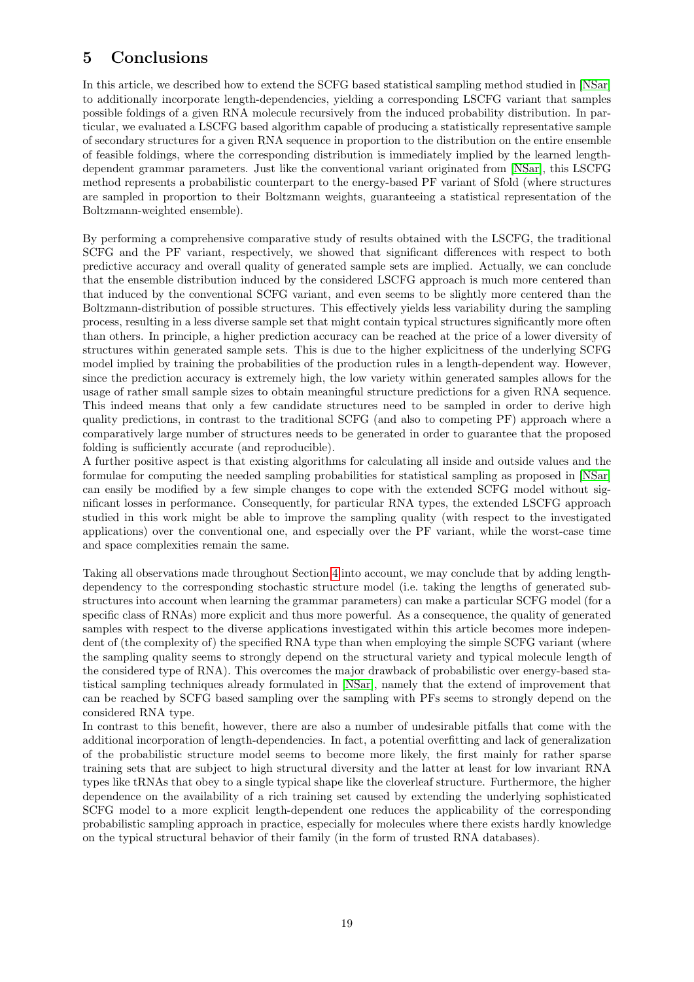# <span id="page-18-0"></span>5 Conclusions

In this article, we described how to extend the SCFG based statistical sampling method studied in [\[NSar\]](#page-20-0) to additionally incorporate length-dependencies, yielding a corresponding LSCFG variant that samples possible foldings of a given RNA molecule recursively from the induced probability distribution. In particular, we evaluated a LSCFG based algorithm capable of producing a statistically representative sample of secondary structures for a given RNA sequence in proportion to the distribution on the entire ensemble of feasible foldings, where the corresponding distribution is immediately implied by the learned lengthdependent grammar parameters. Just like the conventional variant originated from [\[NSar\]](#page-20-0), this LSCFG method represents a probabilistic counterpart to the energy-based PF variant of Sfold (where structures are sampled in proportion to their Boltzmann weights, guaranteeing a statistical representation of the Boltzmann-weighted ensemble).

By performing a comprehensive comparative study of results obtained with the LSCFG, the traditional SCFG and the PF variant, respectively, we showed that significant differences with respect to both predictive accuracy and overall quality of generated sample sets are implied. Actually, we can conclude that the ensemble distribution induced by the considered LSCFG approach is much more centered than that induced by the conventional SCFG variant, and even seems to be slightly more centered than the Boltzmann-distribution of possible structures. This effectively yields less variability during the sampling process, resulting in a less diverse sample set that might contain typical structures significantly more often than others. In principle, a higher prediction accuracy can be reached at the price of a lower diversity of structures within generated sample sets. This is due to the higher explicitness of the underlying SCFG model implied by training the probabilities of the production rules in a length-dependent way. However, since the prediction accuracy is extremely high, the low variety within generated samples allows for the usage of rather small sample sizes to obtain meaningful structure predictions for a given RNA sequence. This indeed means that only a few candidate structures need to be sampled in order to derive high quality predictions, in contrast to the traditional SCFG (and also to competing PF) approach where a comparatively large number of structures needs to be generated in order to guarantee that the proposed folding is sufficiently accurate (and reproducible).

A further positive aspect is that existing algorithms for calculating all inside and outside values and the formulae for computing the needed sampling probabilities for statistical sampling as proposed in [\[NSar\]](#page-20-0) can easily be modified by a few simple changes to cope with the extended SCFG model without significant losses in performance. Consequently, for particular RNA types, the extended LSCFG approach studied in this work might be able to improve the sampling quality (with respect to the investigated applications) over the conventional one, and especially over the PF variant, while the worst-case time and space complexities remain the same.

Taking all observations made throughout Section [4](#page-8-0) into account, we may conclude that by adding lengthdependency to the corresponding stochastic structure model (i.e. taking the lengths of generated substructures into account when learning the grammar parameters) can make a particular SCFG model (for a specific class of RNAs) more explicit and thus more powerful. As a consequence, the quality of generated samples with respect to the diverse applications investigated within this article becomes more independent of (the complexity of) the specified RNA type than when employing the simple SCFG variant (where the sampling quality seems to strongly depend on the structural variety and typical molecule length of the considered type of RNA). This overcomes the major drawback of probabilistic over energy-based statistical sampling techniques already formulated in [\[NSar\]](#page-20-0), namely that the extend of improvement that can be reached by SCFG based sampling over the sampling with PFs seems to strongly depend on the considered RNA type.

In contrast to this benefit, however, there are also a number of undesirable pitfalls that come with the additional incorporation of length-dependencies. In fact, a potential overfitting and lack of generalization of the probabilistic structure model seems to become more likely, the first mainly for rather sparse training sets that are subject to high structural diversity and the latter at least for low invariant RNA types like tRNAs that obey to a single typical shape like the cloverleaf structure. Furthermore, the higher dependence on the availability of a rich training set caused by extending the underlying sophisticated SCFG model to a more explicit length-dependent one reduces the applicability of the corresponding probabilistic sampling approach in practice, especially for molecules where there exists hardly knowledge on the typical structural behavior of their family (in the form of trusted RNA databases).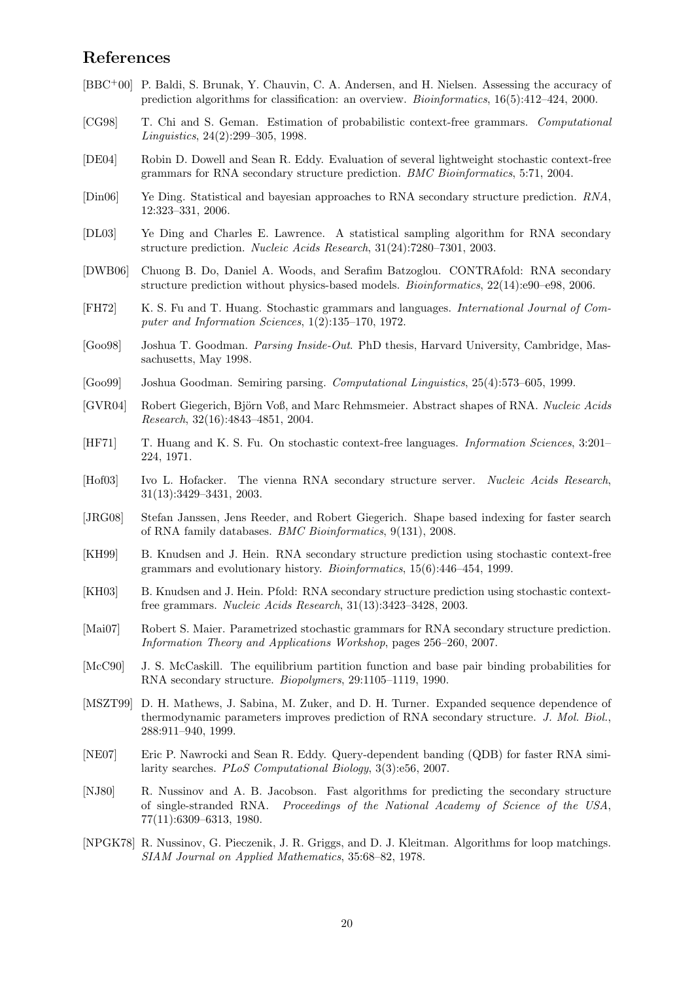## References

- <span id="page-19-19"></span>[BBC+00] P. Baldi, S. Brunak, Y. Chauvin, C. A. Andersen, and H. Nielsen. Assessing the accuracy of prediction algorithms for classification: an overview. Bioinformatics, 16(5):412–424, 2000.
- <span id="page-19-15"></span>[CG98] T. Chi and S. Geman. Estimation of probabilistic context-free grammars. Computational Linguistics, 24(2):299–305, 1998.
- <span id="page-19-5"></span>[DE04] Robin D. Dowell and Sean R. Eddy. Evaluation of several lightweight stochastic context-free grammars for RNA secondary structure prediction. BMC Bioinformatics, 5:71, 2004.
- <span id="page-19-10"></span>[Din06] Ye Ding. Statistical and bayesian approaches to RNA secondary structure prediction. RNA, 12:323–331, 2006.
- <span id="page-19-3"></span>[DL03] Ye Ding and Charles E. Lawrence. A statistical sampling algorithm for RNA secondary structure prediction. Nucleic Acids Research, 31(24):7280–7301, 2003.
- <span id="page-19-9"></span>[DWB06] Chuong B. Do, Daniel A. Woods, and Serafim Batzoglou. CONTRAfold: RNA secondary structure prediction without physics-based models. Bioinformatics, 22(14):e90–e98, 2006.
- <span id="page-19-14"></span>[FH72] K. S. Fu and T. Huang. Stochastic grammars and languages. International Journal of Computer and Information Sciences, 1(2):135–170, 1972.
- <span id="page-19-16"></span>[Goo98] Joshua T. Goodman. Parsing Inside-Out. PhD thesis, Harvard University, Cambridge, Massachusetts, May 1998.
- <span id="page-19-17"></span>[Goo99] Joshua Goodman. Semiring parsing. Computational Linguistics, 25(4):573–605, 1999.
- <span id="page-19-20"></span>[GVR04] Robert Giegerich, Biörn Voß, and Marc Rehmsmeier. Abstract shapes of RNA. Nucleic Acids Research, 32(16):4843–4851, 2004.
- <span id="page-19-13"></span>[HF71] T. Huang and K. S. Fu. On stochastic context-free languages. Information Sciences, 3:201– 224, 1971.
- <span id="page-19-2"></span>[Hof03] Ivo L. Hofacker. The vienna RNA secondary structure server. Nucleic Acids Research, 31(13):3429–3431, 2003.
- <span id="page-19-18"></span>[JRG08] Stefan Janssen, Jens Reeder, and Robert Giegerich. Shape based indexing for faster search of RNA family databases. BMC Bioinformatics, 9(131), 2008.
- <span id="page-19-6"></span>[KH99] B. Knudsen and J. Hein. RNA secondary structure prediction using stochastic context-free grammars and evolutionary history. Bioinformatics, 15(6):446–454, 1999.
- <span id="page-19-7"></span>[KH03] B. Knudsen and J. Hein. Pfold: RNA secondary structure prediction using stochastic contextfree grammars. Nucleic Acids Research, 31(13):3423–3428, 2003.
- <span id="page-19-12"></span>[Mai07] Robert S. Maier. Parametrized stochastic grammars for RNA secondary structure prediction. Information Theory and Applications Workshop, pages 256–260, 2007.
- <span id="page-19-4"></span>[McC90] J. S. McCaskill. The equilibrium partition function and base pair binding probabilities for RNA secondary structure. Biopolymers, 29:1105–1119, 1990.
- <span id="page-19-8"></span>[MSZT99] D. H. Mathews, J. Sabina, M. Zuker, and D. H. Turner. Expanded sequence dependence of thermodynamic parameters improves prediction of RNA secondary structure. J. Mol. Biol., 288:911–940, 1999.
- <span id="page-19-11"></span>[NE07] Eric P. Nawrocki and Sean R. Eddy. Query-dependent banding (QDB) for faster RNA similarity searches. PLoS Computational Biology, 3(3):e56, 2007.
- <span id="page-19-1"></span>[NJ80] R. Nussinov and A. B. Jacobson. Fast algorithms for predicting the secondary structure of single-stranded RNA. Proceedings of the National Academy of Science of the USA, 77(11):6309–6313, 1980.
- <span id="page-19-0"></span>[NPGK78] R. Nussinov, G. Pieczenik, J. R. Griggs, and D. J. Kleitman. Algorithms for loop matchings. SIAM Journal on Applied Mathematics, 35:68–82, 1978.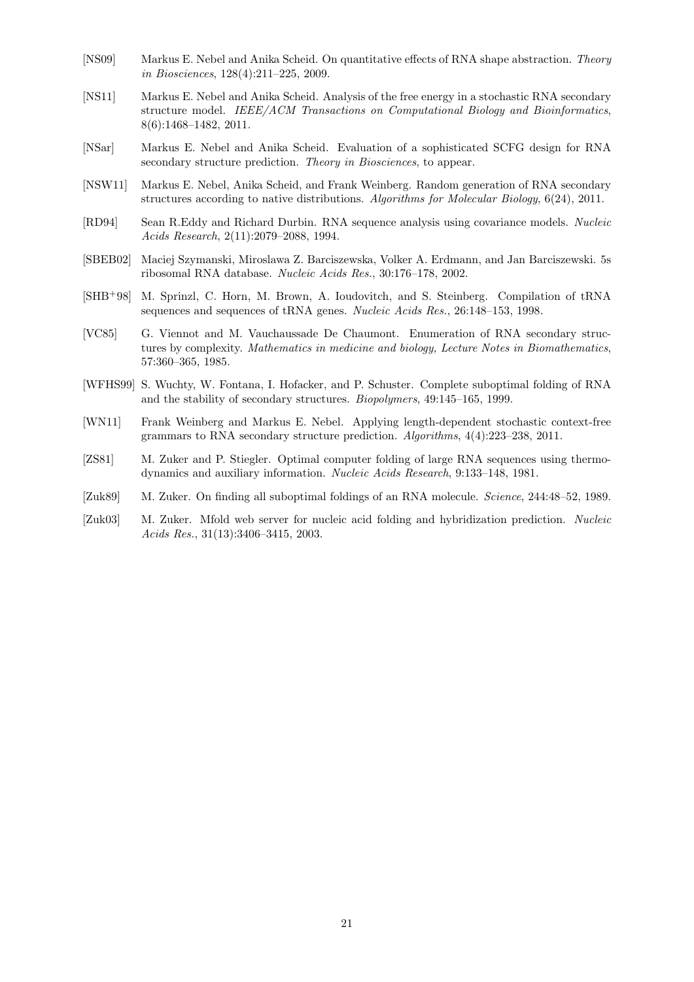- <span id="page-20-12"></span>[NS09] Markus E. Nebel and Anika Scheid. On quantitative effects of RNA shape abstraction. Theory in Biosciences, 128(4):211–225, 2009.
- <span id="page-20-5"></span>[NS11] Markus E. Nebel and Anika Scheid. Analysis of the free energy in a stochastic RNA secondary structure model. IEEE/ACM Transactions on Computational Biology and Bioinformatics, 8(6):1468–1482, 2011.
- <span id="page-20-0"></span>[NSar] Markus E. Nebel and Anika Scheid. Evaluation of a sophisticated SCFG design for RNA secondary structure prediction. Theory in Biosciences, to appear.
- <span id="page-20-6"></span>[NSW11] Markus E. Nebel, Anika Scheid, and Frank Weinberg. Random generation of RNA secondary structures according to native distributions. Algorithms for Molecular Biology, 6(24), 2011.
- <span id="page-20-7"></span>[RD94] Sean R.Eddy and Richard Durbin. RNA sequence analysis using covariance models. Nucleic Acids Research, 2(11):2079–2088, 1994.
- <span id="page-20-11"></span>[SBEB02] Maciej Szymanski, Miroslawa Z. Barciszewska, Volker A. Erdmann, and Jan Barciszewski. 5s ribosomal RNA database. Nucleic Acids Res., 30:176–178, 2002.
- <span id="page-20-10"></span>[SHB+98] M. Sprinzl, C. Horn, M. Brown, A. Ioudovitch, and S. Steinberg. Compilation of tRNA sequences and sequences of tRNA genes. Nucleic Acids Res., 26:148–153, 1998.
- <span id="page-20-9"></span>[VC85] G. Viennot and M. Vauchaussade De Chaumont. Enumeration of RNA secondary structures by complexity. Mathematics in medicine and biology, Lecture Notes in Biomathematics, 57:360–365, 1985.
- <span id="page-20-2"></span>[WFHS99] S. Wuchty, W. Fontana, I. Hofacker, and P. Schuster. Complete suboptimal folding of RNA and the stability of secondary structures. Biopolymers, 49:145–165, 1999.
- <span id="page-20-8"></span>[WN11] Frank Weinberg and Markus E. Nebel. Applying length-dependent stochastic context-free grammars to RNA secondary structure prediction. Algorithms, 4(4):223–238, 2011.
- <span id="page-20-1"></span>[ZS81] M. Zuker and P. Stiegler. Optimal computer folding of large RNA sequences using thermodynamics and auxiliary information. Nucleic Acids Research, 9:133–148, 1981.
- <span id="page-20-3"></span>[Zuk89] M. Zuker. On finding all suboptimal foldings of an RNA molecule. Science, 244:48–52, 1989.
- <span id="page-20-4"></span>[Zuk03] M. Zuker. Mfold web server for nucleic acid folding and hybridization prediction. Nucleic Acids Res., 31(13):3406–3415, 2003.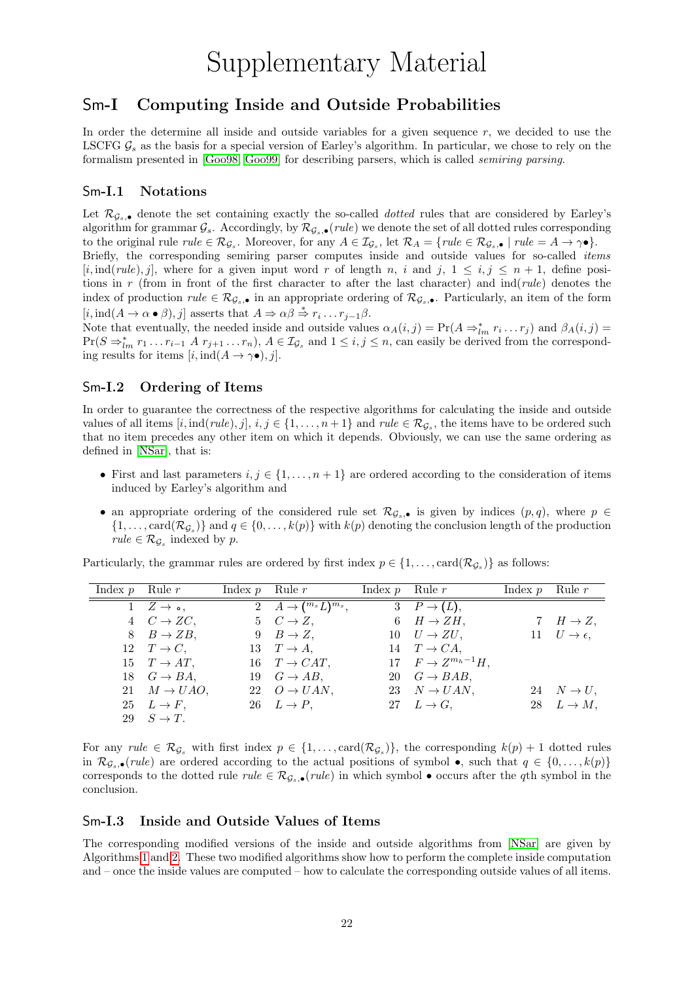# Supplementary Material

# Sm-I Computing Inside and Outside Probabilities

In order the determine all inside and outside variables for a given sequence  $r$ , we decided to use the LSCFG  $\mathcal{G}_s$  as the basis for a special version of Earley's algorithm. In particular, we chose to rely on the formalism presented in [\[Goo98,](#page-19-16) [Goo99\]](#page-19-17) for describing parsers, which is called semiring parsing.

### Sm-I.1 Notations

Let  $\mathcal{R}_{\mathcal{G}_s,\bullet}$  denote the set containing exactly the so-called *dotted* rules that are considered by Earley's algorithm for grammar  $\mathcal{G}_s$ . Accordingly, by  $\mathcal{R}_{\mathcal{G}_s,\bullet}(rule)$  we denote the set of all dotted rules corresponding to the original rule  $rule \in \mathcal{R}_{\mathcal{G}_s}$ . Moreover, for any  $A \in \mathcal{I}_{\mathcal{G}_s}$ , let  $\mathcal{R}_A = \{rule \in \mathcal{R}_{\mathcal{G}_s, \bullet} \mid rule = A \to \gamma \bullet \}.$ Briefly, the corresponding semiring parser computes inside and outside values for so-called *items* [i, ind(rule), j], where for a given input word r of length n, i and j,  $1 \le i, j \le n+1$ , define positions in r (from in front of the first character to after the last character) and  $ind(\text{rule})$  denotes the index of production  $rule \in \mathcal{R}_{\mathcal{G}_s,\bullet}$  in an appropriate ordering of  $\mathcal{R}_{\mathcal{G}_s,\bullet}$ . Particularly, an item of the form  $[i, \text{ind}(A \to \alpha \bullet \beta), j]$  asserts that  $A \Rightarrow \alpha \beta \stackrel{*}{\Rightarrow} r_i \dots r_{j-1} \beta$ .

Note that eventually, the needed inside and outside values  $\alpha_A(i,j) = \Pr(A \Rightarrow_{lm}^* r_i \dots r_j)$  and  $\beta_A(i,j) =$  $Pr(S \Rightarrow_{lm}^* r_1 \dots r_{i-1} A r_{j+1} \dots r_n), A \in \mathcal{I}_{\mathcal{G}_s}$  and  $1 \leq i, j \leq n$ , can easily be derived from the corresponding results for items  $[i, ind(A \rightarrow \gamma \bullet), j].$ 

### Sm-I.2 Ordering of Items

In order to guarantee the correctness of the respective algorithms for calculating the inside and outside values of all items  $[i, ind(rule), j], i, j \in \{1, ..., n+1\}$  and  $rule \in \mathcal{R}_{\mathcal{G}_s}$ , the items have to be ordered such that no item precedes any other item on which it depends. Obviously, we can use the same ordering as defined in [\[NSar\]](#page-20-0), that is:

- First and last parameters  $i, j \in \{1, \ldots, n+1\}$  are ordered according to the consideration of items induced by Earley's algorithm and
- an appropriate ordering of the considered rule set  $\mathcal{R}_{\mathcal{G}_s, \bullet}$  is given by indices  $(p, q)$ , where  $p \in$  $\{1,\ldots,\text{card}(\mathcal{R}_{\mathcal{G}_s})\}\$ and  $q \in \{0,\ldots,k(p)\}\$  with  $k(p)$  denoting the conclusion length of the production  $rule \in \mathcal{R}_{\mathcal{G}_s}$  indexed by p.

Particularly, the grammar rules are ordered by first index  $p \in \{1, ..., \text{card}(\mathcal{R}_{\mathcal{G}_s})\}\$  as follows:

| Index $p$ Rule $r$ |                                  | Index $p$ Rule $r$ |                                                | Index $p$ Rule $r$ |                              | Index $p$ Rule $r$ |                                    |
|--------------------|----------------------------------|--------------------|------------------------------------------------|--------------------|------------------------------|--------------------|------------------------------------|
|                    | $1 \quad Z \rightarrow \bullet,$ |                    | 2 $\overline{A\rightarrow ({}^{m_s}L)^{m_s}},$ |                    | $3 \quad P \rightarrow (L),$ |                    |                                    |
|                    | $4\quad C\rightarrow ZC,$        |                    | $5\quad C\rightarrow Z,$                       |                    | $6 \quad H \rightarrow ZH,$  |                    | 7 $H \rightarrow Z$ ,              |
|                    | $8 \quad B \to ZB$ ,             |                    | $9 \quad B \to Z$ ,                            |                    | $10 \quad U \rightarrow ZU,$ |                    | $11 \quad U \rightarrow \epsilon,$ |
|                    | $12 \quad T \rightarrow C$ ,     |                    | 13 $T \rightarrow A$ ,                         |                    | 14 $T \rightarrow CA$ ,      |                    |                                    |
|                    | 15 $T \rightarrow AT$ ,          |                    | 16 $T \rightarrow CAT$ ,                       |                    | 17 $F \to Z^{m_h-1}H$ .      |                    |                                    |
|                    | 18 $G \rightarrow BA$ ,          |                    | 19 $G \rightarrow AB$ ,                        |                    | 20 $G \rightarrow BAB$ ,     |                    |                                    |
|                    | 21 $M \rightarrow UAO$ ,         |                    | 22 $O \rightarrow UAN$ ,                       |                    | 23 $N \rightarrow UAN$ ,     |                    | 24 $N \rightarrow U$ ,             |
|                    | $25 \quad L \rightarrow F,$      |                    | 26 $L \rightarrow P$ ,                         |                    | 27 $L \rightarrow G$ ,       |                    | 28 $L \rightarrow M$ ,             |
|                    | 29 $S \rightarrow T$ .           |                    |                                                |                    |                              |                    |                                    |

For any  $rule \in \mathcal{R}_{\mathcal{G}_s}$  with first index  $p \in \{1, ..., \text{card}(\mathcal{R}_{\mathcal{G}_s})\}$ , the corresponding  $k(p) + 1$  dotted rules in  $\mathcal{R}_{G_s,\bullet}(rule)$  are ordered according to the actual positions of symbol  $\bullet$ , such that  $q \in \{0,\ldots,k(p)\}\$ corresponds to the dotted rule  $rule \in \mathcal{R}_{G_s,\bullet}(rule)$  in which symbol  $\bullet$  occurs after the qth symbol in the conclusion.

### Sm-I.3 Inside and Outside Values of Items

The corresponding modified versions of the inside and outside algorithms from [\[NSar\]](#page-20-0) are given by Algorithms [1](#page-0-1) and [2.](#page-0-1) These two modified algorithms show how to perform the complete inside computation and – once the inside values are computed – how to calculate the corresponding outside values of all items.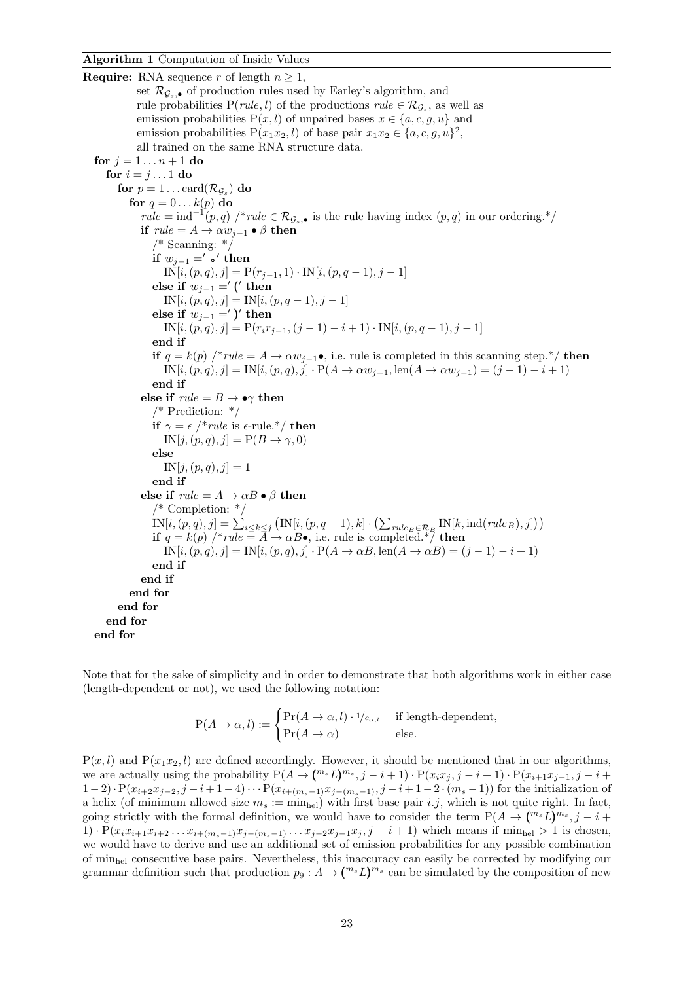**Require:** RNA sequence r of length  $n \geq 1$ , set  $\mathcal{R}_{G_s,\bullet}$  of production rules used by Earley's algorithm, and rule probabilities  $P(\text{rule}, l)$  of the productions  $\text{rule} \in \mathcal{R}_{\mathcal{G}_s}$ , as well as emission probabilities  $P(x, l)$  of unpaired bases  $x \in \{a, c, g, u\}$  and emission probabilities  $P(x_1x_2, l)$  of base pair  $x_1x_2 \in \{a, c, g, u\}^2$ , all trained on the same RNA structure data. for  $i = 1 ... n + 1$  do for  $i = j \dots 1$  do for  $p=1\dots\mathrm{card}(\mathcal{R}_{\mathcal{G}_s})$  do for  $q = 0...k(p)$  do  $rule = ind^{-1}(p,q)$  /\* $rule \in \mathcal{R}_{\mathcal{G}_s,\bullet}$  is the rule having index  $(p,q)$  in our ordering.\*/ if  $rule = A \rightarrow \alpha w_{i-1} \bullet \beta$  then  $/*$  Scanning:  $*/$ if  $w_{j-1} =' \bullet'$  then  $IN[i,(p,q),j] = P(r_{j-1}, 1) \cdot IN[i,(p,q-1), j-1]$ else if  $w_{j-1} = '$  (' then  $IN[i,(p,q), j] = IN[i,(p, q - 1), j - 1]$ else if  $w_{j-1} = '$ )' then  $IN[i,(p,q), j] = P(r_i r_{j-1},(j-1) - i + 1) \cdot IN[i,(p,q-1),j-1]$ end if if  $q = k(p)$  /\*rule =  $A \rightarrow \alpha w_{i-1}$ •, i.e. rule is completed in this scanning step.\*/ then  $IN[i,(p,q), j] = IN[i,(p,q), j] \cdot P(A \to \alpha w_{j-1}, \text{len}(A \to \alpha w_{j-1}) = (j-1) - i + 1)$ end if else if  $rule = B \rightarrow \bullet \gamma$  then /\* Prediction: \*/ if  $\gamma = \epsilon$  /\*rule is  $\epsilon$ -rule.\*/ then  $IN[j,(p,q), j] = P(B \rightarrow \gamma, 0)$ else  $IN[j,(p,q), j] = 1$ end if else if  $rule = A \rightarrow \alpha B \bullet \beta$  then /\* Completion: \*/  $IN[i,(p,q),j] = \sum_{i \leq k \leq j} (IN[i,(p,q-1),k] \cdot (\sum_{rule_B \in \mathcal{R}_B} IN[k,ind(rule_B),j]) )$ if  $q = k(p)$  /\*rule =  $\overline{A} \rightarrow \alpha B \bullet$ , i.e. rule is completed.\*/ then  $IN[i,(p,q), j] = IN[i,(p,q), j] \cdot P(A \to \alpha B, \text{len}(A \to \alpha B) = (j-1) - i + 1)$ end if end if end for end for end for end for

Note that for the sake of simplicity and in order to demonstrate that both algorithms work in either case (length-dependent or not), we used the following notation:

$$
P(A \to \alpha, l) := \begin{cases} Pr(A \to \alpha, l) \cdot 1/c_{\alpha, l} & \text{if length-dependent,} \\ Pr(A \to \alpha) & \text{else.} \end{cases}
$$

 $P(x, l)$  and  $P(x_1x_2, l)$  are defined accordingly. However, it should be mentioned that in our algorithms, we are actually using the probability  $P(A \to {m_s}L)^{m_s}, j - i + 1) \cdot P(x_ix_j, j - i + 1) \cdot P(x_{i+1}x_{j-1}, j - i + 1)$  $(1-2)\cdot P(x_{i+2}x_{j-2}, j-i+1-4)\cdots P(x_{i+(m_s-1)}x_{j-(m_s-1)}, j-i+1-2\cdot (m_s-1))$  for the initialization of a helix (of minimum allowed size  $m_s := \min_{\text{hel}}$ ) with first base pair i.j, which is not quite right. In fact, going strictly with the formal definition, we would have to consider the term  $P(A \to {m_s}L)^{m_s}, j - i +$ 1)  $\cdot P(x_i x_{i+1} x_{i+2} \ldots x_{i+(m_s-1)} x_{j-(m_s-1)} \ldots x_{j-2} x_{j-1} x_j, j-i+1)$  which means if min<sub>hel</sub> > 1 is chosen, we would have to derive and use an additional set of emission probabilities for any possible combination of minhel consecutive base pairs. Nevertheless, this inaccuracy can easily be corrected by modifying our grammar definition such that production  $p_9: A \to (\binom{m_s}{m_s} C^{m_s}$  can be simulated by the composition of new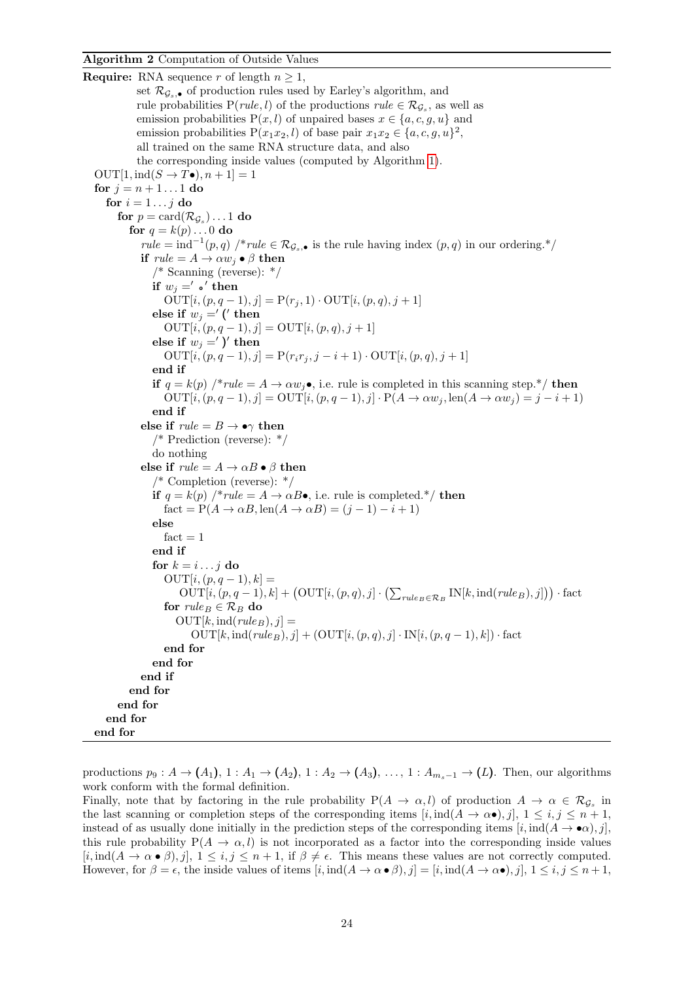**Require:** RNA sequence r of length  $n \geq 1$ , set  $\mathcal{R}_{G_s,\bullet}$  of production rules used by Earley's algorithm, and rule probabilities  $P(\text{rule}, l)$  of the productions  $\text{rule} \in \mathcal{R}_{\mathcal{G}_s}$ , as well as emission probabilities  $P(x, l)$  of unpaired bases  $x \in \{a, c, g, u\}$  and emission probabilities  $P(x_1x_2, l)$  of base pair  $x_1x_2 \in \{a, c, g, u\}^2$ , all trained on the same RNA structure data, and also the corresponding inside values (computed by Algorithm [1\)](#page-0-1). OUT[1, ind( $S \rightarrow T\bullet$ ),  $n+1$ ] = 1 for  $j = n + 1...1$  do for  $i = 1 \ldots j$  do for  $p=\text{card}(\mathcal{R}_{\mathcal{G}_s})\ldots 1$  do for  $q = k(p) \dots 0$  do  $rule = ind^{-1}(p,q)$  /\*rule  $\in \mathcal{R}_{\mathcal{G}_s, \bullet}$  is the rule having index  $(p,q)$  in our ordering.\*/ if  $rule = A \rightarrow \alpha w_i \bullet \beta$  then /\* Scanning (reverse): \*/ if  $w_j =' \circ'$  then  $OUT[i,(p, q - 1), j] = P(r_j, 1) \cdot OUT[i,(p, q), j + 1]$ else if  $w_j = '$  (' then  $OUT[i,(p, q - 1), j] = OUT[i,(p, q), j + 1]$ else if  $w_j = '$  )' then  $\text{OUT}[i,(p,q-1), j] = \text{P}(r_ir_j, j-i+1) \cdot \text{OUT}[i,(p,q), j+1]$ end if if  $q = k(p)$  /\*rule = A  $\rightarrow \alpha w_j \bullet$ , i.e. rule is completed in this scanning step.\*/ then  $\text{OUT}[i,(p,q-1), j] = \text{OUT}[i,(p,q-1), j] \cdot \text{P}(A \rightarrow \alpha w_i, \text{len}(A \rightarrow \alpha w_i) = j - i + 1)$ end if else if  $rule = B \rightarrow \bullet \gamma$  then /\* Prediction (reverse): \*/ do nothing else if  $rule = A \rightarrow \alpha B \bullet \beta$  then /\* Completion (reverse): \*/ if  $q = k(p)$  /\*rule =  $A \rightarrow \alpha B \bullet$ , i.e. rule is completed.\*/ then  $fact = P(A \rightarrow \alpha B, len(A \rightarrow \alpha B) = (j - 1) - i + 1)$ else  $fact = 1$ end if for  $k = i \dots j$  do  $OUT[i,(p, q - 1), k] =$  $\text{OUT}[i,(p,q-1),k] + \big(\text{OUT}[i,(p,q),j] \cdot \big( \sum_{rule_B \in \mathcal{R}_B} \text{IN}[k,\text{ind}(rule_B),j] \big) \big) \cdot \text{fact}$ for  $rule_B \in \mathcal{R}_B$  do  $OUT[k,ind(rule_B), j] =$  $OUT[k,ind(rule_B), j] + (OUT[i,(p,q), j] \cdot IN[i,(p,q-1), k]) \cdot fact$ end for end for end if end for end for end for end for

productions  $p_9: A \rightarrow (A_1), 1: A_1 \rightarrow (A_2), 1: A_2 \rightarrow (A_3), \ldots, 1: A_{m_s-1} \rightarrow (L)$ . Then, our algorithms work conform with the formal definition.

Finally, note that by factoring in the rule probability  $P(A \to \alpha, l)$  of production  $A \to \alpha \in \mathcal{R}_{\mathcal{G}_s}$  in the last scanning or completion steps of the corresponding items  $[i, ind(A \rightarrow \alpha \bullet), j], 1 \le i, j \le n+1$ , instead of as usually done initially in the prediction steps of the corresponding items  $[i, ind(A \rightarrow \bullet \alpha), j]$ , this rule probability  $P(A \to \alpha, l)$  is not incorporated as a factor into the corresponding inside values  $[i, \text{ind}(A \to \alpha \bullet \beta), j], 1 \le i, j \le n+1$ , if  $\beta \ne \epsilon$ . This means these values are not correctly computed. However, for  $\beta = \epsilon$ , the inside values of items  $[i, \text{ind}(A \to \alpha \bullet \beta), j] = [i, \text{ind}(A \to \alpha \bullet), j], 1 \le i, j \le n+1$ ,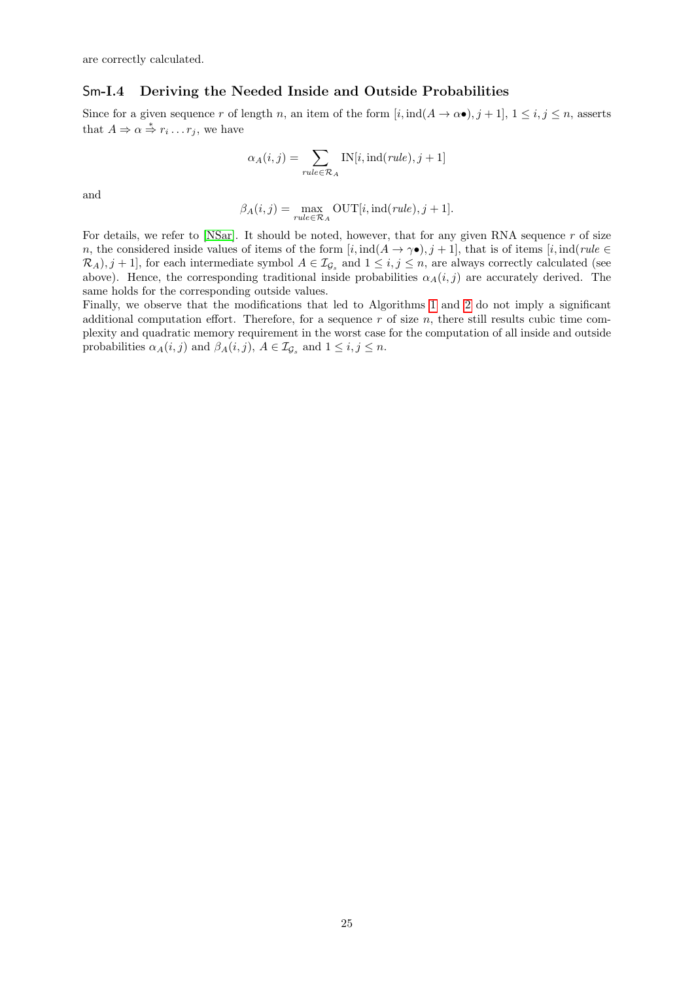are correctly calculated.

### Sm-I.4 Deriving the Needed Inside and Outside Probabilities

Since for a given sequence r of length n, an item of the form  $[i, ind(A \rightarrow \alpha \bullet), j + 1], 1 \le i, j \le n$ , asserts that  $A \Rightarrow \alpha \stackrel{*}{\Rightarrow} r_i \dots r_j$ , we have

$$
\alpha_A(i,j) = \sum_{rule \in \mathcal{R}_A} \text{IN}[i,\text{ind}(rule),j+1]
$$

and

$$
\beta_A(i,j) = \max_{rule \in \mathcal{R}_A} \text{OUT}[i, \text{ind}(rule), j+1].
$$

For details, we refer to [\[NSar\]](#page-20-0). It should be noted, however, that for any given RNA sequence  $r$  of size n, the considered inside values of items of the form  $[i, \text{ind}(A \to \gamma \bullet), j + 1]$ , that is of items  $[i, \text{ind}(rule \in \text{dim}])$  $\mathcal{R}_A$ ,  $j + 1$ , for each intermediate symbol  $A \in \mathcal{I}_{\mathcal{G}_s}$  and  $1 \leq i, j \leq n$ , are always correctly calculated (see above). Hence, the corresponding traditional inside probabilities  $\alpha_A(i,j)$  are accurately derived. The same holds for the corresponding outside values.

Finally, we observe that the modifications that led to Algorithms [1](#page-0-1) and [2](#page-0-1) do not imply a significant additional computation effort. Therefore, for a sequence  $r$  of size  $n$ , there still results cubic time complexity and quadratic memory requirement in the worst case for the computation of all inside and outside probabilities  $\alpha_A(i,j)$  and  $\beta_A(i,j)$ ,  $A \in \mathcal{I}_{\mathcal{G}_s}$  and  $1 \leq i, j \leq n$ .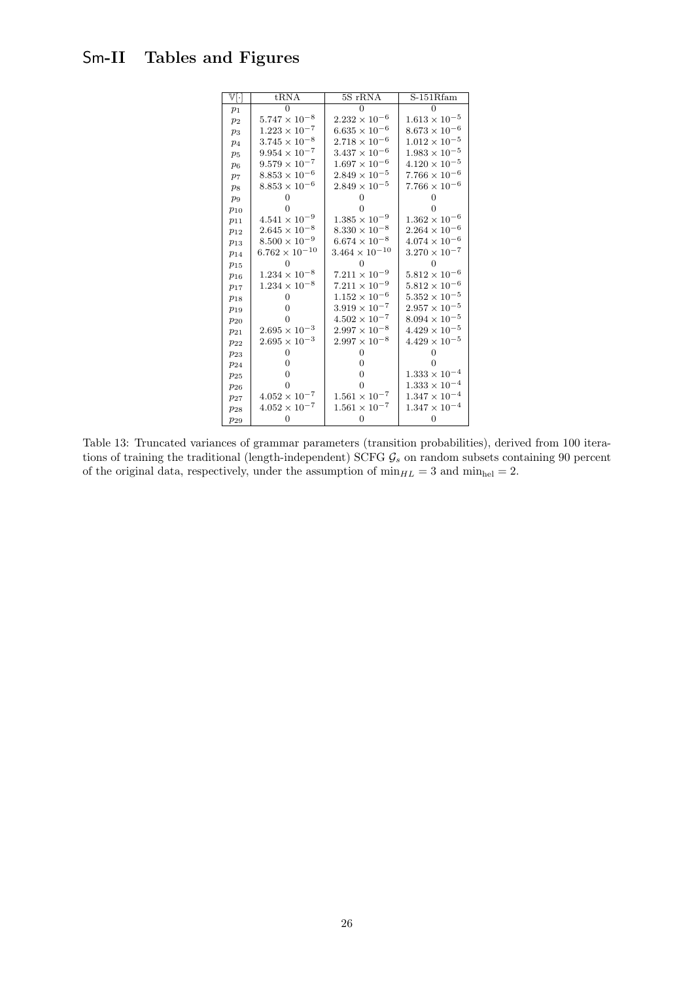# <span id="page-25-0"></span>Sm-II Tables and Figures

| $\overline{\mathbb{V}[\cdot]}$ | tRNA                    | 5S rRNA                 | $S-151Rfam$            |
|--------------------------------|-------------------------|-------------------------|------------------------|
| $p_1$                          | U                       | 0                       | 0                      |
| $p_2$                          | $5.747\times10^{-8}$    | $2.232 \times 10^{-6}$  | $1.613\times10^{-5}$   |
| $p_3$                          | $1.223\times10^{-7}$    | $6.635 \times 10^{-6}$  | $8.673\times10^{-6}$   |
| p <sub>4</sub>                 | $3.745 \times 10^{-8}$  | $2.718 \times 10^{-6}$  | $1.012\times10^{-5}$   |
| $p_5$                          | $9.954\times10^{-7}$    | $3.437 \times 10^{-6}$  | $1.983\times10^{-5}$   |
| $p_6$                          | $9.579\times10^{-7}$    | $1.697\times10^{-6}$    | $4.120 \times 10^{-5}$ |
| p <sub>7</sub>                 | $8.853 \times 10^{-6}$  | $2.849 \times 10^{-5}$  | $7.766\times10^{-6}$   |
| $p_8$                          | $8.853\times10^{-6}$    | $2.849 \times 10^{-5}$  | $7.766\times10^{-6}$   |
| $p_9$                          | $\Omega$                | 0                       | 0                      |
| $p_{10}$                       | 0                       |                         |                        |
| $p_{11}$                       | $4.541\times10^{-9}$    | $1.385\times10^{-9}$    | $1.362\times10^{-6}$   |
| $p_{12}$                       | $2.645\times10^{-8}$    | $8.330 \times 10^{-8}$  | $2.264\times10^{-6}$   |
| $p_{13}$                       | $8.500\times10^{-9}$    | $6.674 \times 10^{-8}$  | $4.074 \times 10^{-6}$ |
| $p_{14}$                       | $6.762 \times 10^{-10}$ | $3.464 \times 10^{-10}$ | $3.270\times10^{-7}$   |
| $p_{15}$                       | 0                       | 0                       | $\Omega$               |
| $p_{16}$                       | $1.234\times10^{-8}$    | $7.211 \times 10^{-9}$  | $5.812\times10^{-6}$   |
| $p_{17}$                       | $1.234\times10^{-8}$    | $7.211\times10^{-9}$    | $5.812\times10^{-6}$   |
| $p_{18}$                       | $\Omega$                | $1.152\times10^{-6}$    | $5.352\times10^{-5}$   |
| $p_{19}$                       | $\Omega$                | $3.919 \times 10^{-7}$  | $2.957\times10^{-5}$   |
| $p_{20}$                       | $\Omega$                | $4.502 \times 10^{-7}$  | $8.094\times10^{-5}$   |
| $p_{21}$                       | $2.695 \times 10^{-3}$  | $2.997 \times 10^{-8}$  | $4.429 \times 10^{-5}$ |
| $p_{22}$                       | $2.695 \times 10^{-3}$  | $2.997 \times 10^{-8}$  | $4.429 \times 10^{-5}$ |
| $p_{23}$                       | 0                       | 0                       | 0                      |
| $p_{24}$                       | $\overline{0}$          | 0                       | 0                      |
| $p_{25}$                       | $\overline{0}$          | 0                       | $1.333\times10^{-4}$   |
| $p_{26}$                       | $\Omega$                | 0                       | $1.333\times10^{-4}$   |
| $p_{27}$                       | $4.052 \times 10^{-7}$  | $1.561 \times 10^{-7}$  | $1.347\times10^{-4}$   |
| $p_{28}$                       | $4.052\times10^{-7}$    | $1.561 \times 10^{-7}$  | $1.347\times10^{-4}$   |
| $p_{29}$                       | $\overline{0}$          | $\overline{0}$          | $\overline{0}$         |

Table 13: Truncated variances of grammar parameters (transition probabilities), derived from 100 iterations of training the traditional (length-independent) SCFG  $\mathcal{G}_s$  on random subsets containing 90 percent of the original data, respectively, under the assumption of  $\min_{HL} = 3$  and  $\min_{hel} = 2$ .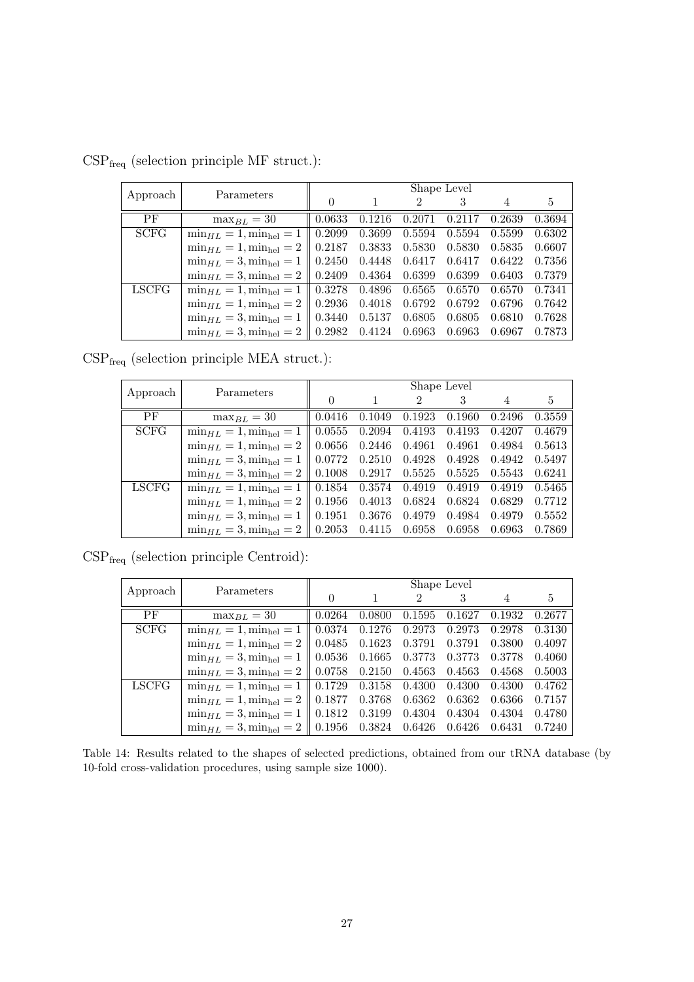| Approach    | Parameters                         | Shape Level        |        |                |        |        |        |  |  |
|-------------|------------------------------------|--------------------|--------|----------------|--------|--------|--------|--|--|
|             |                                    | $\left( \right)$   |        | $\mathfrak{D}$ | 3      | 4      | 5      |  |  |
| PF          | $\max_{BL} = 30$                   | 0.0633             | 0.1216 | 0.2071         | 0.2117 | 0.2639 | 0.3694 |  |  |
| <b>SCFG</b> | $\min_{HL} = 1, \min_{hel} = 1$    | 0.2099             | 0.3699 | 0.5594         | 0.5594 | 0.5599 | 0.6302 |  |  |
|             | $\min_{HL} = 1$ , $\min_{hel} = 2$ | 0.2187             | 0.3833 | 0.5830         | 0.5830 | 0.5835 | 0.6607 |  |  |
|             | $\min_{HL} = 3, \min_{hel} = 1$    | 0.2450             | 0.4448 | 0.6417         | 0.6417 | 0.6422 | 0.7356 |  |  |
|             | $\min_{HL} = 3, \min_{hel} = 2$    | 0.2409             | 0.4364 | 0.6399         | 0.6399 | 0.6403 | 0.7379 |  |  |
| LSCFG       | $\min_{HL} = 1$ , $\min_{hel} = 1$ | $\parallel 0.3278$ | 0.4896 | 0.6565         | 0.6570 | 0.6570 | 0.7341 |  |  |
|             | $\min_{HL} = 1, \min_{hel} = 2$    | 0.2936             | 0.4018 | 0.6792         | 0.6792 | 0.6796 | 0.7642 |  |  |
|             | $\min_{HL} = 3, \min_{hel} = 1$    | 0.3440             | 0.5137 | 0.6805         | 0.6805 | 0.6810 | 0.7628 |  |  |
|             | $\min_{HL} = 3, \min_{hel} = 2$    | 0.2982             | 0.4124 | 0.6963         | 0.6963 | 0.6967 | 0.7873 |  |  |

<span id="page-26-0"></span> $\mathrm{CSP}_\mathrm{freq}$  (selection principle MF struct.):

 $\mathrm{CSP}_\mathrm{freq}$  (selection principle MEA struct.):

| Approach     | Parameters                                                    |                    |               |                | Shape Level |        |        |
|--------------|---------------------------------------------------------------|--------------------|---------------|----------------|-------------|--------|--------|
|              |                                                               | $\Omega$           |               | $\mathfrak{D}$ |             | 4      | 5      |
| PF           | $\max_{BL} = 30$                                              | 0.0416             | 0.1049        | 0.1923         | 0.1960      | 0.2496 | 0.3559 |
| <b>SCFG</b>  | $\min_{HL} = 1$ , $\min_{hel} = 1$                            | 0.0555             | 0.2094        | 0.4193         | 0.4193      | 0.4207 | 0.4679 |
|              | $\min_{HL} = 1$ , $\min_{hel} = 2$                            | 0.0656             | 0.2446        | 0.4961         | 0.4961      | 0.4984 | 0.5613 |
|              | $\min_{HL} = 3, \min_{hel} = 1$                               | 0.0772             | 0.2510        | 0.4928         | 0.4928      | 0.4942 | 0.5497 |
|              | $\min_{HL} = 3$ , $\min_{hel} = 2$                            | $\parallel 0.1008$ | 0.2917        | 0.5525         | 0.5525      | 0.5543 | 0.6241 |
| <b>LSCFG</b> | $\min_{HL} = 1, \min_{hel} = 1$                               | $\parallel 0.1854$ | 0.3574 0.4919 |                | 0.4919      | 0.4919 | 0.5465 |
|              | $\min_{HL} = 1, \min_{hel} = 2$                               | $\mid 0.1956$      | 0.4013        | 0.6824         | 0.6824      | 0.6829 | 0.7712 |
|              | $\min_{HL} = 3, \min_{hel} = 1$                               | 0.1951             | 0.3676        | 0.4979         | 0.4984      | 0.4979 | 0.5552 |
|              | $\min_{HL} = 3, \min_{hel} = 2 \parallel 0.2053 \quad 0.4115$ |                    |               | 0.6958         | 0.6958      | 0.6963 | 0.7869 |

 $\mathrm{CSP}_\mathrm{freq}$  (selection principle Centroid):

| Approach    | Parameters                                                                                              | Shape Level |                                              |                |                   |        |        |  |  |
|-------------|---------------------------------------------------------------------------------------------------------|-------------|----------------------------------------------|----------------|-------------------|--------|--------|--|--|
|             |                                                                                                         | $\theta$    |                                              | $\mathfrak{D}$ |                   |        | 5      |  |  |
| PF          | $\max_{BL} = 30$                                                                                        | 0.0264      | 0.0800                                       |                | $0.1595$ $0.1627$ | 0.1932 | 0.2677 |  |  |
| <b>SCFG</b> | $\min_{HL} = 1$ , $\min_{hel} = 1$   0.0374 0.1276 0.2973 0.2973 0.2978                                 |             |                                              |                |                   |        | 0.3130 |  |  |
|             | $\min_{HL} = 1$ , $\min_{hel} = 2$                                                                      |             | $0.0485$ $0.1623$ $0.3791$ $0.3791$ $0.3800$ |                |                   |        | 0.4097 |  |  |
|             | $\min_{HL} = 3$ , $\min_{hel} = 1$   0.0536 0.1665 0.3773 0.3773 0.3778                                 |             |                                              |                |                   |        | 0.4060 |  |  |
|             | $\min_{HL} = 3$ , $\min_{hel} = 2 \parallel 0.0758$ 0.2150 0.4563 0.4563 0.4568                         |             |                                              |                |                   |        | 0.5003 |  |  |
| LSCFG       | $\min_{HL} = 1, \min_{hel} = 1 \parallel 0.1729 \quad 0.3158 \quad 0.4300 \quad 0.4300$                 |             |                                              |                |                   | 0.4300 | 0.4762 |  |  |
|             | $\min_{HL} = 1$ , $\min_{hel} = 2 \parallel 0.1877 \quad 0.3768 \quad 0.6362 \quad 0.6362 \quad 0.6366$ |             |                                              |                |                   |        | 0.7157 |  |  |
|             | $\min_{HL} = 3$ , $\min_{hel} = 1$   0.1812 0.3199 0.4304 0.4304 0.4304                                 |             |                                              |                |                   |        | 0.4780 |  |  |
|             | $\min_{HL} = 3$ , $\min_{hel} = 2 \parallel 0.1956 \quad 0.3824 \quad 0.6426 \quad 0.6426 \quad 0.6431$ |             |                                              |                |                   |        | 0.7240 |  |  |

Table 14: Results related to the shapes of selected predictions, obtained from our tRNA database (by 10-fold cross-validation procedures, using sample size 1000).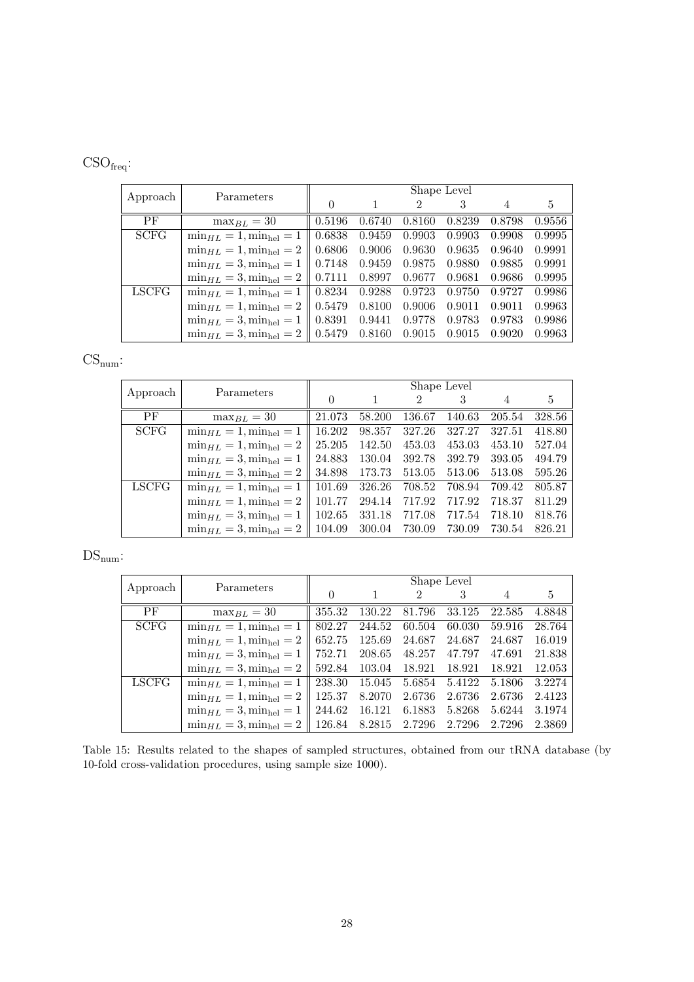# CSOfreq:

|             | Parameters                                       | Shape Level |        |        |        |        |        |  |  |
|-------------|--------------------------------------------------|-------------|--------|--------|--------|--------|--------|--|--|
| Approach    |                                                  | $\Omega$    |        | 2      | 3      |        | 5      |  |  |
| PF          | $\max_{BL} = 30$                                 | 0.5196      | 0.6740 | 0.8160 | 0.8239 | 0.8798 | 0.9556 |  |  |
| <b>SCFG</b> | $\min_{HL} = 1$ , $\min_{hel} = 1$               | 0.6838      | 0.9459 | 0.9903 | 0.9903 | 0.9908 | 0.9995 |  |  |
|             | $\min_{HL} = 1$ , $\min_{hel} = 2$               | 0.6806      | 0.9006 | 0.9630 | 0.9635 | 0.9640 | 0.9991 |  |  |
|             | $\min_{HL} = 3, \min_{hel} = 1$                  | 0.7148      | 0.9459 | 0.9875 | 0.9880 | 0.9885 | 0.9991 |  |  |
|             | $\min_{HL} = 3, \min_{hel} = 2 \parallel 0.7111$ |             | 0.8997 | 0.9677 | 0.9681 | 0.9686 | 0.9995 |  |  |
| LSCFG       | $\min_{HL} = 1, \min_{hel} = 1$                  | 0.8234      | 0.9288 | 0.9723 | 0.9750 | 0.9727 | 0.9986 |  |  |
|             | $\min_{HL} = 1$ , $\min_{hel} = 2$               | 0.5479      | 0.8100 | 0.9006 | 0.9011 | 0.9011 | 0.9963 |  |  |
|             | $\min_{HL} = 3$ , $\min_{hel} = 1$               | 0.8391      | 0.9441 | 0.9778 | 0.9783 | 0.9783 | 0.9986 |  |  |
|             | $\min_{HL} = 3, \min_{hel} = 2 \parallel 0.5479$ |             | 0.8160 | 0.9015 | 0.9015 | 0.9020 | 0.9963 |  |  |

# $CS_{num}$ :

|              | Parameters                          | Shape Level |        |        |        |        |                |  |  |
|--------------|-------------------------------------|-------------|--------|--------|--------|--------|----------------|--|--|
| Approach     |                                     |             |        | 2      |        |        | $\mathfrak{h}$ |  |  |
| <b>PF</b>    | $\max_{BL} = 30$                    | 21.073      | 58.200 | 136.67 | 140.63 | 205.54 | 328.56         |  |  |
| <b>SCFG</b>  | $\min_{H/L} = 1$ , $\min_{hel} = 1$ | 16.202      | 98.357 | 327.26 | 327.27 | 327.51 | 418.80         |  |  |
|              | $\min_{HL} = 1, \min_{hel} = 2$     | 25.205      | 142.50 | 453.03 | 453.03 | 453.10 | 527.04         |  |  |
|              | $\min_{HL} = 3, \min_{hel} = 1$     | 24.883      | 130.04 | 392.78 | 392.79 | 393.05 | 494.79         |  |  |
|              | $\min_{HL} = 3, \min_{hel} = 2$     | 34.898      | 173.73 | 513.05 | 513.06 | 513.08 | 595.26         |  |  |
| <b>LSCFG</b> | $\min_{HL} = 1, \min_{hel} = 1$     | 101.69      | 326.26 | 708.52 | 708.94 | 709.42 | 805.87         |  |  |
|              | $\min_{HL} = 1, \min_{hel} = 2$     | 101.77      | 294.14 | 717.92 | 717.92 | 718.37 | 811.29         |  |  |
|              | $\min_{HL} = 3$ , $\min_{hel} = 1$  | 102.65      | 331.18 | 717.08 | 717.54 | 718.10 | 818.76         |  |  |
|              | $\min_{HL} = 3, \min_{hel} = 2$     | 104.09      | 300.04 | 730.09 | 730.09 | 730.54 | 826.21         |  |  |

# $\mathrm{DS}_{\mathrm{num}}$  :

| Approach     | Parameters                                          | Shape Level      |        |        |        |        |        |  |  |
|--------------|-----------------------------------------------------|------------------|--------|--------|--------|--------|--------|--|--|
|              |                                                     | $\left( \right)$ |        | 2      |        |        | 5      |  |  |
| PF           | $\max_{BL} = 30$                                    | 355.32           | 130.22 | 81.796 | 33.125 | 22.585 | 4.8848 |  |  |
| <b>SCFG</b>  | $\min_{HL} = 1$ , $\min_{hel} = 1$                  | 802.27           | 244.52 | 60.504 | 60.030 | 59.916 | 28.764 |  |  |
|              | $\min_{HL} = 1, \min_{hel} = 2$                     | 652.75           | 125.69 | 24.687 | 24.687 | 24.687 | 16.019 |  |  |
|              | $\min_{HL} = 3$ , $\min_{hel} = 1$                  | 752.71           | 208.65 | 48.257 | 47.797 | 47.691 | 21.838 |  |  |
|              | $\min_{HL} = 3$ , $\min_{hel} = 2$                  | 592.84           | 103.04 | 18.921 | 18.921 | 18.921 | 12.053 |  |  |
| <b>LSCFG</b> | $\min_{H L} = 1, \min_{\text{hel}} = 1$             | 238.30           | 15.045 | 5.6854 | 5.4122 | 5.1806 | 3.2274 |  |  |
|              | $\min_{HL} = 1, \min_{hel} = 2$                     | 125.37           | 8.2070 | 2.6736 | 2.6736 | 2.6736 | 2.4123 |  |  |
|              | $\min_{HL} = 3, \min_{hel} = 1$                     | 244.62           | 16.121 | 6.1883 | 5.8268 | 5.6244 | 3.1974 |  |  |
|              | $\min_{HL} = 3$ , $\min_{hel} = 2 \parallel 126.84$ |                  | 8.2815 | 2.7296 | 2.7296 | 2.7296 | 2.3869 |  |  |

Table 15: Results related to the shapes of sampled structures, obtained from our tRNA database (by 10-fold cross-validation procedures, using sample size 1000).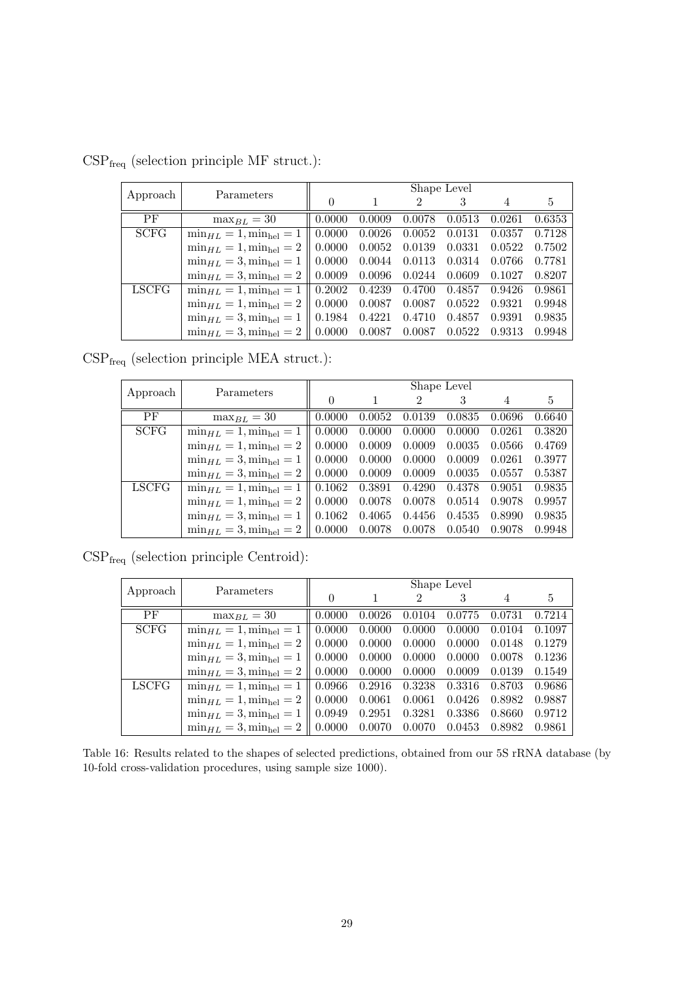| Approach     | Parameters                         |                    |        |                | Shape Level |        |        |
|--------------|------------------------------------|--------------------|--------|----------------|-------------|--------|--------|
|              |                                    | $\theta$           |        | $\mathfrak{D}$ | 3           | 4      | 5      |
| PF           | $\max_{BL} = 30$                   | 0.0000             | 0.0009 | 0.0078         | 0.0513      | 0.0261 | 0.6353 |
| <b>SCFG</b>  | $\min_{HL} = 1, \min_{hel} = 1$    | 0.0000             | 0.0026 | 0.0052         | 0.0131      | 0.0357 | 0.7128 |
|              | $\min_{HL} = 1$ , $\min_{hel} = 2$ | 0.0000             | 0.0052 | 0.0139         | 0.0331      | 0.0522 | 0.7502 |
|              | $\min_{HL} = 3$ , $\min_{hel} = 1$ | 0.0000             | 0.0044 | 0.0113         | 0.0314      | 0.0766 | 0.7781 |
|              | $\min_{HL} = 3, \min_{hel} = 2$    | 0.0009             | 0.0096 | 0.0244         | 0.0609      | 0.1027 | 0.8207 |
| <b>LSCFG</b> | $\min_{HL} = 1$ , $\min_{hel} = 1$ | $\mid 0.2002 \mid$ | 0.4239 | 0.4700         | 0.4857      | 0.9426 | 0.9861 |
|              | $\min_{HL} = 1, \min_{hel} = 2$    | 0.0000             | 0.0087 | 0.0087         | 0.0522      | 0.9321 | 0.9948 |
|              | $\min_{HL} = 3, \min_{hel} = 1$    | 0.1984             | 0.4221 | 0.4710         | 0.4857      | 0.9391 | 0.9835 |
|              | $\min_{HL} = 3, \min_{hel} = 2$    | 0.0000             | 0.0087 | 0.0087         | 0.0522      | 0.9313 | 0.9948 |

 $\mathrm{CSP}_\mathrm{freq}$  (selection principle MF struct.):

 $\mathrm{CSP}_\mathrm{freq}$  (selection principle MEA struct.):

| Approach     | Parameters                                       |                    |        |                | Shape Level |        |        |
|--------------|--------------------------------------------------|--------------------|--------|----------------|-------------|--------|--------|
|              |                                                  |                    |        | $\mathfrak{D}$ |             | 4      | 5      |
| PF           | $\max_{BL} = 30$                                 | 0.0000             | 0.0052 | 0.0139         | 0.0835      | 0.0696 | 0.6640 |
| <b>SCFG</b>  | $\min_{HL} = 1$ , $\min_{hel} = 1$               | 0.0000             | 0.0000 | 0.0000         | 0.0000      | 0.0261 | 0.3820 |
|              | $\min_{HL} = 1$ , $\min_{hel} = 2$               | 0.0000             | 0.0009 | 0.0009         | 0.0035      | 0.0566 | 0.4769 |
|              | $\min_{HL} = 3, \min_{hel} = 1$                  | 0.0000             | 0.0000 | 0.0000         | 0.0009      | 0.0261 | 0.3977 |
|              | $\min_{HL} = 3, \min_{hel} = 2$                  | 0.0000             | 0.0009 | 0.0009         | 0.0035      | 0.0557 | 0.5387 |
| <b>LSCFG</b> | $\min_{H} L = 1, \min_{\text{hel}} = 1$          | $\parallel 0.1062$ | 0.3891 | 0.4290         | 0.4378      | 0.9051 | 0.9835 |
|              | $\min_{HL} = 1$ , $\min_{hel} = 2$               | 0.0000             | 0.0078 | 0.0078         | 0.0514      | 0.9078 | 0.9957 |
|              | $\min_{HL} = 3, \min_{hel} = 1$                  | $ 0.1062\rangle$   | 0.4065 | 0.4456         | 0.4535      | 0.8990 | 0.9835 |
|              | $\min_{HL} = 3, \min_{hel} = 2 \parallel 0.0000$ |                    | 0.0078 | 0.0078         | 0.0540      | 0.9078 | 0.9948 |

 $\mathrm{CSP}_\mathrm{freq}$  (selection principle Centroid):

| Approach    | Parameters                         |        |        |        | Shape Level |        |        |
|-------------|------------------------------------|--------|--------|--------|-------------|--------|--------|
|             |                                    |        |        | 2      |             |        | 5      |
| PF          | $\max_{B} I_{\ell} = 30$           | 0.0000 | 0.0026 | 0.0104 | 0.0775      | 0.0731 | 0.7214 |
| <b>SCFG</b> | $\min_{HL} = 1, \min_{hel} = 1$    | 0.0000 | 0.0000 | 0.0000 | 0.0000      | 0.0104 | 0.1097 |
|             | $\min_{HL} = 1$ , $\min_{hel} = 2$ | 0.0000 | 0.0000 | 0.0000 | 0.0000      | 0.0148 | 0.1279 |
|             | $\min_{HL} = 3$ , $\min_{hel} = 1$ | 0.0000 | 0.0000 | 0.0000 | 0.0000      | 0.0078 | 0.1236 |
|             | $\min_{HL} = 3$ , $\min_{hel} = 2$ | 0.0000 | 0.0000 | 0.0000 | 0.0009      | 0.0139 | 0.1549 |
| LSCFG       | $\min_{HL} = 1$ , $\min_{hel} = 1$ | 0.0966 | 0.2916 | 0.3238 | 0.3316      | 0.8703 | 0.9686 |
|             | $\min_{HL} = 1$ , $\min_{hel} = 2$ | 0.0000 | 0.0061 | 0.0061 | 0.0426      | 0.8982 | 0.9887 |
|             | $\min_{HL} = 3, \min_{hel} = 1$    | 0.0949 | 0.2951 | 0.3281 | 0.3386      | 0.8660 | 0.9712 |
|             | $\min_{HL} = 3$ , $\min_{hel} = 2$ | 0.0000 | 0.0070 | 0.0070 | 0.0453      | 0.8982 | 0.9861 |

Table 16: Results related to the shapes of selected predictions, obtained from our 5S rRNA database (by 10-fold cross-validation procedures, using sample size 1000).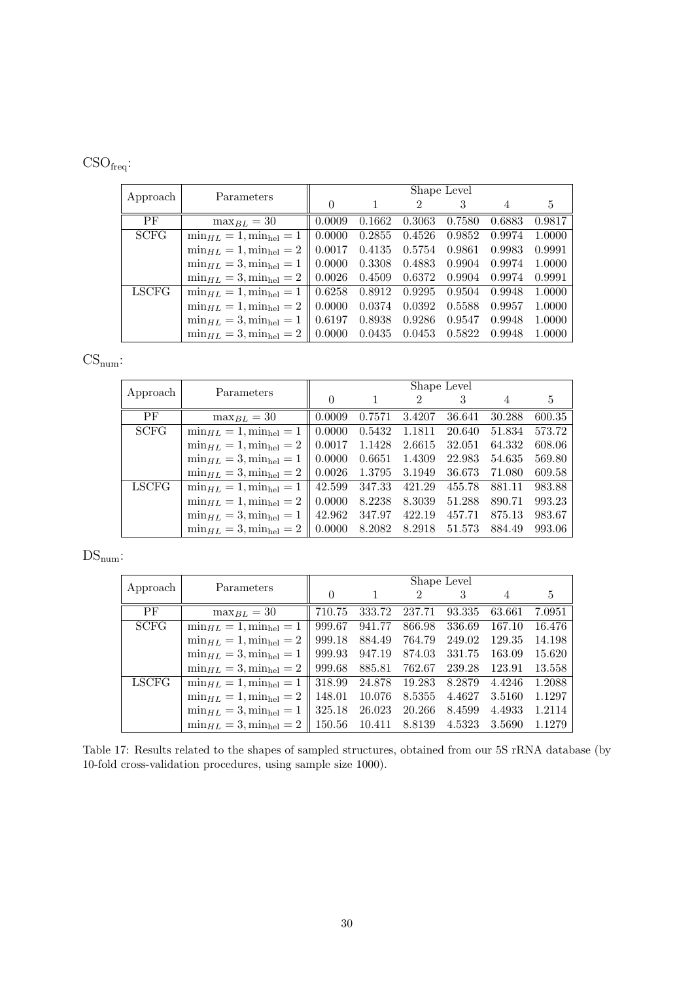# CSOfreq:

|             | Parameters                         | Shape Level        |        |                             |        |        |        |  |  |
|-------------|------------------------------------|--------------------|--------|-----------------------------|--------|--------|--------|--|--|
| Approach    |                                    |                    |        | $\mathcal{D}_{\mathcal{L}}$ |        |        | 5      |  |  |
| PF          | $\max_{BL} = 30$                   | 0.0009             | 0.1662 | 0.3063                      | 0.7580 | 0.6883 | 0.9817 |  |  |
| <b>SCFG</b> | $\min_{HL} = 1$ , $\min_{hel} = 1$ | 0.0000             | 0.2855 | 0.4526                      | 0.9852 | 0.9974 | 1.0000 |  |  |
|             | $\min_{HL} = 1, \min_{hel} = 2$    | 0.0017             | 0.4135 | 0.5754                      | 0.9861 | 0.9983 | 0.9991 |  |  |
|             | $\min_{HL} = 3$ , $\min_{hel} = 1$ | 0.0000             | 0.3308 | 0.4883                      | 0.9904 | 0.9974 | 1.0000 |  |  |
|             | $\min_{HL} = 3, \min_{hel} = 2$    | $\mid 0.0026 \mid$ | 0.4509 | 0.6372                      | 0.9904 | 0.9974 | 0.9991 |  |  |
| LSCFG       | $\min_{HL} = 1$ , $\min_{hel} = 1$ | 0.6258             | 0.8912 | 0.9295                      | 0.9504 | 0.9948 | 1.0000 |  |  |
|             | $\min_{HL} = 1, \min_{hel} = 2$    | 0.0000             | 0.0374 | 0.0392                      | 0.5588 | 0.9957 | 1.0000 |  |  |
|             | $\min_{HL} = 3, \min_{hel} = 1$    | $\mid 0.6197 \mid$ | 0.8938 | 0.9286                      | 0.9547 | 0.9948 | 1.0000 |  |  |
|             | $\min_{HL} = 3, \min_{hel} = 2$    | 0.0000             | 0.0435 | 0.0453                      | 0.5822 | 0.9948 | 1.0000 |  |  |

# $CS_{num}$ :

|              | Parameters                                          | Shape Level        |        |        |        |        |        |  |  |
|--------------|-----------------------------------------------------|--------------------|--------|--------|--------|--------|--------|--|--|
| Approach     |                                                     | $\theta$           |        | 2      |        | 4      | 5      |  |  |
| PF           | $\max_{B} I_{\ell} = 30$                            | 0.0009             | 0.7571 | 3.4207 | 36.641 | 30.288 | 600.35 |  |  |
| <b>SCFG</b>  | $\min_{HL} = 1$ , $\min_{hel} = 1$                  | 0.0000             | 0.5432 | 1.1811 | 20.640 | 51.834 | 573.72 |  |  |
|              | $\min_{HL} = 1, \min_{hel} = 2$                     | 0.0017             | 1.1428 | 2.6615 | 32.051 | 64.332 | 608.06 |  |  |
|              | $\min_{HL} = 3$ , $\min_{hel} = 1$                  | 0.0000             | 0.6651 | 1.4309 | 22.983 | 54.635 | 569.80 |  |  |
|              | $\min_{HL} = 3, \min_{hel} = 2$                     | $\parallel 0.0026$ | 1.3795 | 3.1949 | 36.673 | 71.080 | 609.58 |  |  |
| <b>LSCFG</b> | $\min_{HL} = 1, \min_{hel} = 1$                     | 42.599             | 347.33 | 421.29 | 455.78 | 881.11 | 983.88 |  |  |
|              | $\min_{HL} = 1$ , $\min_{hel} = 2 \parallel 0.0000$ |                    | 8.2238 | 8.3039 | 51.288 | 890.71 | 993.23 |  |  |
|              | $\min_{HL} = 3, \min_{hel} = 1$                     | 42.962             | 347.97 | 422.19 | 457.71 | 875.13 | 983.67 |  |  |
|              | $\min_{HL} = 3, \min_{hel} = 2$                     | $\parallel 0.0000$ | 8.2082 | 8.2918 | 51.573 | 884.49 | 993.06 |  |  |

# $\mathrm{DS}_{\mathrm{num}}$  :

| Approach     | Parameters                         | Shape Level      |        |        |        |        |        |  |  |
|--------------|------------------------------------|------------------|--------|--------|--------|--------|--------|--|--|
|              |                                    | $\left( \right)$ |        | 2      |        |        | 5      |  |  |
| PF           | $\max_{BL} = 30$                   | 710.75           | 333.72 | 237.71 | 93.335 | 63.661 | 7.0951 |  |  |
| <b>SCFG</b>  | $\min_{HL} = 1$ , $\min_{hel} = 1$ | 999.67           | 941.77 | 866.98 | 336.69 | 167.10 | 16.476 |  |  |
|              | $\min_{HL} = 1, \min_{hel} = 2$    | 999.18           | 884.49 | 764.79 | 249.02 | 129.35 | 14.198 |  |  |
|              | $\min_{HL} = 3, \min_{hel} = 1$    | 999.93           | 947.19 | 874.03 | 331.75 | 163.09 | 15.620 |  |  |
|              | $\min_{HL} = 3$ , $\min_{hel} = 2$ | 999.68           | 885.81 | 762.67 | 239.28 | 123.91 | 13.558 |  |  |
| <b>LSCFG</b> | $\min_{HL} = 1, \min_{hel} = 1$    | 318.99           | 24.878 | 19.283 | 8.2879 | 4.4246 | 1.2088 |  |  |
|              | $\min_{HL} = 1$ , $\min_{hel} = 2$ | 148.01           | 10.076 | 8.5355 | 4.4627 | 3.5160 | 1.1297 |  |  |
|              | $\min_{HL} = 3, \min_{hel} = 1$    | 325.18           | 26.023 | 20.266 | 8.4599 | 4.4933 | 1.2114 |  |  |
|              | $\min_{HL} = 3$ , $\min_{hel} = 2$ | 150.56           | 10.411 | 8.8139 | 4.5323 | 3.5690 | 1.1279 |  |  |

Table 17: Results related to the shapes of sampled structures, obtained from our 5S rRNA database (by 10-fold cross-validation procedures, using sample size 1000).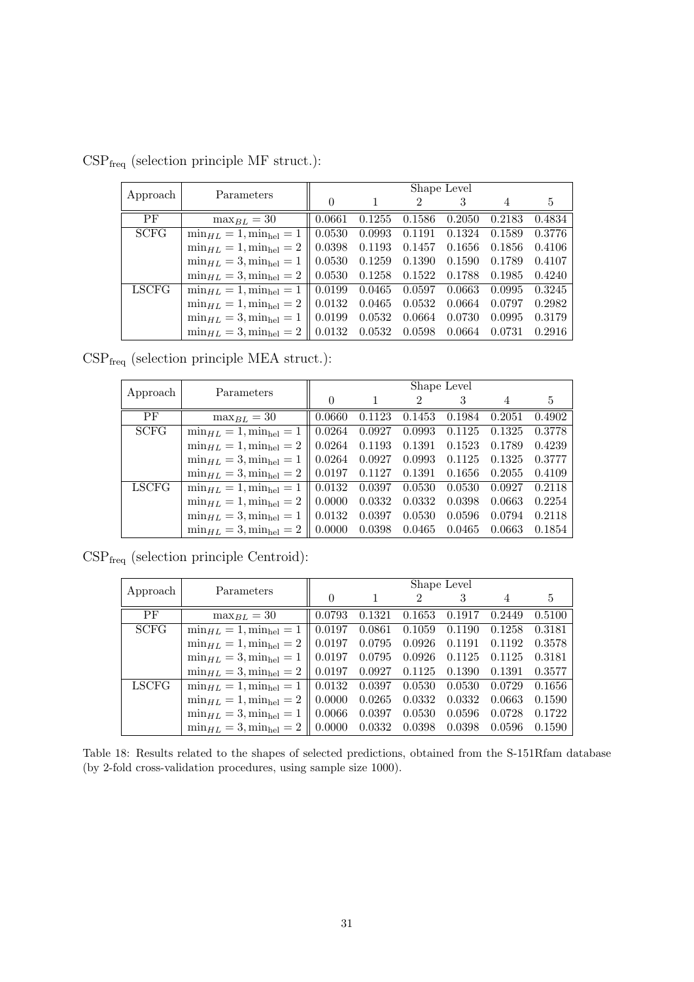| Approach     | Parameters                                                       | Shape Level        |                   |                |        |        |        |  |  |
|--------------|------------------------------------------------------------------|--------------------|-------------------|----------------|--------|--------|--------|--|--|
|              |                                                                  | $\left( \right)$   |                   | $\mathfrak{D}$ | 3      | 4      | 5      |  |  |
| PF           | $\max_{BL} = 30$                                                 | 0.0661             | 0.1255            | 0.1586         | 0.2050 | 0.2183 | 0.4834 |  |  |
| <b>SCFG</b>  | $\min_{HL} = 1$ , $\min_{hel} = 1$                               | 0.0530             | 0.0993            | 0.1191         | 0.1324 | 0.1589 | 0.3776 |  |  |
|              | $\min_{HL} = 1$ , $\min_{hel} = 2$                               | 0.0398             | 0.1193            | 0.1457         | 0.1656 | 0.1856 | 0.4106 |  |  |
|              | $\min_{HL} = 3, \min_{hel} = 1$                                  | 0.0530             | 0.1259            | 0.1390         | 0.1590 | 0.1789 | 0.4107 |  |  |
|              | $\min_{HL} = 3$ , $\min_{hel} = 2$                               | $\mid 0.0530 \mid$ | $0.1258$ $0.1522$ |                | 0.1788 | 0.1985 | 0.4240 |  |  |
| <b>LSCFG</b> | $\min_{HL} = 1, \min_{hel} = 1 \parallel 0.0199$                 |                    | $0.0465$ 0.0597   |                | 0.0663 | 0.0995 | 0.3245 |  |  |
|              | $\min_{HL} = 1, \min_{hel} = 2$                                  | $\parallel 0.0132$ | 0.0465            | 0.0532         | 0.0664 | 0.0797 | 0.2982 |  |  |
|              | $\min_{HL} = 3, \min_{hel} = 1$                                  | $\mid 0.0199$      | 0.0532            | 0.0664         | 0.0730 | 0.0995 | 0.3179 |  |  |
|              | $\min_{HL} = 3$ , $\min_{hel} = 2 \parallel 0.0132 \quad 0.0532$ |                    |                   | 0.0598         | 0.0664 | 0.0731 | 0.2916 |  |  |

 $\mathrm{CSP}_\mathrm{freq}$  (selection principle MF struct.):

 $\mathrm{CSP}_\mathrm{freq}$  (selection principle MEA struct.):

| Approach     | Parameters                         | Shape Level        |        |                |        |        |        |  |  |
|--------------|------------------------------------|--------------------|--------|----------------|--------|--------|--------|--|--|
|              |                                    | 0                  |        | $\mathfrak{D}$ |        | 4      | 5      |  |  |
| PF           | $\max_{BL} = 30$                   | 0.0660             | 0.1123 | 0.1453         | 0.1984 | 0.2051 | 0.4902 |  |  |
| <b>SCFG</b>  | $\min_{HL} = 1$ , $\min_{hel} = 1$ | 0.0264             | 0.0927 | 0.0993         | 0.1125 | 0.1325 | 0.3778 |  |  |
|              | $\min_{HL} = 1$ , $\min_{hel} = 2$ | 0.0264             | 0.1193 | 0.1391         | 0.1523 | 0.1789 | 0.4239 |  |  |
|              | $\min_{HL} = 3, \min_{hel} = 1$    | 0.0264             | 0.0927 | 0.0993         | 0.1125 | 0.1325 | 0.3777 |  |  |
|              | $\min_{HL} = 3, \min_{hel} = 2$    | $\mid 0.0197 \mid$ | 0.1127 | 0.1391         | 0.1656 | 0.2055 | 0.4109 |  |  |
| <b>LSCFG</b> | $\min_{HL} = 1$ , $\min_{hel} = 1$ | 0.0132             | 0.0397 | 0.0530         | 0.0530 | 0.0927 | 0.2118 |  |  |
|              | $\min_{HL} = 1, \min_{hel} = 2$    | 0.0000             | 0.0332 | 0.0332         | 0.0398 | 0.0663 | 0.2254 |  |  |
|              | $\min_{HL} = 3, \min_{hel} = 1$    | 0.0132             | 0.0397 | 0.0530         | 0.0596 | 0.0794 | 0.2118 |  |  |
|              | $\min_{HL} = 3$ , $\min_{hel} = 2$ | 0.0000             | 0.0398 | 0.0465         | 0.0465 | 0.0663 | 0.1854 |  |  |

 $\mathrm{CSP}_\mathrm{freq}$  (selection principle Centroid):

| Approach     | Parameters                                                    | Shape Level                                     |        |                |                 |        |        |  |  |
|--------------|---------------------------------------------------------------|-------------------------------------------------|--------|----------------|-----------------|--------|--------|--|--|
|              |                                                               | $\left( \right)$                                |        | $\mathfrak{D}$ |                 |        | 5      |  |  |
| <b>PF</b>    | $\max_{BL} = 30$                                              | 0.0793                                          | 0.1321 | 0.1653         | 0.1917          | 0.2449 | 0.5100 |  |  |
| <b>SCFG</b>  | $\min_{HL} = 1, \min_{hel} = 1$                               | $\mid 0.0197 \mid$                              | 0.0861 | 0.1059         | 0.1190          | 0.1258 | 0.3181 |  |  |
|              | $\min_{HL} = 1, \min_{hel} = 2$                               | 0.0197                                          | 0.0795 | 0.0926         | 0.1191          | 0.1192 | 0.3578 |  |  |
|              | $\min_{HL} = 3$ , $\min_{hel} = 1$                            | $\begin{array}{ c} 0.0197 & 0.0795 \end{array}$ |        | $0.0926\,$     | 0.1125          | 0.1125 | 0.3181 |  |  |
|              | $\min_{HL} = 3, \min_{hel} = 2 \parallel 0.0197 \quad 0.0927$ |                                                 |        |                | $0.1125$ 0.1390 | 0.1391 | 0.3577 |  |  |
| <b>LSCFG</b> | $\min_{HL} = 1, \min_{hel} = 1$                               | $\mid 0.0132 \mid$                              | 0.0397 | 0.0530         | 0.0530          | 0.0729 | 0.1656 |  |  |
|              | $\min_{HL} = 1, \min_{hel} = 2$                               | $\mid 0.0000 \mid$                              | 0.0265 | 0.0332         | 0.0332          | 0.0663 | 0.1590 |  |  |
|              | $\min_{HL} = 3$ , $\min_{hel} = 1$                            | $\mid 0.0066 \mid$                              | 0.0397 | 0.0530         | 0.0596          | 0.0728 | 0.1722 |  |  |
|              | $\min_{HL} = 3, \min_{hel} = 2 \parallel 0.0000$              |                                                 | 0.0332 | 0.0398         | 0.0398          | 0.0596 | 0.1590 |  |  |

Table 18: Results related to the shapes of selected predictions, obtained from the S-151Rfam database (by 2-fold cross-validation procedures, using sample size 1000).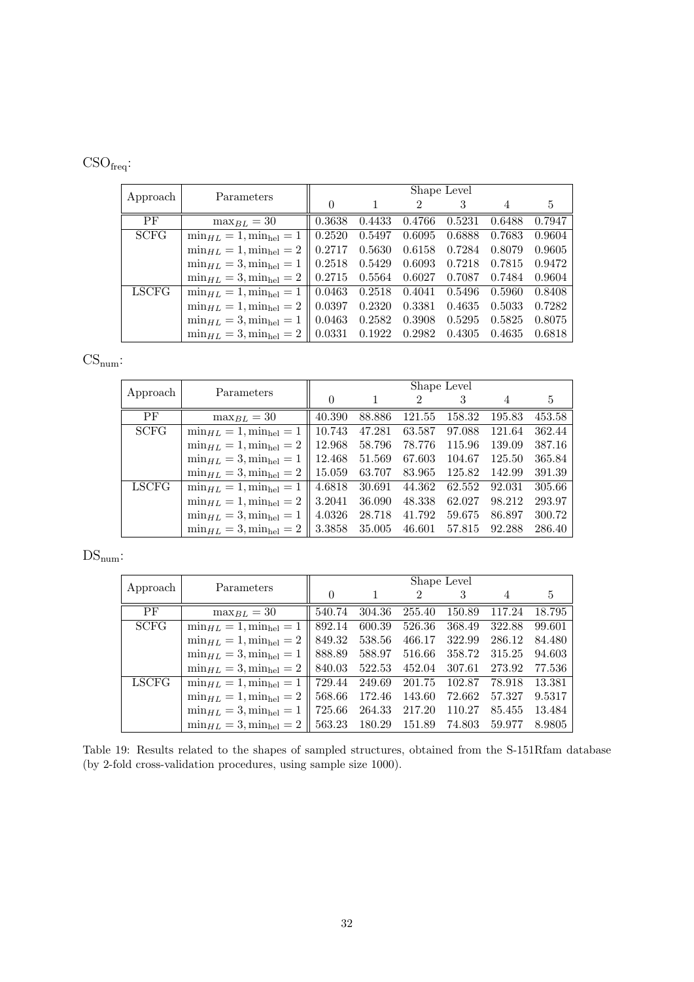# <span id="page-31-0"></span>CSOfreq:

|              | Parameters                                                    | Shape Level        |        |                             |        |        |        |  |  |
|--------------|---------------------------------------------------------------|--------------------|--------|-----------------------------|--------|--------|--------|--|--|
| Approach     |                                                               |                    |        | $\mathcal{D}_{\mathcal{L}}$ |        |        | 5      |  |  |
| PF           | $\max_{BL} = 30$                                              | 0.3638             | 0.4433 | 0.4766                      | 0.5231 | 0.6488 | 0.7947 |  |  |
| <b>SCFG</b>  | $\min_{HL} = 1$ , $\min_{hel} = 1$                            | 0.2520             | 0.5497 | 0.6095                      | 0.6888 | 0.7683 | 0.9604 |  |  |
|              | $\min_{HL} = 1, \min_{hel} = 2$                               | 0.2717             | 0.5630 | 0.6158                      | 0.7284 | 0.8079 | 0.9605 |  |  |
|              | $\min_{HL} = 3, \min_{hel} = 1$                               | 0.2518             | 0.5429 | 0.6093                      | 0.7218 | 0.7815 | 0.9472 |  |  |
|              | $\min_{HL} = 3, \min_{hel} = 2$                               | $\mid 0.2715 \mid$ | 0.5564 | 0.6027                      | 0.7087 | 0.7484 | 0.9604 |  |  |
| <b>LSCFG</b> | $\min_{HL} = 1, \min_{hel} = 1$                               | $\pm 0.0463$       | 0.2518 | 0.4041                      | 0.5496 | 0.5960 | 0.8408 |  |  |
|              | $\min_{HL} = 1, \min_{hel} = 2$                               | 0.0397             | 0.2320 | 0.3381                      | 0.4635 | 0.5033 | 0.7282 |  |  |
|              | $\min_{HL} = 3, \min_{hel} = 1$                               | 0.0463             | 0.2582 | 0.3908                      | 0.5295 | 0.5825 | 0.8075 |  |  |
|              | $\min_{HL} = 3, \min_{hel} = 2 \parallel 0.0331 \quad 0.1922$ |                    |        | 0.2982                      | 0.4305 | 0.4635 | 0.6818 |  |  |

# $CS_{num}$ :

|              | Parameters                                       | Shape Level |        |        |        |        |                |  |
|--------------|--------------------------------------------------|-------------|--------|--------|--------|--------|----------------|--|
| Approach     |                                                  |             |        | 2      |        |        | $\mathfrak{h}$ |  |
| <b>PF</b>    | $\max_{BL} = 30$                                 | 40.390      | 88.886 | 121.55 | 158.32 | 195.83 | 453.58         |  |
| <b>SCFG</b>  | $\min_{H/L} = 1$ , $\min_{hel} = 1$              | 10.743      | 47.281 | 63.587 | 97.088 | 121.64 | 362.44         |  |
|              | $\min_{HL} = 1, \min_{hel} = 2$                  | 12.968      | 58.796 | 78.776 | 115.96 | 139.09 | 387.16         |  |
|              | $\min_{HL} = 3, \min_{hel} = 1$                  | 12.468      | 51.569 | 67.603 | 104.67 | 125.50 | 365.84         |  |
|              | $\min_{HL} = 3, \min_{hel} = 2$                  | 15.059      | 63.707 | 83.965 | 125.82 | 142.99 | 391.39         |  |
| <b>LSCFG</b> | $\min_{HL} = 1, \min_{hel} = 1$                  | 4.6818      | 30.691 | 44.362 | 62.552 | 92.031 | 305.66         |  |
|              | $\min_{HL} = 1, \min_{hel} = 2$                  | 3.2041      | 36.090 | 48.338 | 62.027 | 98.212 | 293.97         |  |
|              | $\min_{HL} = 3$ , $\min_{hel} = 1$               | 4.0326      | 28.718 | 41.792 | 59.675 | 86.897 | 300.72         |  |
|              | $\min_{HL} = 3, \min_{hel} = 2 \parallel 3.3858$ |             | 35.005 | 46.601 | 57.815 | 92.288 | 286.40         |  |

# $\mathrm{DS}_{\mathrm{num}}$  :

| Approach     | Parameters                                       | Shape Level |        |        |        |        |        |  |  |
|--------------|--------------------------------------------------|-------------|--------|--------|--------|--------|--------|--|--|
|              |                                                  | $\theta$    |        | 2      |        |        | 5      |  |  |
| PF           | $\max_{BL} = 30$                                 | 540.74      | 304.36 | 255.40 | 150.89 | 117.24 | 18.795 |  |  |
| <b>SCFG</b>  | $\min_{HL} = 1$ , $\min_{hel} = 1$               | 892.14      | 600.39 | 526.36 | 368.49 | 322.88 | 99.601 |  |  |
|              | $\min_{HL} = 1, \min_{hel} = 2$                  | 849.32      | 538.56 | 466.17 | 322.99 | 286.12 | 84.480 |  |  |
|              | $\min_{HL} = 3$ , $\min_{hel} = 1$               | 888.89      | 588.97 | 516.66 | 358.72 | 315.25 | 94.603 |  |  |
|              | $\min_{HL} = 3$ , $\min_{hel} = 2$               | 840.03      | 522.53 | 452.04 | 307.61 | 273.92 | 77.536 |  |  |
| <b>LSCFG</b> | $\min_{H/L} = 1$ , $\min_{h \in \mathbb{I}} = 1$ | 729.44      | 249.69 | 201.75 | 102.87 | 78.918 | 13.381 |  |  |
|              | $\min_{HL} = 1, \min_{hel} = 2$                  | 568.66      | 172.46 | 143.60 | 72.662 | 57.327 | 9.5317 |  |  |
|              | $\min_{HL} = 3, \min_{hel} = 1$                  | 725.66      | 264.33 | 217.20 | 110.27 | 85.455 | 13.484 |  |  |
|              | $\min_{HL} = 3, \min_{hel} = 2$                  | 563.23      | 180.29 | 151.89 | 74.803 | 59.977 | 8.9805 |  |  |

Table 19: Results related to the shapes of sampled structures, obtained from the S-151Rfam database (by 2-fold cross-validation procedures, using sample size 1000).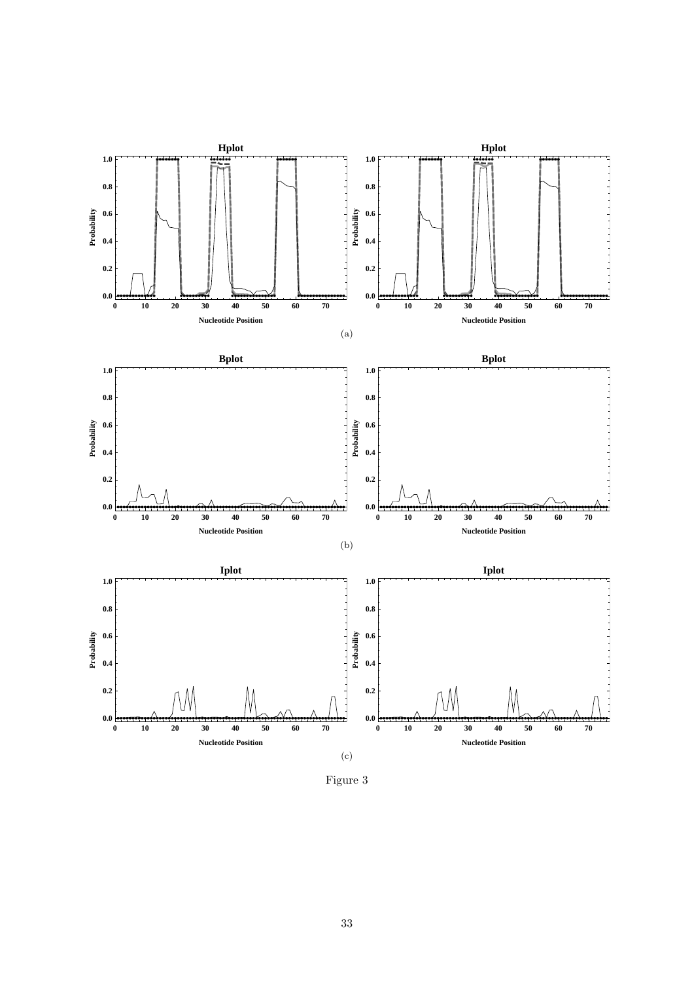

Figure 3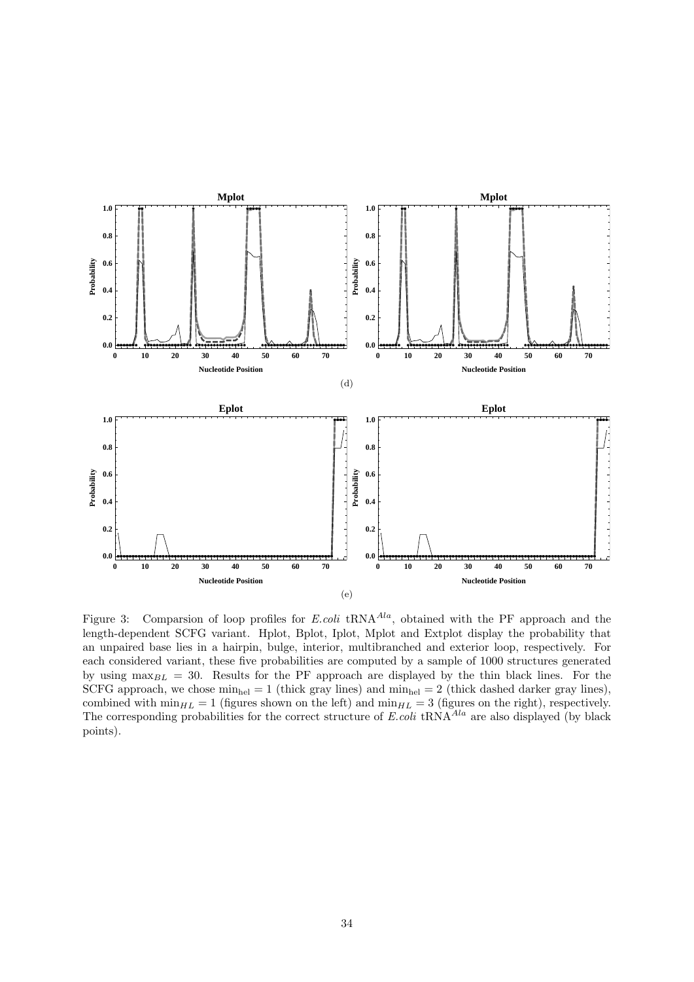<span id="page-33-0"></span>

Figure 3: Comparsion of loop profiles for  $E. coli$  tRNA<sup> $A la$ </sup>, obtained with the PF approach and the length-dependent SCFG variant. Hplot, Bplot, Iplot, Mplot and Extplot display the probability that an unpaired base lies in a hairpin, bulge, interior, multibranched and exterior loop, respectively. For each considered variant, these five probabilities are computed by a sample of 1000 structures generated by using  $\max_{BL}$  = 30. Results for the PF approach are displayed by the thin black lines. For the SCFG approach, we chose  $\min_{hel} = 1$  (thick gray lines) and  $\min_{hel} = 2$  (thick dashed darker gray lines), combined with  $\min_{HL} = 1$  (figures shown on the left) and  $\min_{HL} = 3$  (figures on the right), respectively. The corresponding probabilities for the correct structure of  $E.\text{coli tRNA}^{Ala}$  are also displayed (by black points).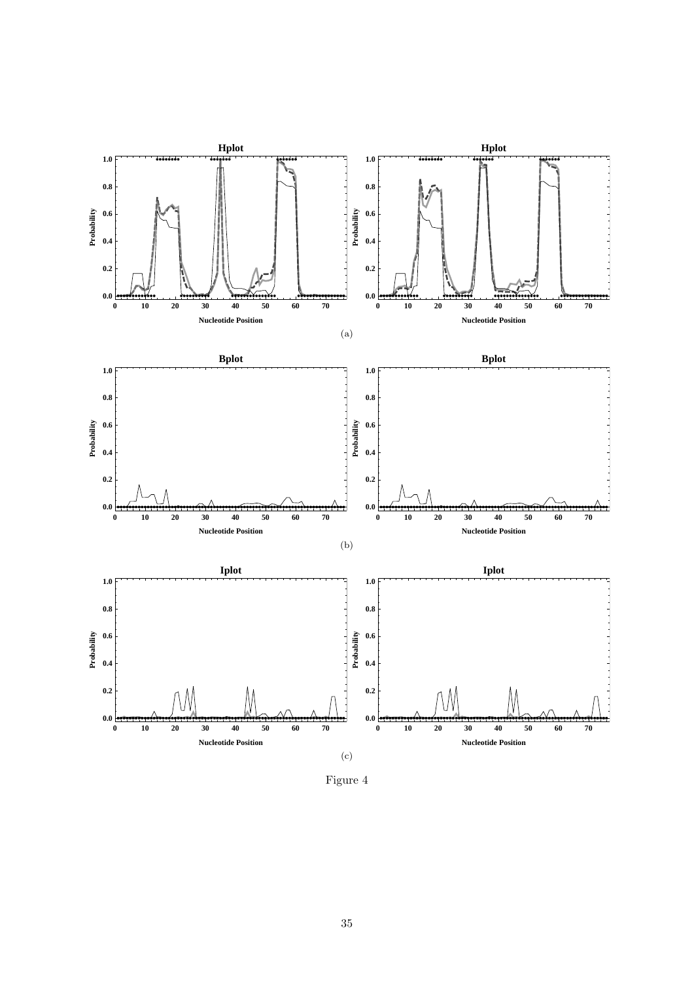

Figure 4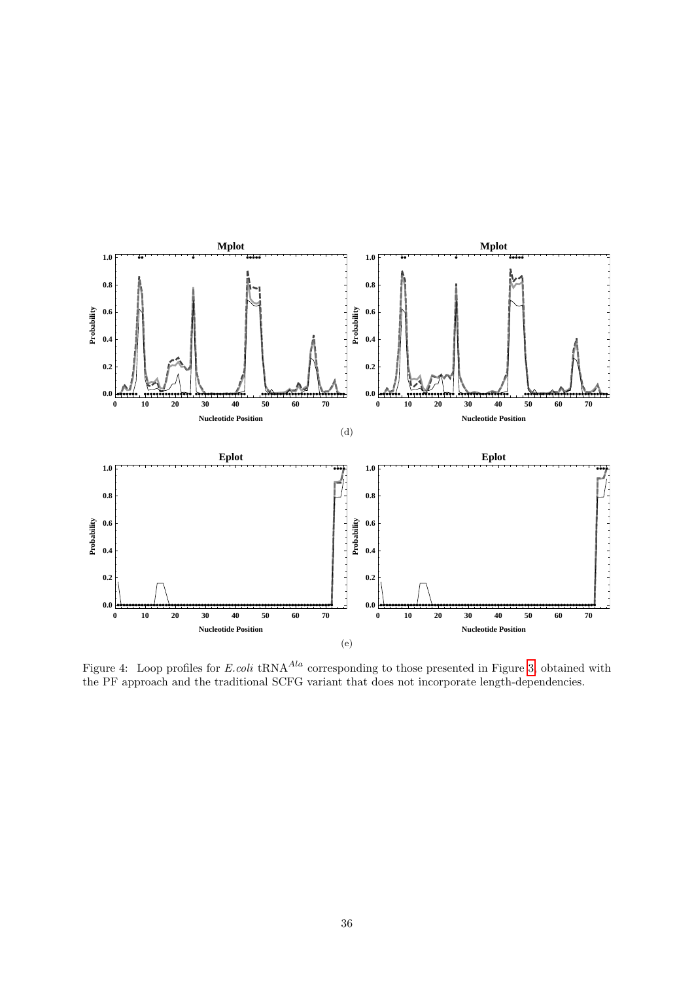<span id="page-35-0"></span>

Figure 4: Loop profiles for E.coli tRNA<sup> $A la$ </sup> corresponding to those presented in Figure [3,](#page-33-0) obtained with the PF approach and the traditional SCFG variant that does not incorporate length-dependencies.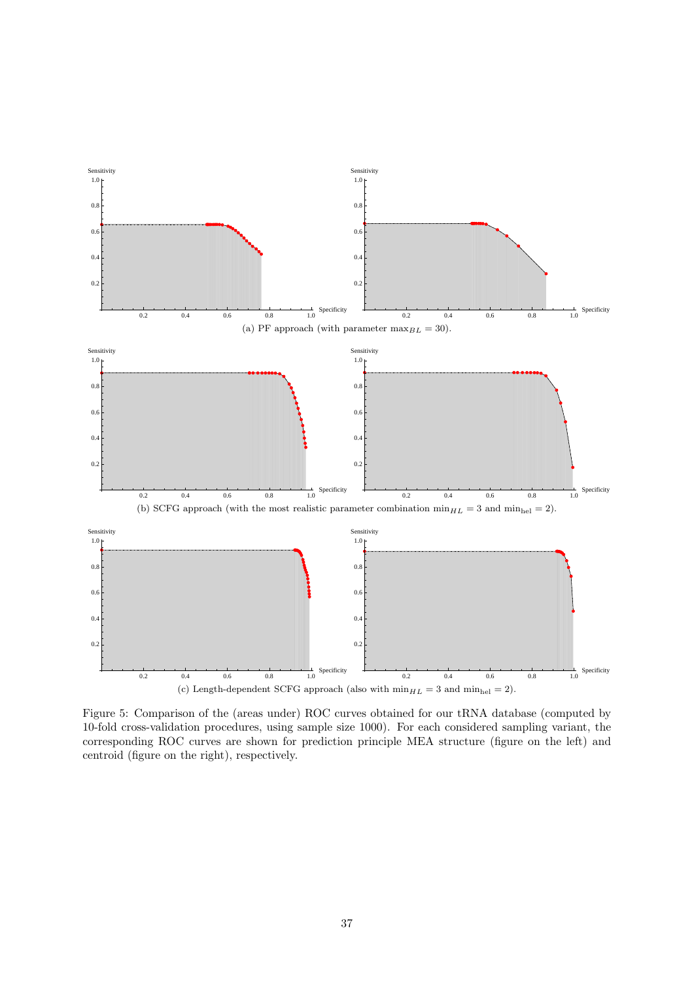<span id="page-36-0"></span>

Figure 5: Comparison of the (areas under) ROC curves obtained for our tRNA database (computed by 10-fold cross-validation procedures, using sample size 1000). For each considered sampling variant, the corresponding ROC curves are shown for prediction principle MEA structure (figure on the left) and centroid (figure on the right), respectively.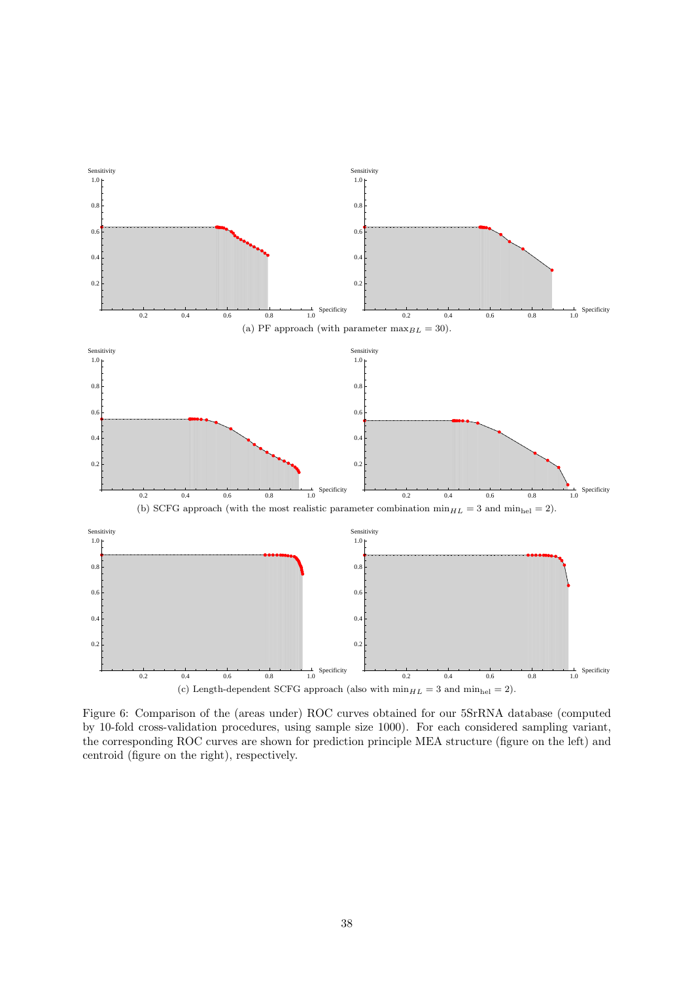<span id="page-37-0"></span>

Figure 6: Comparison of the (areas under) ROC curves obtained for our 5SrRNA database (computed by 10-fold cross-validation procedures, using sample size 1000). For each considered sampling variant, the corresponding ROC curves are shown for prediction principle MEA structure (figure on the left) and centroid (figure on the right), respectively.